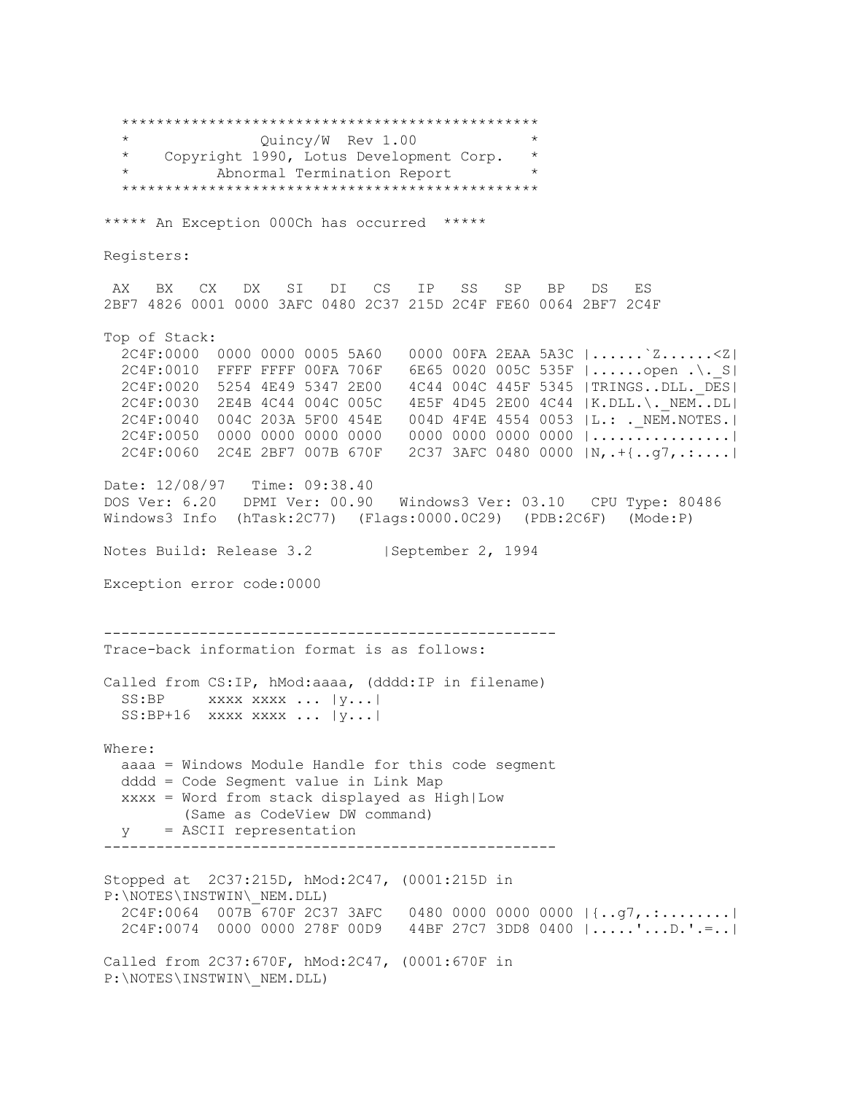\*\*\*\*\*\*\*\*\*\*\*\*\*\*\*\*\*\*\*\*\*\*\*\*\*\*\*\*\*\*\*\*\*\*\*\*\*\*\*\*\*\*\*\*\*\*\*\* \* Quincy/W Rev 1.00 \* \* Copyright 1990, Lotus Development Corp. \* Abnormal Termination Report \*\*\*\*\*\*\*\*\*\*\*\*\*\*\*\*\*\*\*\*\*\*\*\*\*\*\*\*\*\*\*\*\*\*\*\*\*\*\*\*\*\*\*\*\*\*\*\* \*\*\*\*\* An Exception 000Ch has occurred \*\*\*\*\* Registers: AX BX CX DX SI DI CS IP SS SP BP DS ES 2BF7 4826 0001 0000 3AFC 0480 2C37 215D 2C4F FE60 0064 2BF7 2C4F Top of Stack: 2C4F:0000 0000 0000 0005 5A60 0000 00FA 2EAA 5A3C |......`Z......<Z| 2C4F:0010 FFFF FFFF 00FA 706F 6E65 0020 005C 535F |......open .\.\_S| 2C4F:0020 5254 4E49 5347 2E00 4C44 004C 445F 5345 |TRINGS..DLL.\_DES| 2C4F:0030 2E4B 4C44 004C 005C 4E5F 4D45 2E00 4C44 |K.DLL.\.\_NEM..DL| 2C4F:0040 004C 203A 5F00 454E 004D 4F4E 4554 0053 |L.: .\_NEM.NOTES.| 2C4F:0050 0000 0000 0000 0000 0000 0000 0000 0000 |................| 2C4F:0060 2C4E 2BF7 007B 670F 2C37 3AFC 0480 0000 |N,.+{..g7,.:....| Date: 12/08/97 Time: 09:38.40 DOS Ver: 6.20 DPMI Ver: 00.90 Windows3 Ver: 03.10 CPU Type: 80486 Windows3 Info (hTask:2C77) (Flags:0000.0C29) (PDB:2C6F) (Mode:P) Notes Build: Release 3.2 | September 2, 1994 Exception error code:0000 ---------------------------------------------------- Trace-back information format is as follows: Called from CS:IP, hMod:aaaa, (dddd:IP in filename) SS:BP xxxx xxxx ... |y...|  $SS: BP+16$  xxxx xxxx ...  $|y...|$ Where: aaaa = Windows Module Handle for this code segment dddd = Code Segment value in Link Map xxxx = Word from stack displayed as High|Low (Same as CodeView DW command) y = ASCII representation ---------------------------------------------------- Stopped at 2C37:215D, hMod:2C47, (0001:215D in P:\NOTES\INSTWIN\\_NEM.DLL)  $2C4F:0064$  007B 670F 2C37 3AFC 0480 0000 0000 0000  $|\{..q7,..:....|\}$  2C4F:0074 0000 0000 278F 00D9 44BF 27C7 3DD8 0400 |.....'...D.'.=..| Called from 2C37:670F, hMod:2C47, (0001:670F in P:\NOTES\INSTWIN\\_NEM.DLL)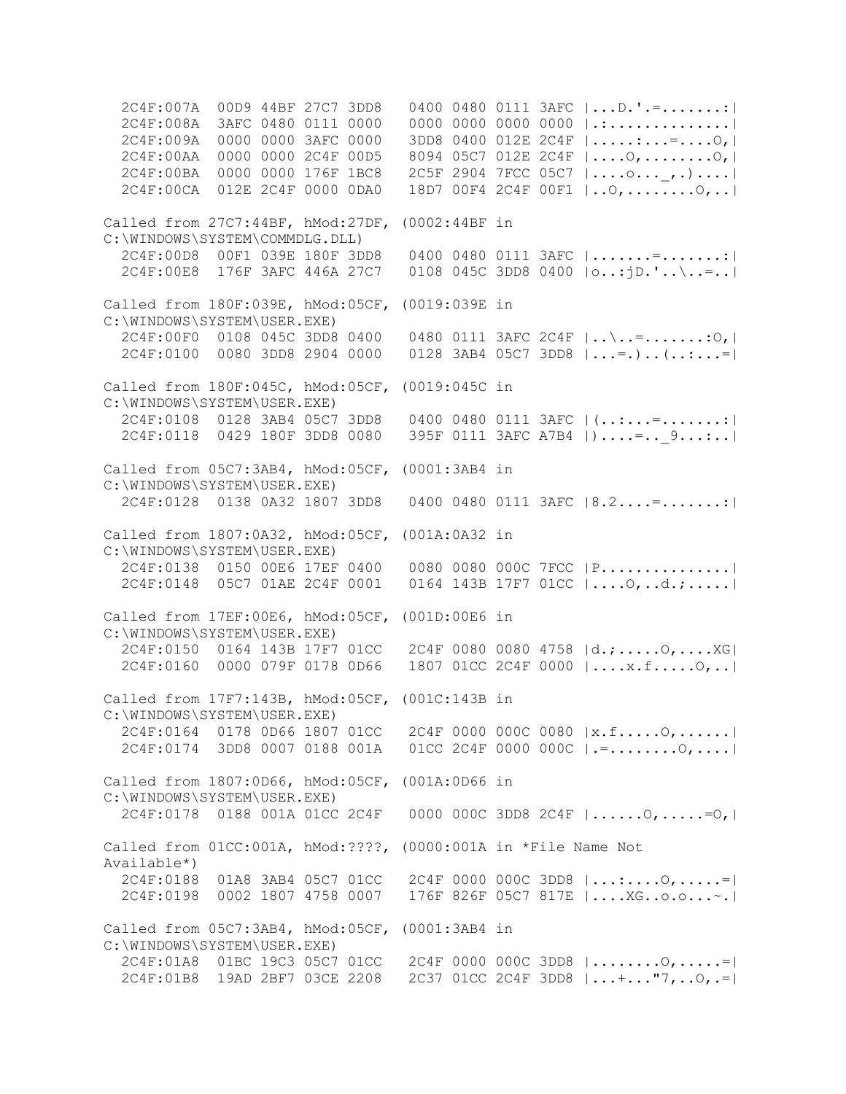2C4F:007A 00D9 44BF 27C7 3DD8 0400 0480 0111 3AFC |...D.'.=.......:| 2C4F:008A 3AFC 0480 0111 0000 0000 0000 0000 0000 |.:..............| 2C4F:009A 0000 0000 3AFC 0000 3DD8 0400 012E 2C4F |.....:...=....O,| 2C4F:00AA 0000 0000 2C4F 00D5 8094 05C7 012E 2C4F |....O,........O,| 2C4F:00BA 0000 0000 176F 1BC8 2C5F 2904 7FCC 05C7 |....o...\_,.)....| 2C4F:00CA 012E 2C4F 0000 0DA0 18D7 00F4 2C4F 00F1 |..O,........O,..| Called from 27C7:44BF, hMod:27DF, (0002:44BF in C:\WINDOWS\SYSTEM\COMMDLG.DLL) 2C4F:00D8 00F1 039E 180F 3DD8 0400 0480 0111 3AFC |.......=.......:| 2C4F:00E8 176F 3AFC 446A 27C7 0108 045C 3DD8 0400 |o..:jD.'..\..=..| Called from 180F:039E, hMod:05CF, (0019:039E in C:\WINDOWS\SYSTEM\USER.EXE) 2C4F:00F0 0108 045C 3DD8 0400 0480 0111 3AFC 2C4F |..\..=.......:O,|  $2C4F:0100$  0080 3DD8 2904 0000 0128 3AB4 05C7 3DD8  $|...;...;...|=$ Called from 180F:045C, hMod:05CF, (0019:045C in C:\WINDOWS\SYSTEM\USER.EXE) 2C4F:0108 0128 3AB4 05C7 3DD8 0400 0480 0111 3AFC |(..:...=.......:| 2C4F:0118 0429 180F 3DD8 0080 395F 0111 3AFC A7B4 | ) ....=.. 9...:..| Called from 05C7:3AB4, hMod:05CF, (0001:3AB4 in C:\WINDOWS\SYSTEM\USER.EXE) 2C4F:0128 0138 0A32 1807 3DD8 0400 0480 0111 3AFC |8.2....=.......:| Called from 1807:0A32, hMod:05CF, (001A:0A32 in C:\WINDOWS\SYSTEM\USER.EXE) 2C4F:0138 0150 00E6 17EF 0400 0080 0080 000C 7FCC |P...............| 2C4F:0148 05C7 01AE 2C4F 0001 0164 143B 17F7 01CC |....O,..d.;.....| Called from 17EF:00E6, hMod:05CF, (001D:00E6 in C:\WINDOWS\SYSTEM\USER.EXE) 2C4F:0150 0164 143B 17F7 01CC 2C4F 0080 0080 4758 |d.;.....O,....XG| 2C4F:0160 0000 079F 0178 0D66 1807 01CC 2C4F 0000 |....x.f.....O,..| Called from 17F7:143B, hMod:05CF, (001C:143B in C:\WINDOWS\SYSTEM\USER.EXE) 2C4F:0164 0178 0D66 1807 01CC 2C4F 0000 000C 0080 |x.f.....O,......| 2C4F:0174 3DD8 0007 0188 001A 01CC 2C4F 0000 000C |.=........O,....| Called from 1807:0D66, hMod:05CF, (001A:0D66 in C:\WINDOWS\SYSTEM\USER.EXE) 2C4F:0178 0188 001A 01CC 2C4F 0000 000C 3DD8 2C4F |......O,.....=O,| Called from 01CC:001A, hMod:????, (0000:001A in \*File Name Not Available\*) 2C4F:0188 01A8 3AB4 05C7 01CC 2C4F 0000 000C 3DD8 |...:....O,.....=| 2C4F:0198 0002 1807 4758 0007 176F 826F 05C7 817E |....XG..o.o...~.| Called from 05C7:3AB4, hMod:05CF, (0001:3AB4 in C:\WINDOWS\SYSTEM\USER.EXE) 2C4F:01A8 01BC 19C3 05C7 01CC 2C4F 0000 000C 3DD8 |........O,.....=| 2C4F:01B8 19AD 2BF7 03CE 2208 2C37 01CC 2C4F 3DD8 |...+..."7,..O,.=|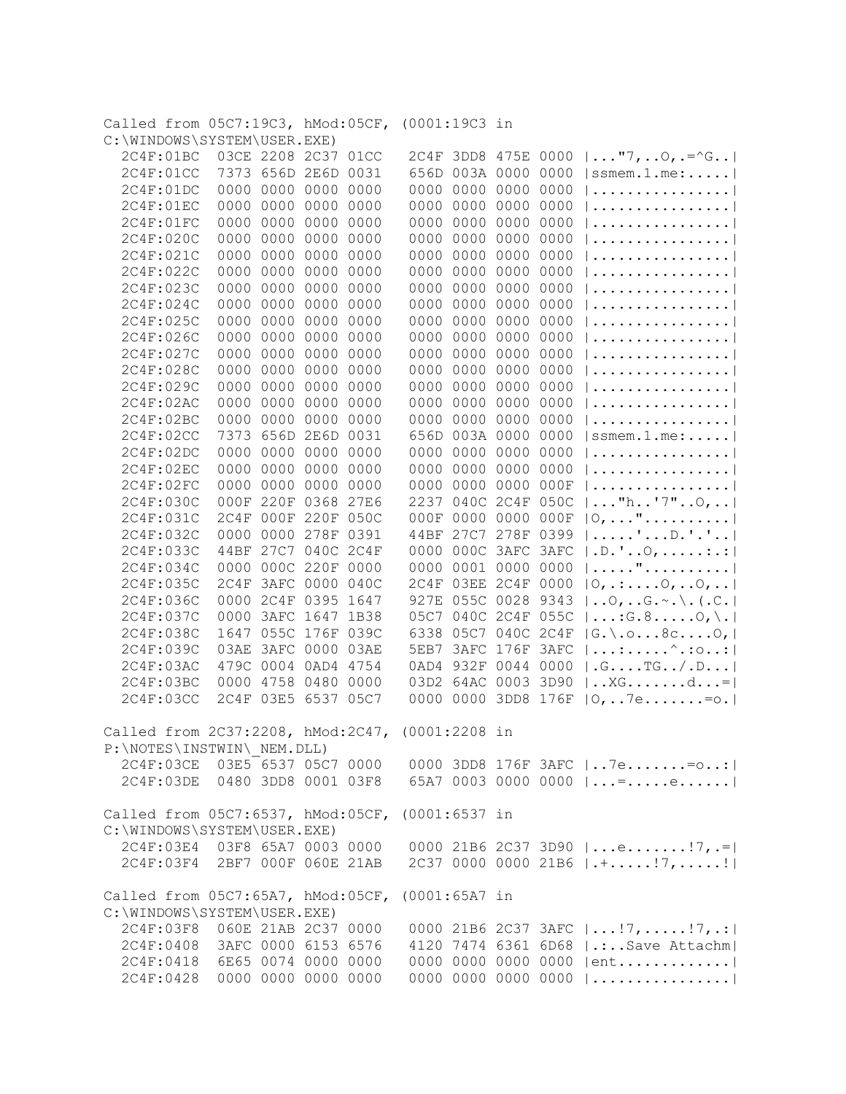| Called from 05C7:19C3, hMod:05CF, (0001:19C3 in<br>C:\WINDOWS\SYSTEM\USER.EXE) |                     |                     |                |                                                                                            |
|--------------------------------------------------------------------------------|---------------------|---------------------|----------------|--------------------------------------------------------------------------------------------|
| 2C4F:01BC                                                                      | 03CE 2208 2C37 01CC | 2C4F 3DD8 475E 0000 |                | $  \ldots$ "7, 0, .=^G                                                                     |
| 2C4F:01CC                                                                      | 7373 656D 2E6D 0031 | 656D 003A 0000      | 0000           | $ $ ssmem.1.me:                                                                            |
| 0000 0000<br>2C4F:01DC                                                         | 0000<br>0000        | 0000 0000 0000      | 0000           |                                                                                            |
| 2C4F:01EC<br>0000<br>0000                                                      | 0000<br>0000        | 0000 0000 0000      | 0000           |                                                                                            |
| 2C4F:01FC<br>0000<br>0000                                                      | 0000<br>0000        | 0000<br>0000 0000   | 0000           |                                                                                            |
| 0000<br>2C4F:020C<br>0000                                                      | 0000<br>0000        | 0000 0000 0000      | 0000           |                                                                                            |
|                                                                                | 0000                | 0000 0000           | 0000           |                                                                                            |
| 2C4F:021C<br>0000<br>0000                                                      | 0000                | 0000                |                |                                                                                            |
| 2C4F:022C<br>0000<br>0000                                                      | 0000<br>0000        | 0000<br>0000 0000   | 0000           |                                                                                            |
| 2C4F:023C<br>0000<br>0000                                                      | 0000<br>0000        | 0000<br>0000 0000   | 0000           |                                                                                            |
| 2C4F:024C<br>0000<br>0000                                                      | 0000<br>0000        | 0000<br>0000 0000   | 0000           |                                                                                            |
| 0000<br>2C4F:025C<br>0000                                                      | 0000<br>0000        | 0000<br>0000 0000   | 0000           |                                                                                            |
| 2C4F:026C<br>0000<br>0000                                                      | 0000<br>0000        | 0000<br>0000 0000   | 0000           |                                                                                            |
| 2C4F:027C<br>0000<br>0000                                                      | 0000<br>0000        | 0000<br>0000 0000   | 0000           |                                                                                            |
| 0000<br>2C4F:028C<br>0000                                                      | 0000<br>0000        | 0000<br>0000 0000   | 0000           |                                                                                            |
| 0000<br>2C4F:029C<br>0000                                                      | 0000<br>0000        | 0000 0000<br>0000   | 0000           |                                                                                            |
| 0000<br>2C4F:02AC<br>0000                                                      | 0000<br>0000        | 0000 0000<br>0000   | 0000           |                                                                                            |
| 0000<br>2C4F:02BC<br>0000                                                      | 0000<br>0000        | 0000 0000<br>0000   | 0000           |                                                                                            |
| 2C4F:02CC<br>7373<br>656D                                                      | 2E6D<br>0031        | 656D 003A 0000      | 0000           | $ {\tt ssmem.1.me:}\ldots. $                                                               |
| 2C4F:02DC<br>0000<br>0000                                                      | 0000<br>0000        | 0000<br>0000 0000   | 0000           |                                                                                            |
| 0000<br>2C4F:02EC<br>0000                                                      | 0000<br>0000        | 0000 0000<br>0000   | 0000           |                                                                                            |
| 0000<br>2C4F:02FC<br>0000                                                      | 0000<br>0000        | 0000<br>0000 0000   | 000F           |                                                                                            |
| 2C4F:030C<br>000F                                                              | 220F 0368<br>27E6   | 2237<br>040C 2C4F   | 050C           | $ "$ h'7"0,                                                                                |
| 2C4F:031C<br>2C4F                                                              | 000F 220F 050C      | 0000 0000<br>000F   | 000F           | $ 0, \ldots$ "                                                                             |
| 2C4F:032C<br>0000                                                              | 0000 278F<br>0391   | 27C7 278F<br>44BF   | 0399           | $  \ldots   \ldots   \ldots  $ . $  \ldots  $                                              |
| 2C4F:033C<br>44BF                                                              | 27C7 040C 2C4F      | 000C 3AFC<br>0000   | 3AFC           | .D. '0, : . :                                                                              |
| 2C4F:034C<br>0000                                                              | 000C 220F 0000      | 0001 0000<br>0000   | 0000           | "                                                                                          |
| 2C4F:035C<br>2C4F                                                              | 3AFC 0000<br>040C   | 2C4F<br>03EE 2C4F   | 0000           | $ 0, \ldots, 0, \ldots, 0, \ldots $                                                        |
| 2C4F:036C<br>0000                                                              | 2C4F 0395<br>1647   | 927E 055C 0028      | 9343           | $\vert \ldots \circ$ , $\ldots \circ \cdot \circ \cdot \setminus \ldots \circ \cdot \vert$ |
|                                                                                | 3AFC 1647 1B38      | 05C7 040C 2C4F      |                |                                                                                            |
| 2C4F:037C<br>0000                                                              | 055C 176F 039C      |                     | 055C           | $  \ldots$ : G. 80, \.                                                                     |
| 2C4F:038C<br>1647                                                              |                     | 6338                | 05C7 040C 2C4F | $ G_{\cdot}\rangle$ . o8c0,                                                                |
| 2C4F:039C<br>03AE                                                              | 3AFC 0000<br>03AE   | 3AFC 176F<br>5EB7   | 3AFC           | $  \dots : \dots \dots' : \circ \dots :  $                                                 |
| 2C4F:03AC                                                                      | 479C 0004 0AD4 4754 | 932F 0044<br>0AD4   | 0000           | .GT G/ .D                                                                                  |
| 4758<br>2C4F:03BC<br>0000                                                      | 0480<br>0000        | 03D2 64AC 0003      | 3D90           | $\vert$ XG $d$ =                                                                           |
| 2C4F:03CC<br>2C4F<br>03E5                                                      | 6537 05C7           | 0000                | 0000 3DD8 176F | $ 0,7e. = 0.$                                                                              |
| Called from 2C37:2208, hMod:2C47, (0001:2208 in<br>P:\NOTES\INSTWIN\ NEM.DLL)  |                     |                     |                |                                                                                            |
| 2C4F:03CE 03E5 6537 05C7 0000                                                  |                     |                     |                | 0000 3DD8 176F 3AFC   7e= o:                                                               |
| 2C4F:03DE 0480 3DD8 0001 03F8                                                  |                     |                     |                | 65A7 0003 0000 0000 $ $ =e                                                                 |
|                                                                                |                     |                     |                |                                                                                            |
| Called from 05C7:6537, hMod:05CF, (0001:6537 in                                |                     |                     |                |                                                                                            |
| C:\WINDOWS\SYSTEM\USER.EXE)                                                    |                     |                     |                |                                                                                            |
| 2C4F:03E4 03F8 65A7 0003 0000                                                  |                     |                     |                | 0000 21B6 2C37 3D90 $ e 7, .= $                                                            |
| 2C4F:03F4 2BF7 000F 060E 21AB                                                  |                     |                     |                |                                                                                            |
| Called from 05C7:65A7, hMod:05CF, (0001:65A7 in                                |                     |                     |                |                                                                                            |
| C:\WINDOWS\SYSTEM\USER.EXE)                                                    |                     |                     |                |                                                                                            |
| 2C4F:03F8 060E 21AB 2C37 0000                                                  |                     |                     |                | 0000 21B6 2C37 3AFC $ !7,17,!7 $                                                           |
| 2C4F:0408 3AFC 0000 6153 6576                                                  |                     |                     |                | 4120 7474 6361 6D68   .: Save Attachm                                                      |
| 2C4F:0418 6E65 0074 0000 0000                                                  |                     |                     |                | 0000 0000 0000 0000 $ $ ent                                                                |
| 2C4F:0428 0000 0000 0000 0000                                                  |                     |                     |                | 0000 0000 0000 0000                                                                        |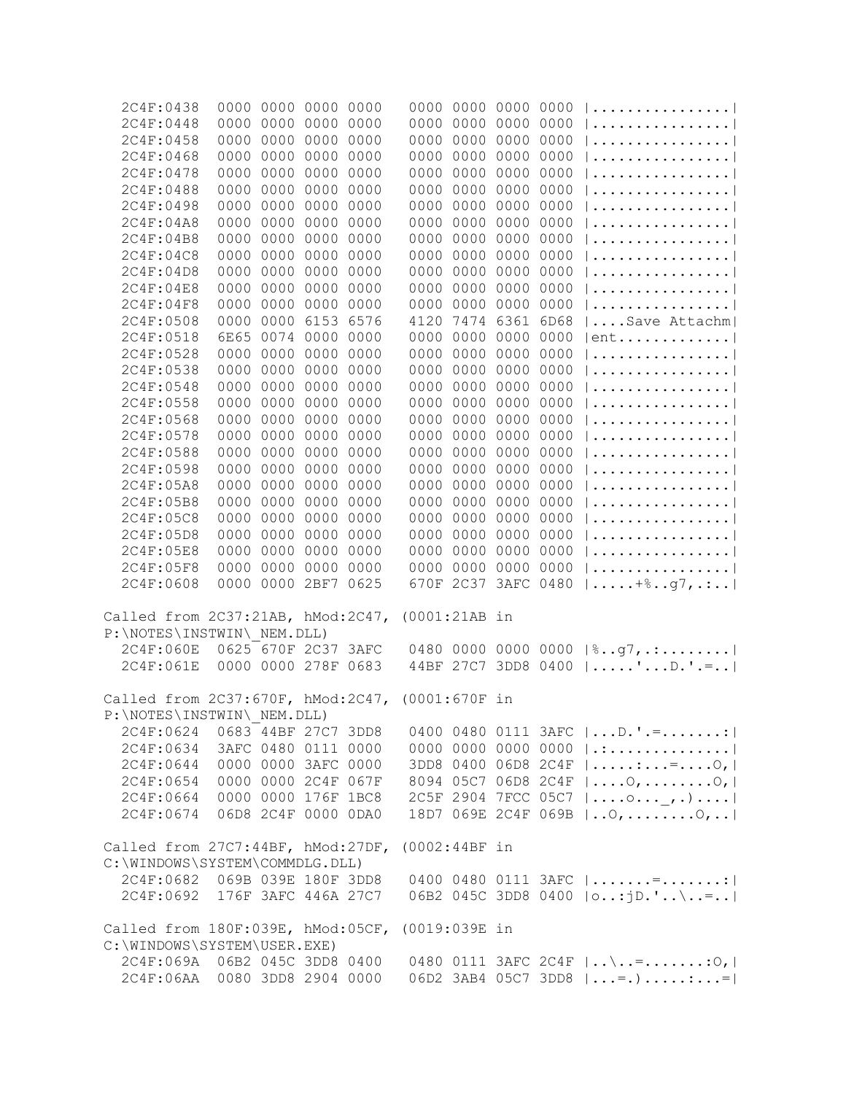| 2C4F:0438                                       |                     | 0000 0000 0000 0000 |      |      |               |           | 0000 0000 0000 0000 |                                                               |
|-------------------------------------------------|---------------------|---------------------|------|------|---------------|-----------|---------------------|---------------------------------------------------------------|
| 2C4F:0448                                       |                     | 0000 0000 0000 0000 |      |      |               |           | 0000 0000 0000 0000 |                                                               |
| 2C4F:0458                                       |                     | 0000 0000 0000 0000 |      |      |               |           | 0000 0000 0000 0000 |                                                               |
| 2C4F:0468                                       |                     | 0000 0000 0000 0000 |      |      |               |           | 0000 0000 0000 0000 |                                                               |
| 2C4F:0478                                       |                     | 0000 0000 0000 0000 |      |      |               |           | 0000 0000 0000 0000 |                                                               |
| 2C4F:0488                                       |                     | 0000 0000 0000 0000 |      |      |               |           | 0000 0000 0000 0000 |                                                               |
| 2C4F:0498                                       |                     | 0000 0000 0000      |      | 0000 |               |           | 0000 0000 0000 0000 |                                                               |
| 2C4F:04A8                                       |                     | 0000 0000 0000      |      | 0000 |               |           | 0000 0000 0000 0000 |                                                               |
| 2C4F:04B8                                       |                     | 0000 0000 0000      |      | 0000 |               |           | 0000 0000 0000 0000 |                                                               |
| 2C4F:04C8                                       |                     | 0000 0000 0000      |      | 0000 |               | 0000 0000 | 0000 0000           |                                                               |
| 2C4F:04D8                                       |                     | 0000 0000 0000      |      | 0000 |               | 0000 0000 | 0000 0000           |                                                               |
| 2C4F:04E8                                       | 0000                | 0000 0000           |      | 0000 |               | 0000 0000 | 0000 0000           |                                                               |
| 2C4F:04F8                                       |                     | 0000 0000 0000      |      | 0000 |               |           | 0000 0000 0000 0000 |                                                               |
| 2C4F:0508                                       | 0000                | 0000 6153           |      | 6576 | 4120          |           | 7474 6361 6D68      | Save Attachm                                                  |
| 2C4F:0518                                       |                     | 6E65 0074 0000      |      | 0000 | 0000          | 0000      | 0000 0000           | $ ent$                                                        |
| 2C4F:0528                                       | 0000                | 0000 0000           |      | 0000 |               | 0000 0000 | 0000 0000           |                                                               |
| 2C4F:0538                                       | 0000                | 0000 0000           |      | 0000 | 0000          | 0000      | 0000 0000           |                                                               |
| 2C4F:0548                                       | 0000                | 0000                | 0000 |      | 0000          | 0000      | 0000 0000           |                                                               |
|                                                 |                     |                     |      | 0000 |               |           |                     |                                                               |
| 2C4F:0558                                       |                     | 0000 0000           | 0000 | 0000 | 0000          | 0000      | 0000 0000           |                                                               |
| 2C4F:0568                                       |                     | 0000 0000           | 0000 | 0000 | 0000          | 0000      | 0000 0000           |                                                               |
| 2C4F:0578                                       |                     | 0000 0000           | 0000 | 0000 | 0000          | 0000      | 0000 0000           |                                                               |
| 2C4F:0588                                       |                     | 0000 0000           | 0000 | 0000 | 0000          | 0000      | 0000 0000           |                                                               |
| 2C4F:0598                                       |                     | 0000 0000           | 0000 | 0000 | 0000          | 0000      | 0000 0000           |                                                               |
| 2C4F:05A8                                       |                     | 0000 0000           | 0000 | 0000 | 0000          | 0000      | 0000 0000           |                                                               |
| 2C4F:05B8                                       |                     | 0000 0000           | 0000 | 0000 | 0000          | 0000      | 0000 0000           |                                                               |
| 2C4F:05C8                                       |                     | 0000 0000 0000      |      | 0000 | 0000          |           | 0000 0000 0000      |                                                               |
| 2C4F:05D8                                       |                     | 0000 0000 0000 0000 |      |      | 0000          | 0000      | 0000 0000           |                                                               |
| 2C4F:05E8                                       |                     | 0000 0000           | 0000 | 0000 |               |           | 0000 0000 0000 0000 | $  \ldots \ldots \ldots \ldots \ldots  $                      |
| 2C4F:05F8                                       |                     | 0000 0000 0000      |      | 0000 |               |           |                     | 0000 0000 0000 0000 $ $                                       |
| 2C4F:0608                                       |                     | 0000 0000 2BF7      |      | 0625 |               |           |                     | 670F 2C37 3AFC 0480 $  \dots + \frac{1}{2}, q7, \dots  $      |
|                                                 |                     |                     |      |      |               |           |                     |                                                               |
| Called from 2C37:21AB, hMod:2C47,               |                     |                     |      |      | (0001:21AB in |           |                     |                                                               |
| P: \NOTES\INSTWIN\ NEM.DLL)                     |                     |                     |      |      |               |           |                     |                                                               |
| 2C4F:060E                                       |                     | 0625 670F 2C37 3AFC |      |      |               |           |                     | 0480 0000 0000 0000  %g7,.:                                   |
| 2C4F:061E                                       |                     | 0000 0000 278F 0683 |      |      |               |           |                     | 44BF 27C7 3DD8 0400  'D.'.=                                   |
| Called from 2C37:670F, hMod:2C47, (0001:670F in |                     |                     |      |      |               |           |                     |                                                               |
| P:\NOTES\INSTWIN\ NEM.DLL)                      |                     |                     |      |      |               |           |                     |                                                               |
| 2C4F:0624                                       |                     | 0683 44BF 27C7 3DD8 |      |      |               |           |                     | 0400 0480 0111 3AFC    D. ' .= :                              |
| 2C4F:0634                                       | 3AFC 0480 0111 0000 |                     |      |      |               |           |                     | 0000 0000 0000 0000 $ $ .:                                    |
| 2C4F:0644                                       | 0000 0000 3AFC 0000 |                     |      |      |               |           |                     | $3DD8 0400 06D8 2C4F   \dots :  =  0,  $                      |
| 2C4F:0654                                       | 0000 0000 2C4F 067F |                     |      |      |               |           |                     | 8094 05C7 06D8 2C4F    0,  0,                                 |
| 2C4F:0664 0000 0000 176F 1BC8                   |                     |                     |      |      |               |           |                     | 2C5F 2904 7FCC 05C7  o_,.)                                    |
| 2C4F:0674 06D8 2C4F 0000 0DA0                   |                     |                     |      |      |               |           |                     | 18D7 069E 2C4F 069B    0,  0,                                 |
|                                                 |                     |                     |      |      |               |           |                     |                                                               |
| Called from 27C7:44BF, hMod:27DF,               |                     |                     |      |      | (0002:44BF in |           |                     |                                                               |
| C:\WINDOWS\SYSTEM\COMMDLG.DLL)                  |                     |                     |      |      |               |           |                     |                                                               |
| 2C4F:0682 069B 039E 180F 3DD8                   |                     |                     |      |      |               |           |                     | 0400 0480 0111 3AFC $ $ =                                     |
| 2C4F:0692 176F 3AFC 446A 27C7                   |                     |                     |      |      |               |           |                     | 06B2 045C 3DD8 0400 $ 0:jD." \ .= $                           |
| Called from 180F:039E, hMod:05CF, (0019:039E in |                     |                     |      |      |               |           |                     |                                                               |
| C:\WINDOWS\SYSTEM\USER.EXE)                     |                     |                     |      |      |               |           |                     |                                                               |
| 2C4F:069A 06B2 045C 3DD8 0400                   |                     |                     |      |      |               |           |                     | 0480 0111 3AFC 2C4F $  \dots \dots = \dots \dots \dots \dots$ |
| 2C4F:06AA 0080 3DD8 2904 0000                   |                     |                     |      |      |               |           |                     | 06D2 3AB4 05C7 3DD8 $  = .$ =                                 |
|                                                 |                     |                     |      |      |               |           |                     |                                                               |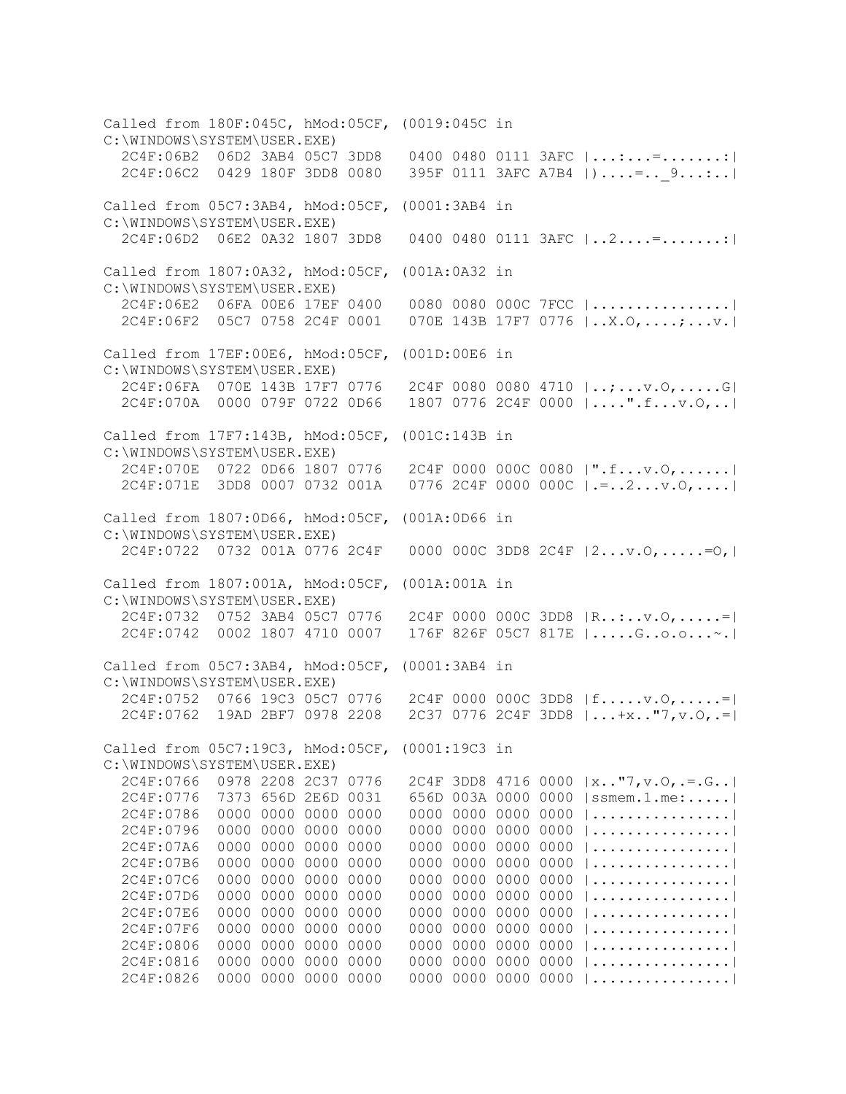Called from 180F:045C, hMod:05CF, (0019:045C in C:\WINDOWS\SYSTEM\USER.EXE) 2C4F:06B2 06D2 3AB4 05C7 3DD8 0400 0480 0111 3AFC |...:...=.......:| 2C4F:06C2 0429 180F 3DD8 0080 395F 0111 3AFC A7B4 |)....=..\_9...:..| Called from 05C7:3AB4, hMod:05CF, (0001:3AB4 in C:\WINDOWS\SYSTEM\USER.EXE) 2C4F:06D2 06E2 0A32 1807 3DD8 0400 0480 0111 3AFC |..2....=.......:| Called from 1807:0A32, hMod:05CF, (001A:0A32 in C:\WINDOWS\SYSTEM\USER.EXE) 2C4F:06E2 06FA 00E6 17EF 0400 0080 0080 000C 7FCC |................| 2C4F:06F2 05C7 0758 2C4F 0001 070E 143B 17F7 0776 |..X.O,....;...v.| Called from 17EF:00E6, hMod:05CF, (001D:00E6 in C:\WINDOWS\SYSTEM\USER.EXE) 2C4F:06FA 070E 143B 17F7 0776 2C4F 0080 0080 4710 |..;...v.O,.....G| 2C4F:070A 0000 079F 0722 0D66 1807 0776 2C4F 0000 |....".f...v.O,..| Called from 17F7:143B, hMod:05CF, (001C:143B in C:\WINDOWS\SYSTEM\USER.EXE) 2C4F:070E 0722 0D66 1807 0776 2C4F 0000 000C 0080 |".f...v.O,......| 2C4F:071E 3DD8 0007 0732 001A 0776 2C4F 0000 000C |.=..2...v.O,....| Called from 1807:0D66, hMod:05CF, (001A:0D66 in C:\WINDOWS\SYSTEM\USER.EXE) 2C4F:0722 0732 001A 0776 2C4F 0000 000C 3DD8 2C4F |2...v.O,.....=O,| Called from 1807:001A, hMod:05CF, (001A:001A in C:\WINDOWS\SYSTEM\USER.EXE) 2C4F:0732 0752 3AB4 05C7 0776 2C4F 0000 000C 3DD8 |R..:..v.O,.....=| 2C4F:0742 0002 1807 4710 0007 176F 826F 05C7 817E |.....G..o.o...~.| Called from 05C7:3AB4, hMod:05CF, (0001:3AB4 in C:\WINDOWS\SYSTEM\USER.EXE) 2C4F:0752 0766 19C3 05C7 0776 2C4F 0000 000C 3DD8 |f.....v.O,.....=| 2C4F:0762 19AD 2BF7 0978 2208 2C37 0776 2C4F 3DD8 |...+x.."7,v.O,.=| Called from 05C7:19C3, hMod:05CF, (0001:19C3 in C:\WINDOWS\SYSTEM\USER.EXE) 2C4F:0766 0978 2208 2C37 0776 2C4F 3DD8 4716 0000 |x.."7,v.O,.=.G..| 2C4F:0776 7373 656D 2E6D 0031 656D 003A 0000 0000 |ssmem.1.me:.....| 2C4F:0786 0000 0000 0000 0000 0000 0000 0000 0000 |................| 2C4F:0796 0000 0000 0000 0000 0000 0000 0000 0000 |................| 2C4F:07A6 0000 0000 0000 0000 0000 0000 0000 0000 |................| 2C4F:07B6 0000 0000 0000 0000 0000 0000 0000 0000 |................| 2C4F:07C6 0000 0000 0000 0000 0000 0000 0000 0000 |................| 2C4F:07D6 0000 0000 0000 0000 0000 0000 0000 0000 |................| 2C4F:07E6 0000 0000 0000 0000 0000 0000 0000 0000 |................| 2C4F:07F6 0000 0000 0000 0000 0000 0000 0000 0000 |................| 2C4F:0806 0000 0000 0000 0000 0000 0000 0000 0000 |................| 2C4F:0816 0000 0000 0000 0000 0000 0000 0000 0000 |................| 2C4F:0826 0000 0000 0000 0000 0000 0000 0000 0000 |................|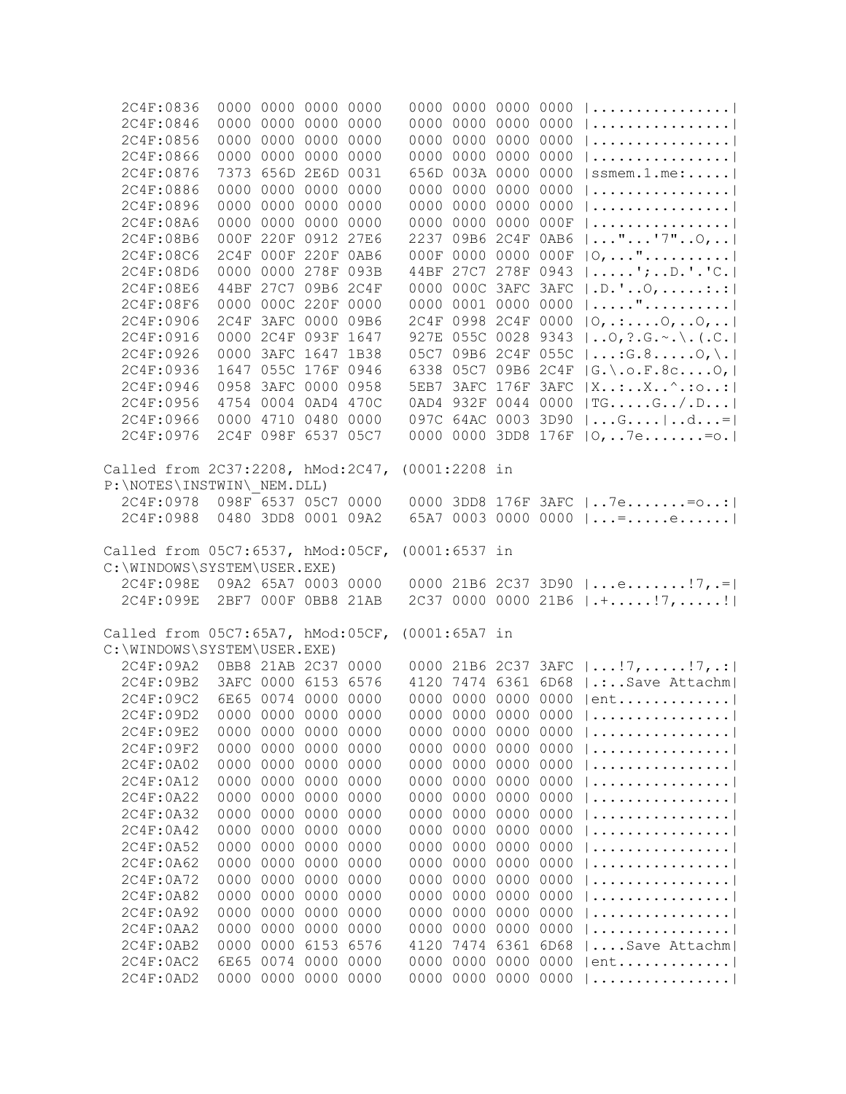| 2C4F:0836                         |                     | 0000 0000 0000 0000 |                |      |                 | 0000 0000 0000 0000 |           |      | $  \ldots \ldots \ldots \ldots \ldots  $ |
|-----------------------------------|---------------------|---------------------|----------------|------|-----------------|---------------------|-----------|------|------------------------------------------|
| 2C4F:0846                         |                     | 0000 0000 0000 0000 |                |      |                 | 0000 0000 0000 0000 |           |      |                                          |
| 2C4F:0856                         |                     | 0000 0000 0000 0000 |                |      |                 | 0000 0000 0000 0000 |           |      |                                          |
| 2C4F:0866                         |                     | 0000 0000 0000 0000 |                |      |                 | 0000 0000 0000 0000 |           |      |                                          |
| 2C4F:0876                         |                     | 7373 656D 2E6D 0031 |                |      |                 | 656D 003A 0000 0000 |           |      | $ $ ssmem.1.me:                          |
| 2C4F:0886                         |                     | 0000 0000 0000 0000 |                |      |                 | 0000 0000 0000 0000 |           |      |                                          |
| 2C4F:0896                         |                     | 0000 0000 0000 0000 |                |      |                 | 0000 0000           | 0000 0000 |      |                                          |
| 2C4F:08A6                         |                     | 0000 0000 0000 0000 |                |      |                 | 0000 0000 0000 000F |           |      |                                          |
| 2C4F:08B6                         |                     | 000F 220F 0912 27E6 |                |      |                 | 2237 09B6 2C4F 0AB6 |           |      | $  \ldots$ "'7" $0, \ldots$              |
| 2C4F:08C6                         |                     | 2C4F 000F 220F 0AB6 |                |      |                 | 000F 0000 0000 000F |           |      | $ 0, \ldots$ "                           |
| 2C4F:08D6                         |                     | 0000 0000 278F 093B |                |      |                 | 44BF 27C7 278F 0943 |           |      | $  \ldots  $ ; $D$ . $C$ . $ $           |
| 2C4F:08E6                         |                     | 44BF 27C7 09B6 2C4F |                |      |                 | 0000 000C 3AFC 3AFC |           |      | $ .D.$ ' $\circ$ , :.:                   |
|                                   |                     |                     |                |      |                 |                     |           |      | ".                                       |
| 2C4F:08F6                         |                     | 0000 000C 220F 0000 |                |      |                 | 0000 0001 0000 0000 |           |      |                                          |
| 2C4F:0906                         |                     | 2C4F 3AFC 0000 09B6 |                |      |                 | 2C4F 0998 2C4F 0000 |           |      | $ 0, \ldots .0, .0, \ldots $             |
| 2C4F:0916                         |                     | 0000 2C4F 093F 1647 |                |      |                 | 927E 055C 0028 9343 |           |      | $ 0, ?.G. \sim . \backslash . (.C.  $    |
| 2C4F:0926                         |                     | 0000 3AFC 1647 1B38 |                |      |                 | 05C7 09B6 2C4F 055C |           |      | $ \ldots$ : G. 80, \.                    |
| 2C4F:0936                         |                     | 1647 055C 176F 0946 |                |      |                 | 6338 05C7 09B6 2C4F |           |      | $ G_{\cdot}\rangle$ . o. F. 8c0,         |
| 2C4F:0946                         |                     | 0958 3AFC 0000 0958 |                |      |                 | 5EB7 3AFC 176F 3AFC |           |      | $ X$ : $X$ ^.:0:                         |
| 2C4F:0956                         |                     | 4754 0004 0AD4 470C |                |      |                 | 0AD4 932F 0044 0000 |           |      | $ TG \ldots .G \ldots .G \ldots  $       |
| 2C4F:0966                         |                     | 0000 4710 0480 0000 |                |      |                 | 097C 64AC 0003 3D90 |           |      | $ G d= $                                 |
| 2C4F:0976                         |                     | 2C4F 098F 6537 05C7 |                |      |                 | 0000 0000 3DD8 176F |           |      | $ 0,7e. = 0.$                            |
|                                   |                     |                     |                |      |                 |                     |           |      |                                          |
| Called from 2C37:2208, hMod:2C47, |                     |                     |                |      | $(0001:2208$ in |                     |           |      |                                          |
| P:\NOTES\INSTWIN\ NEM.DLL)        |                     |                     |                |      |                 |                     |           |      |                                          |
| 2C4F:0978                         | 098F 6537 05C7 0000 |                     |                |      |                 |                     |           |      | 0000 3DD8 176F 3AFC   7e= o:             |
| 2C4F:0988                         |                     | 0480 3DD8 0001 09A2 |                |      |                 |                     |           |      | 65A7 0003 0000 0000 $ $ = e              |
|                                   |                     |                     |                |      |                 |                     |           |      |                                          |
| Called from 05C7:6537, hMod:05CF, |                     |                     |                |      | $(0001:6537$ in |                     |           |      |                                          |
| C:\WINDOWS\SYSTEM\USER.EXE)       |                     |                     |                |      |                 |                     |           |      |                                          |
| 2C4F:098E                         | 09A2 65A7 0003 0000 |                     |                |      |                 |                     |           |      | 0000 21B6 2C37 3D90 $ e 7, .= $          |
| 2C4F:099E                         |                     | 2BF7 000F 0BB8 21AB |                |      |                 |                     |           |      | 2C37 0000 0000 21B6 $ \cdot $ !7,!       |
|                                   |                     |                     |                |      |                 |                     |           |      |                                          |
| Called from 05C7:65A7, hMod:05CF, |                     |                     |                |      | $(0001:65A7$ in |                     |           |      |                                          |
| C:\WINDOWS\SYSTEM\USER.EXE)       |                     |                     |                |      |                 |                     |           |      |                                          |
| 2C4F:09A2                         |                     | 0BB8 21AB 2C37 0000 |                |      |                 |                     |           |      | 0000 21B6 2C37 3AFC $ !7,17,!7 $         |
| 2C4F:09B2                         |                     | 3AFC 0000 6153 6576 |                |      |                 |                     |           |      | 4120 7474 6361 6D68   .: Save Attachm    |
| 2C4F:09C2                         |                     | 6E65 0074 0000 0000 |                |      |                 | 0000 0000           |           |      | 0000 0000   ent                          |
| 2C4F:09D2                         |                     | 0000 0000 0000 0000 |                |      |                 | 0000 0000           | 0000 0000 |      |                                          |
|                                   | 0000                |                     | 0000 0000 0000 |      | 0000            | 0000                | 0000      | 0000 |                                          |
| 2C4F:09E2                         |                     |                     |                |      | 0000            | 0000                |           | 0000 |                                          |
| 2C4F:09F2                         | 0000                | 0000                | 0000           | 0000 |                 |                     | 0000      |      |                                          |
| 2C4F:0A02                         | 0000                | 0000                | 0000           | 0000 | 0000            | 0000                | 0000      | 0000 |                                          |
| 2C4F:0A12                         | 0000                | 0000                | 0000           | 0000 | 0000            | 0000                | 0000      | 0000 |                                          |
| 2C4F:0A22                         | 0000                | 0000                | 0000           | 0000 | 0000            | 0000                | 0000      | 0000 |                                          |
| 2C4F:0A32                         | 0000                | 0000                | 0000           | 0000 | 0000            | 0000                | 0000      | 0000 |                                          |
| 2C4F:0A42                         | 0000                | 0000                | 0000           | 0000 | 0000            | 0000                | 0000      | 0000 |                                          |
| 2C4F:0A52                         | 0000                | 0000                | 0000 0000      |      | 0000            | 0000                | 0000 0000 |      |                                          |
| 2C4F:0A62                         | 0000                | 0000 0000 0000      |                |      | 0000            | 0000                | 0000 0000 |      |                                          |
| 2C4F:0A72                         | 0000                | 0000                | 0000           | 0000 |                 | 0000 0000           | 0000 0000 |      |                                          |
| 2C4F:0A82                         | 0000                | 0000                | 0000 0000      |      | 0000            | 0000                | 0000 0000 |      |                                          |
| 2C4F:0A92                         | 0000                | 0000 0000 0000      |                |      |                 | 0000 0000           | 0000 0000 |      |                                          |
| 2C4F:0AA2                         |                     | 0000 0000 0000 0000 |                |      |                 | 0000 0000           | 0000 0000 |      |                                          |
| 2C4F:0AB2                         | 0000                | 0000                | 6153           | 6576 | 4120            | 7474 6361 6D68      |           |      | Save Attachm                             |
| 2C4F:0AC2                         | 6E65                |                     | 0074 0000 0000 |      |                 | 0000 0000 0000 0000 |           |      | $ ent$                                   |
| 2C4F:0AD2                         |                     | 0000 0000 0000 0000 |                |      |                 | 0000 0000 0000 0000 |           |      |                                          |
|                                   |                     |                     |                |      |                 |                     |           |      |                                          |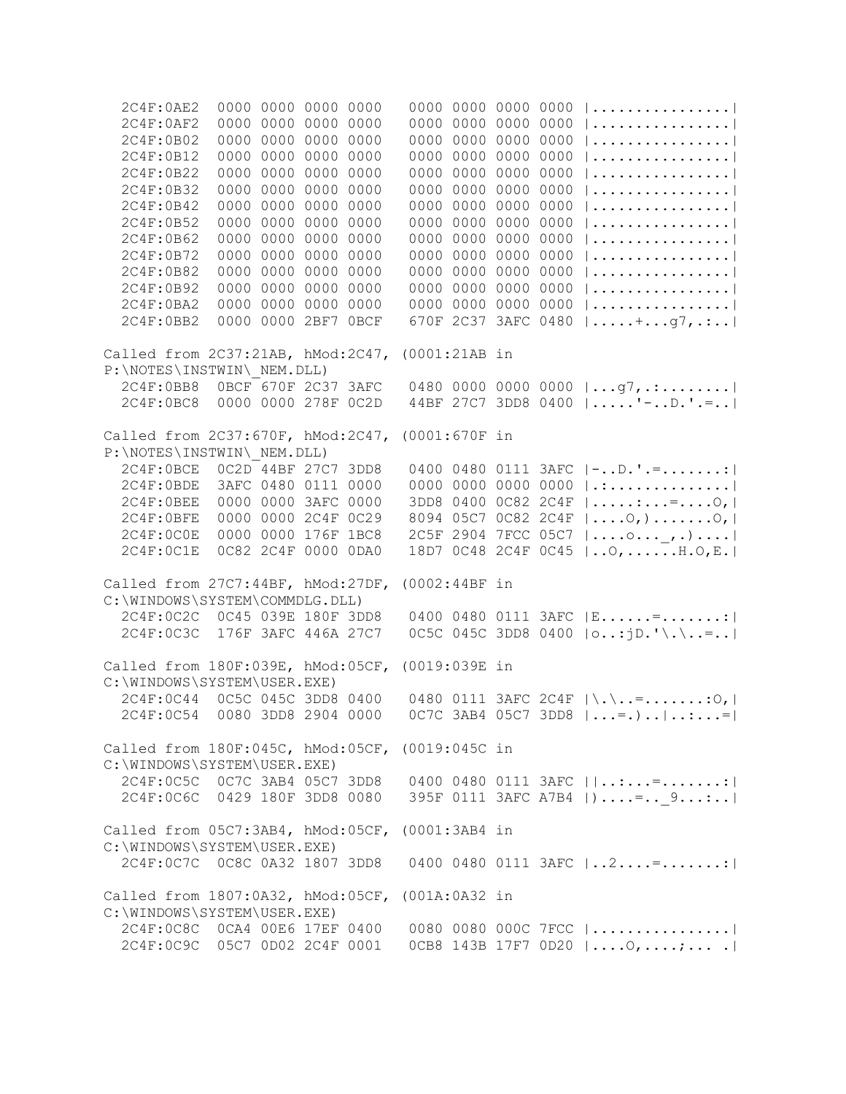2C4F:0AE2 0000 0000 0000 0000 0000 0000 0000 0000 |................| 2C4F:0AF2 0000 0000 0000 0000 0000 0000 0000 0000 |................| 2C4F:0B02 0000 0000 0000 0000 0000 0000 0000 0000 |................| 2C4F:0B12 0000 0000 0000 0000 0000 0000 0000 0000 |................| 2C4F:0B22 0000 0000 0000 0000 0000 0000 0000 0000 |................| 2C4F:0B32 0000 0000 0000 0000 0000 0000 0000 0000 |................| 2C4F:0B42 0000 0000 0000 0000 0000 0000 0000 0000 |................| 2C4F:0B52 0000 0000 0000 0000 0000 0000 0000 0000 |................| 2C4F:0B62 0000 0000 0000 0000 0000 0000 0000 0000 |................| 2C4F:0B72 0000 0000 0000 0000 0000 0000 0000 0000 |................| 2C4F:0B82 0000 0000 0000 0000 0000 0000 0000 0000 |................| 2C4F:0B92 0000 0000 0000 0000 0000 0000 0000 0000 |................| 2C4F:0BA2 0000 0000 0000 0000 0000 0000 0000 0000 |................| 2C4F:0BB2 0000 0000 2BF7 0BCF 670F 2C37 3AFC 0480 |.....+...g7,.:..| Called from 2C37:21AB, hMod:2C47, (0001:21AB in P:\NOTES\INSTWIN\\_NEM.DLL) 2C4F:0BB8 0BCF 670F 2C37 3AFC 0480 0000 0000 0000 |...g7,.:........| 2C4F:0BC8 0000 0000 278F 0C2D 44BF 27C7 3DD8 0400 |.....'-..D.'.=..| Called from 2C37:670F, hMod:2C47, (0001:670F in P:\NOTES\INSTWIN\\_NEM.DLL) 2C4F:0BCE 0C2D 44BF 27C7 3DD8 0400 0480 0111 3AFC |-..D.'.=.......:| 2C4F:0BDE 3AFC 0480 0111 0000 0000 0000 0000 0000 |.:..............| 2C4F:0BEE 0000 0000 3AFC 0000 3DD8 0400 0C82 2C4F |.....:...=....O,| 2C4F:0BFE 0000 0000 2C4F 0C29 8094 05C7 0C82 2C4F |....O,).......O,| 2C4F:0C0E 0000 0000 176F 1BC8 2C5F 2904 7FCC 05C7 |....o...\_,.)....| 2C4F:0C1E 0C82 2C4F 0000 0DA0 18D7 0C48 2C4F 0C45 |..O,......H.O,E.| Called from 27C7:44BF, hMod:27DF, (0002:44BF in C:\WINDOWS\SYSTEM\COMMDLG.DLL) 2C4F:0C2C 0C45 039E 180F 3DD8 0400 0480 0111 3AFC |E......=.......:| 2C4F:0C3C 176F 3AFC 446A 27C7 0C5C 045C 3DD8 0400 |o..:jD.'\.\..=..| Called from 180F:039E, hMod:05CF, (0019:039E in C:\WINDOWS\SYSTEM\USER.EXE) 2C4F:0C44 0C5C 045C 3DD8 0400 0480 0111 3AFC 2C4F |\.\..=.......:O,| 2C4F:0C54 0080 3DD8 2904 0000 0C7C 3AB4 05C7 3DD8 |...=.)..|..:...=| Called from 180F:045C, hMod:05CF, (0019:045C in C:\WINDOWS\SYSTEM\USER.EXE) 2C4F:0C5C 0C7C 3AB4 05C7 3DD8 0400 0480 0111 3AFC ||..:...=.......:| 2C4F:0C6C 0429 180F 3DD8 0080 395F 0111 3AFC A7B4 | )....=.. 9...:..| Called from 05C7:3AB4, hMod:05CF, (0001:3AB4 in C:\WINDOWS\SYSTEM\USER.EXE) 2C4F:0C7C 0C8C 0A32 1807 3DD8 0400 0480 0111 3AFC |..2....=.......:| Called from 1807:0A32, hMod:05CF, (001A:0A32 in C:\WINDOWS\SYSTEM\USER.EXE) 2C4F:0C8C 0CA4 00E6 17EF 0400 0080 0080 000C 7FCC |................| 2C4F:0C9C 05C7 0D02 2C4F 0001 0CB8 143B 17F7 0D20 |....O,....;... .|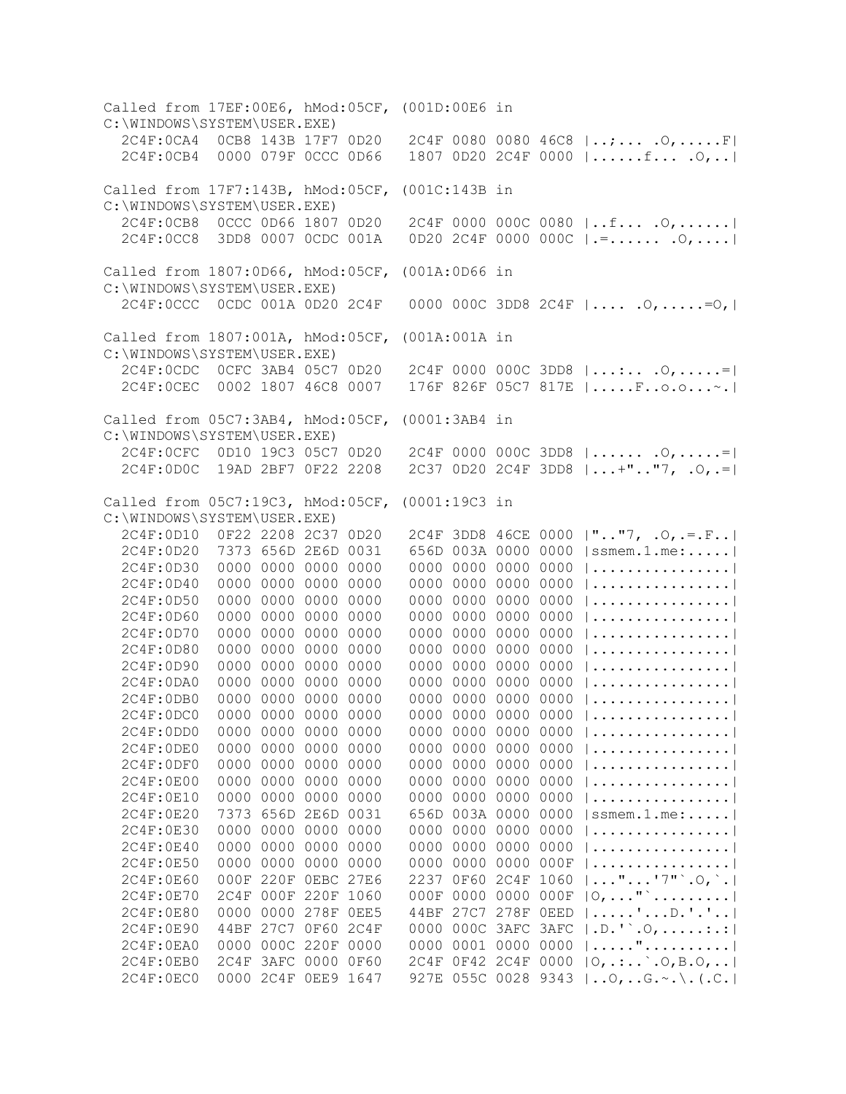Called from 17EF:00E6, hMod:05CF, (001D:00E6 in C:\WINDOWS\SYSTEM\USER.EXE) 2C4F:0CA4 0CB8 143B 17F7 0D20 2C4F 0080 0080 46C8 |..;... .O,.....F| 2C4F:0CB4 0000 079F 0CCC 0D66 1807 0D20 2C4F 0000 |......f... .O,..| Called from 17F7:143B, hMod:05CF, (001C:143B in C:\WINDOWS\SYSTEM\USER.EXE) 2C4F:0CB8 0CCC 0D66 1807 0D20 2C4F 0000 000C 0080 |..f... .O,......| 2C4F:0CC8 3DD8 0007 0CDC 001A 0D20 2C4F 0000 000C |.=...... .O,....| Called from 1807:0D66, hMod:05CF, (001A:0D66 in C:\WINDOWS\SYSTEM\USER.EXE) 2C4F:0CCC 0CDC 001A 0D20 2C4F 0000 000C 3DD8 2C4F |.... .O,.....=O,| Called from 1807:001A, hMod:05CF, (001A:001A in C:\WINDOWS\SYSTEM\USER.EXE) 2C4F:0CDC 0CFC 3AB4 05C7 0D20 2C4F 0000 000C 3DD8 |...:.. .O,.....=| 2C4F:0CEC 0002 1807 46C8 0007 176F 826F 05C7 817E |.....F..o.o...~.| Called from 05C7:3AB4, hMod:05CF, (0001:3AB4 in C:\WINDOWS\SYSTEM\USER.EXE) 2C4F:0CFC 0D10 19C3 05C7 0D20 2C4F 0000 000C 3DD8 |...... .O,.....=| 2C4F:0D0C 19AD 2BF7 0F22 2208 2C37 0D20 2C4F 3DD8 |...+".."7, .O,.=| Called from 05C7:19C3, hMod:05CF, (0001:19C3 in C:\WINDOWS\SYSTEM\USER.EXE) 2C4F:0D10 0F22 2208 2C37 0D20 2C4F 3DD8 46CE 0000 |".."7, .O,.=.F..| 2C4F:0D20 7373 656D 2E6D 0031 656D 003A 0000 0000 |ssmem.1.me:.....| 2C4F:0D30 0000 0000 0000 0000 0000 0000 0000 0000 |................| 2C4F:0D40 0000 0000 0000 0000 0000 0000 0000 0000 |................| 2C4F:0D50 0000 0000 0000 0000 0000 0000 0000 0000 |................| 2C4F:0D60 0000 0000 0000 0000 0000 0000 0000 0000 |................| 2C4F:0D70 0000 0000 0000 0000 0000 0000 0000 0000 |................| 0000 0000 0000 0000 |................| 2C4F:0D90 0000 0000 0000 0000 0000 0000 0000 0000 |................| 2C4F:0DA0 0000 0000 0000 0000 0000 0000 0000 0000 |................| 2C4F:0DB0 0000 0000 0000 0000 0000 0000 0000 0000 |................| 2C4F:0DC0 0000 0000 0000 0000 0000 0000 0000 0000 |................| 2C4F:0DD0 0000 0000 0000 0000 0000 0000 0000 0000 |................| 2C4F:0DE0 0000 0000 0000 0000 0000 0000 0000 0000 |................| 2C4F:0DF0 0000 0000 0000 0000 0000 0000 0000 0000 |................| 2C4F:0E00 0000 0000 0000 0000 0000 0000 0000 0000 |................| 2C4F:0E10 0000 0000 0000 0000 0000 0000 0000 0000 |................| 2C4F:0E20 7373 656D 2E6D 0031 656D 003A 0000 0000 |ssmem.1.me:.....| 2C4F:0E30 0000 0000 0000 0000 0000 0000 0000 0000 |................| 2C4F:0E40 0000 0000 0000 0000 0000 0000 0000 0000 |................| 2C4F:0E50 0000 0000 0000 0000 0000 0000 0000 000F |................| 2C4F:0E60 000F 220F 0EBC 27E6 2237 0F60 2C4F 1060 |..."...'7"`.O,`.| 2C4F:0E70 2C4F 000F 220F 1060 000F 0000 0000 000F |O,..."`.........| 2C4F:0E80 0000 0000 278F 0EE5 44BF 27C7 278F 0EED |.....'...D.'.'..| 2C4F:0E90 44BF 27C7 0F60 2C4F 0000 000C 3AFC 3AFC |.D.'`.O,.....:.:| 2C4F:0EA0 0000 000C 220F 0000 0000 0001 0000 0000 |....."..........| 2C4F:0EB0 2C4F 3AFC 0000 0F60 2C4F 0F42 2C4F 0000 |O,.:..`.O,B.O,..| 2C4F:0EC0 0000 2C4F 0EE9 1647 927E 055C 0028 9343 |..O,..G.~.\.(.C.|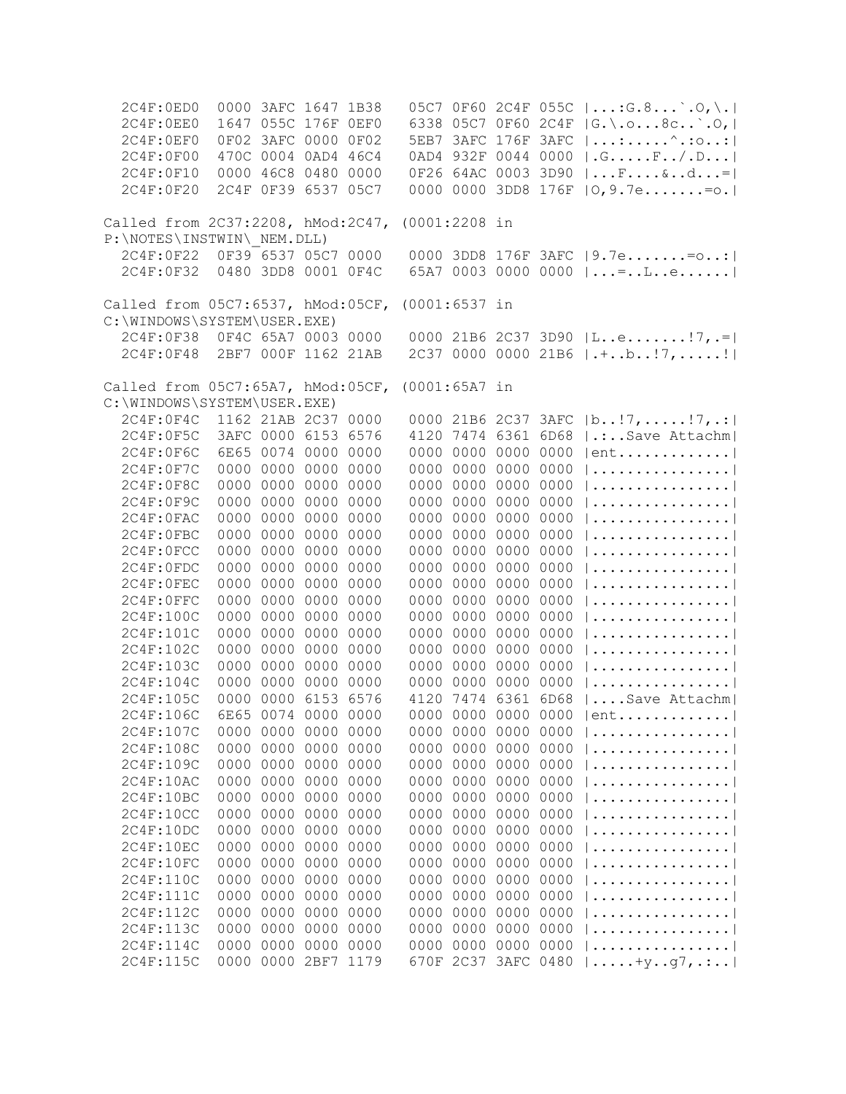| 2C4F:0ED0                         |                     | 0000 3AFC 1647 1B38 |           |           |                 |                     |           |      | 05C7 0F60 2C4F 055C   : G.8 `. O, \.                    |
|-----------------------------------|---------------------|---------------------|-----------|-----------|-----------------|---------------------|-----------|------|---------------------------------------------------------|
| 2C4F:0EE0                         |                     | 1647 055C 176F OEFO |           |           |                 |                     |           |      | 6338 05C7 0F60 2C4F  G.\.o8c`.O,                        |
| 2C4F:0EF0                         |                     | 0F02 3AFC 0000 0F02 |           |           |                 | 5EB7 3AFC 176F 3AFC |           |      | $  \dots : \dots \dots \dots \dots :$                   |
| 2C4F:0F00                         |                     | 470C 0004 0AD4 46C4 |           |           |                 | 0AD4 932F 0044 0000 |           |      | $  . \mathsf{G} . \ldots . \mathsf{F} / . \mathsf{D}  $ |
| 2C4F:0F10                         |                     | 0000 46C8 0480 0000 |           |           |                 | 0F26 64AC 0003 3D90 |           |      | $\vert \ldots F \ldots \& \ldots d \ldots = \vert$      |
| 2C4F:0F20                         |                     | 2C4F 0F39 6537 05C7 |           |           |                 | 0000 0000 3DD8 176F |           |      | $ 0, 9.7e=0.$                                           |
| Called from 2C37:2208, hMod:2C47, |                     |                     |           |           | $(0001:2208$ in |                     |           |      |                                                         |
| P:\NOTES\INSTWIN\ NEM.DLL)        |                     |                     |           |           |                 |                     |           |      |                                                         |
| 2C4F:0F22                         | 0F39 6537 05C7 0000 |                     |           |           |                 |                     |           |      | 0000 3DD8 176F 3AFC   9.7e= o:                          |
| 2C4F:0F32                         |                     | 0480 3DD8 0001 0F4C |           |           |                 |                     |           |      | 65A7 0003 0000 0000 $  = $ . L. e                       |
| Called from 05C7:6537, hMod:05CF, |                     |                     |           |           | (0001:6537 in   |                     |           |      |                                                         |
| C:\WINDOWS\SYSTEM\USER.EXE)       |                     |                     |           |           |                 |                     |           |      |                                                         |
| 2C4F:0F38                         | 0F4C 65A7 0003 0000 |                     |           |           |                 |                     |           |      | 0000 21B6 2C37 3D90 $ L.ee 7,.= $                       |
| 2C4F:0F48                         |                     | 2BF7 000F 1162 21AB |           |           |                 |                     |           |      | 2C37 0000 0000 21B6 $ \cdot $ b!7,!                     |
| Called from 05C7:65A7, hMod:05CF, |                     |                     |           |           | $(0001:65A7$ in |                     |           |      |                                                         |
| C:\WINDOWS\SYSTEM\USER.EXE)       |                     |                     |           |           |                 |                     |           |      |                                                         |
| 2C4F:0F4C                         |                     | 1162 21AB 2C37 0000 |           |           |                 | 0000 21B6 2C37 3AFC |           |      | $ b!7, \ldots .!7, .: $                                 |
| 2C4F:0F5C                         |                     | 3AFC 0000 6153 6576 |           |           |                 | 4120 7474 6361 6D68 |           |      | $  \ldots$ Save Attachm                                 |
| 2C4F:0F6C                         |                     | 6E65 0074 0000 0000 |           |           |                 | 0000 0000 0000 0000 |           |      | $ ent$                                                  |
| 2C4F:0F7C                         |                     | 0000 0000 0000 0000 |           |           |                 | 0000 0000 0000 0000 |           |      |                                                         |
| 2C4F:0F8C                         |                     | 0000 0000 0000 0000 |           |           |                 | 0000 0000 0000 0000 |           |      |                                                         |
| 2C4F:0F9C                         |                     | 0000 0000 0000 0000 |           |           |                 | 0000 0000 0000 0000 |           |      |                                                         |
| 2C4F:0FAC                         |                     | 0000 0000 0000 0000 |           |           |                 | 0000 0000 0000 0000 |           |      |                                                         |
| 2C4F:0FBC                         |                     | 0000 0000 0000 0000 |           |           |                 | 0000 0000 0000 0000 |           |      |                                                         |
| 2C4F:0FCC                         |                     | 0000 0000 0000 0000 |           |           |                 | 0000 0000 0000 0000 |           |      |                                                         |
| 2C4F:0FDC                         |                     | 0000 0000 0000 0000 |           |           |                 | 0000 0000 0000 0000 |           |      |                                                         |
| 2C4F: OFEC                        |                     | 0000 0000           |           | 0000 0000 |                 | 0000 0000 0000 0000 |           |      |                                                         |
| 2C4F:0FFC                         |                     | 0000 0000           |           | 0000 0000 |                 | 0000 0000 0000 0000 |           |      |                                                         |
| 2C4F:100C                         |                     | 0000 0000           |           | 0000 0000 |                 | 0000 0000 0000 0000 |           |      |                                                         |
| 2C4F:101C                         |                     | 0000 0000           |           | 0000 0000 |                 | 0000 0000 0000 0000 |           |      |                                                         |
| 2C4F:102C                         |                     | 0000 0000           |           | 0000 0000 |                 | 0000 0000 0000 0000 |           |      |                                                         |
| 2C4F:103C                         |                     | 0000 0000           |           | 0000 0000 |                 | 0000 0000 0000 0000 |           |      |                                                         |
| 2C4F:104C                         |                     | 0000 0000           |           | 0000 0000 |                 | 0000 0000 0000      |           | 0000 |                                                         |
| 2C4F:105C                         | 0000                | 0000                |           | 6153 6576 | 4120            | 7474 6361 6D68      |           |      | Save Attachm                                            |
| 2C4F:106C                         |                     | 6E65 0074 0000 0000 |           |           |                 | 0000 0000 0000      |           | 0000 | $ent \ldots \ldots$                                     |
| 2C4F:107C                         | 0000                | 0000                | 0000 0000 |           |                 | 0000 0000           | 0000 0000 |      | . 1                                                     |
| 2C4F:108C                         | 0000                | 0000                | 0000      | 0000      | 0000            | 0000                | 0000      | 0000 | .                                                       |
| 2C4F:109C                         | 0000                | 0000                | 0000      | 0000      |                 | 0000 0000           | 0000 0000 |      | . 1                                                     |
| 2C4F:10AC                         | 0000                | 0000                | 0000      | 0000      |                 | 0000 0000           | 0000 0000 |      | .                                                       |
| 2C4F:10BC                         | 0000                | 0000                | 0000      | 0000      |                 | 0000 0000           | 0000 0000 |      | .                                                       |
| 2C4F:10CC                         | 0000                | 0000                | 0000      | 0000      |                 | 0000 0000           | 0000 0000 |      | . 1                                                     |
| 2C4F:10DC                         | 0000                | 0000                | 0000      | 0000      |                 | 0000 0000 0000 0000 |           |      | . 1                                                     |
| 2C4F:10EC                         | 0000                | 0000                | 0000      | 0000      |                 | 0000 0000 0000 0000 |           |      | . 1                                                     |
| 2C4F:10FC                         | 0000                | 0000                | 0000      | 0000      |                 | 0000 0000 0000 0000 |           |      | . 1                                                     |
| 2C4F:110C                         | 0000                | 0000                | 0000      | 0000      |                 | 0000 0000 0000 0000 |           |      | . 1                                                     |
| 2C4F:111C                         |                     | 0000 0000           | 0000      | 0000      |                 | 0000 0000 0000 0000 |           |      | . 1                                                     |
| 2C4F:112C                         |                     | 0000 0000           | 0000      | 0000      |                 | 0000 0000 0000 0000 |           |      | . 1                                                     |
| 2C4F:113C                         |                     | 0000 0000           | 0000      | 0000      |                 | 0000 0000 0000 0000 |           |      | .                                                       |
| 2C4F:114C                         |                     | 0000 0000 0000 0000 |           |           |                 | 0000 0000 0000 0000 |           |      | .                                                       |
| 2C4F:115C                         |                     | 0000 0000 2BF7 1179 |           |           |                 | 670F 2C37 3AFC 0480 |           |      | $\ldots$ +y. $\ldots$ 7, $\ldots$                       |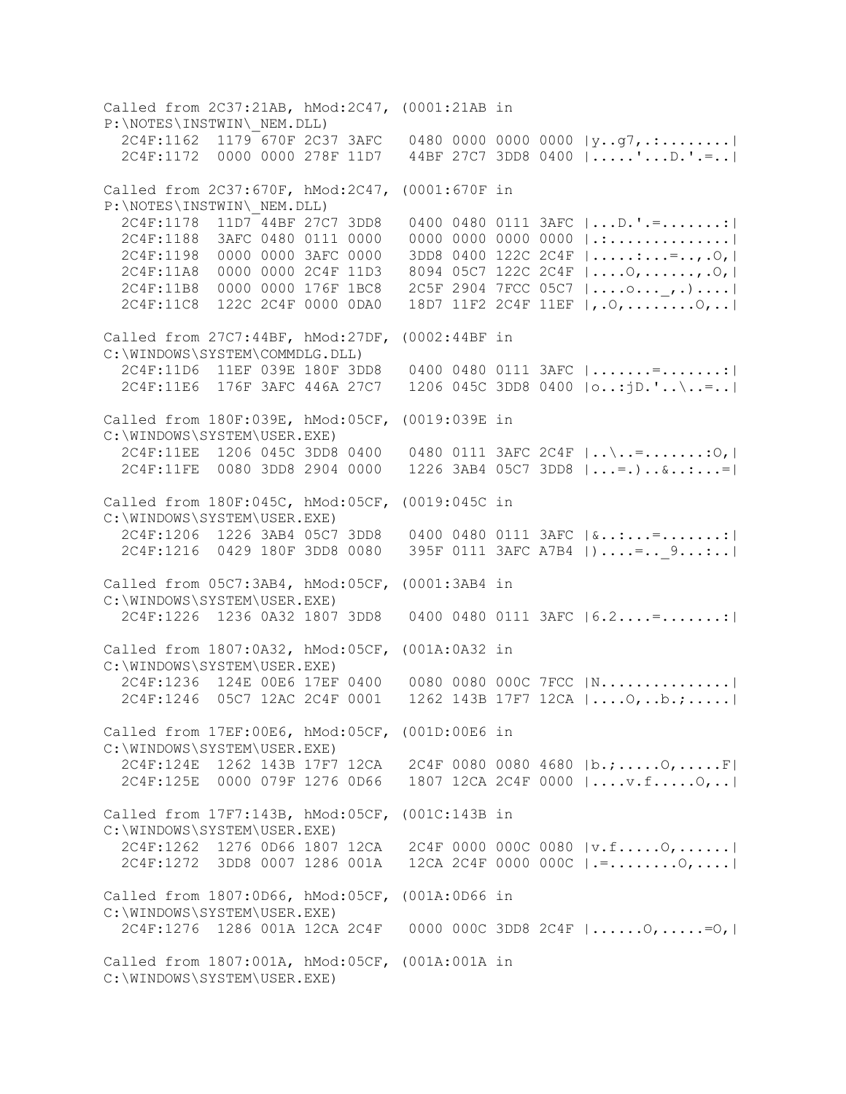Called from 2C37:21AB, hMod:2C47, (0001:21AB in P:\NOTES\INSTWIN\\_NEM.DLL) 2C4F:1162 1179 670F 2C37 3AFC 0480 0000 0000 0000 |y..g7,.:........| 2C4F:1172 0000 0000 278F 11D7 44BF 27C7 3DD8 0400 |.....'...D.'.=..| Called from 2C37:670F, hMod:2C47, (0001:670F in P:\NOTES\INSTWIN\\_NEM.DLL) 2C4F:1178 11D7 44BF 27C7 3DD8 0400 0480 0111 3AFC |...D.'.=.......:| 2C4F:1188 3AFC 0480 0111 0000 0000 0000 0000 0000 |.:..............| 2C4F:1198 0000 0000 3AFC 0000 3DD8 0400 122C 2C4F |.....:...=..,.O,| 2C4F:11A8 0000 0000 2C4F 11D3 8094 05C7 122C 2C4F |....O,......,.O,| 2C4F:11B8 0000 0000 176F 1BC8 2C5F 2904 7FCC 05C7 |....o...\_,.)....| 2C4F:11C8 122C 2C4F 0000 0DA0 18D7 11F2 2C4F 11EF |,.O,........O,..| Called from 27C7:44BF, hMod:27DF, (0002:44BF in C:\WINDOWS\SYSTEM\COMMDLG.DLL) 2C4F:11D6 11EF 039E 180F 3DD8 0400 0480 0111 3AFC |.......=.......:| 2C4F:11E6 176F 3AFC 446A 27C7 1206 045C 3DD8 0400 |o..:jD.'..\..=..| Called from 180F:039E, hMod:05CF, (0019:039E in C:\WINDOWS\SYSTEM\USER.EXE) 2C4F:11EE 1206 045C 3DD8 0400 0480 0111 3AFC 2C4F |..\..=.......:O,| 2C4F:11FE 0080 3DD8 2904 0000 1226 3AB4 05C7 3DD8 |...=.)..&..:...=| Called from 180F:045C, hMod:05CF, (0019:045C in C:\WINDOWS\SYSTEM\USER.EXE) 2C4F:1206 1226 3AB4 05C7 3DD8 0400 0480 0111 3AFC |&..:...=.......:| 2C4F:1216 0429 180F 3DD8 0080 395F 0111 3AFC A7B4 | )....=.. 9...:..| Called from 05C7:3AB4, hMod:05CF, (0001:3AB4 in C:\WINDOWS\SYSTEM\USER.EXE) 2C4F:1226 1236 0A32 1807 3DD8 0400 0480 0111 3AFC |6.2....=.......:| Called from 1807:0A32, hMod:05CF, (001A:0A32 in C:\WINDOWS\SYSTEM\USER.EXE) 2C4F:1236 124E 00E6 17EF 0400 0080 0080 000C 7FCC |N...............| 2C4F:1246 05C7 12AC 2C4F 0001 1262 143B 17F7 12CA |....O,..b.;.....| Called from 17EF:00E6, hMod:05CF, (001D:00E6 in C:\WINDOWS\SYSTEM\USER.EXE) 2C4F:124E 1262 143B 17F7 12CA 2C4F 0080 0080 4680 |b.;.....O,.....F| 2C4F:125E 0000 079F 1276 0D66 1807 12CA 2C4F 0000 |....v.f.....O,..| Called from 17F7:143B, hMod:05CF, (001C:143B in C:\WINDOWS\SYSTEM\USER.EXE) 2C4F:1262 1276 0D66 1807 12CA 2C4F 0000 000C 0080 |v.f.....O,......| 2C4F:1272 3DD8 0007 1286 001A 12CA 2C4F 0000 000C |.=........O,....| Called from 1807:0D66, hMod:05CF, (001A:0D66 in C:\WINDOWS\SYSTEM\USER.EXE) 2C4F:1276 1286 001A 12CA 2C4F 0000 000C 3DD8 2C4F |......O,.....=O,| Called from 1807:001A, hMod:05CF, (001A:001A in C:\WINDOWS\SYSTEM\USER.EXE)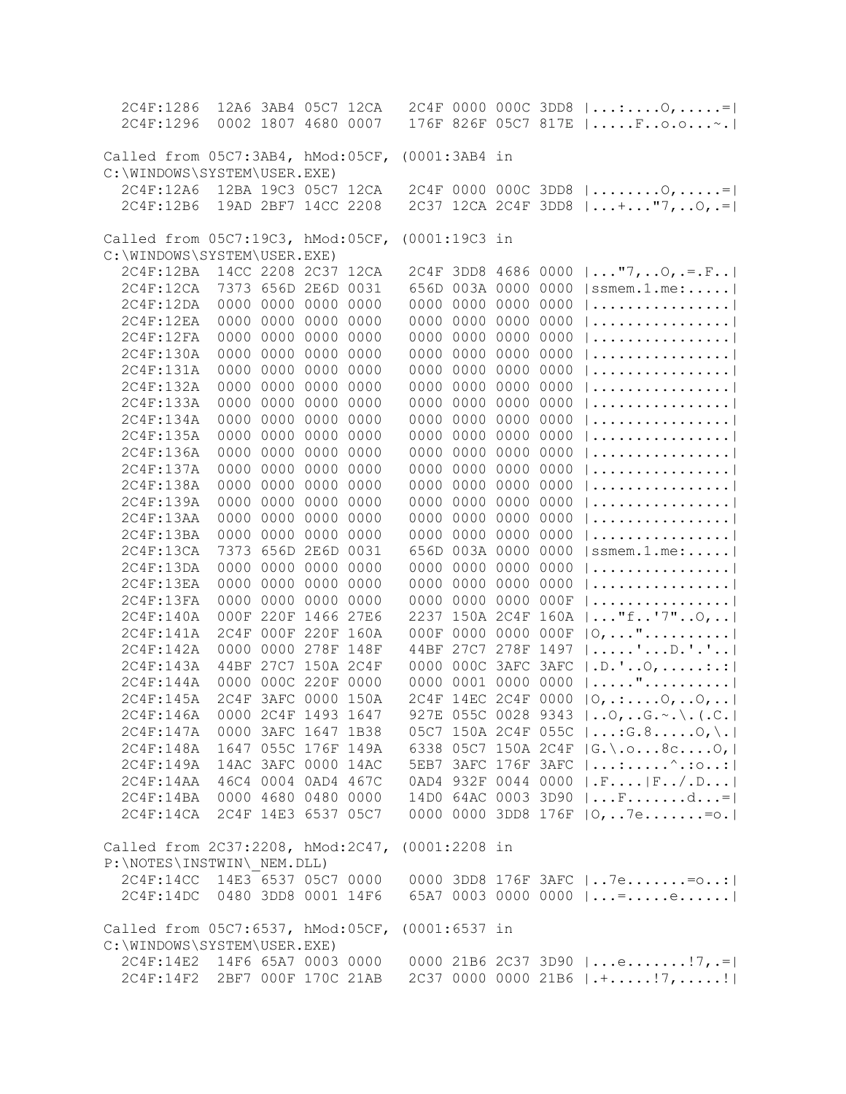| 2C4F:1286                                                                      |                     | 12A6 3AB4 05C7 12CA |      |               |                     |                     |                     | $2C4F$ 0000 000C 3DD8 $ :0,: =$           |
|--------------------------------------------------------------------------------|---------------------|---------------------|------|---------------|---------------------|---------------------|---------------------|-------------------------------------------|
| 2C4F:1296                                                                      |                     | 0002 1807 4680 0007 |      |               |                     |                     |                     | 176F 826F 05C7 817E   Fo.o~.              |
|                                                                                |                     |                     |      |               |                     |                     |                     |                                           |
| Called from 05C7:3AB4, hMod:05CF, (0001:3AB4 in                                |                     |                     |      |               |                     |                     |                     |                                           |
| C:\WINDOWS\SYSTEM\USER.EXE)                                                    |                     |                     |      |               |                     |                     |                     |                                           |
| 2C4F:12A6                                                                      |                     | 12BA 19C3 05C7 12CA |      |               |                     |                     |                     | $2C4F$ 0000 000C 3DD8 $ 0, $              |
| 2C4F:12B6                                                                      |                     | 19AD 2BF7 14CC 2208 |      |               |                     |                     |                     | 2C37 12CA 2C4F 3DD8    +  "7,  0, .=      |
|                                                                                |                     |                     |      |               |                     |                     |                     |                                           |
| Called from 05C7:19C3, hMod:05CF, (0001:19C3 in                                |                     |                     |      |               |                     |                     |                     |                                           |
| C:\WINDOWS\SYSTEM\USER.EXE)                                                    |                     |                     |      |               |                     |                     |                     |                                           |
| 2C4F:12BA                                                                      |                     | 14CC 2208 2C37 12CA |      |               |                     |                     |                     | 2C4F 3DD8 4686 0000  "7,0, =.F            |
| 2C4F:12CA                                                                      |                     | 7373 656D 2E6D 0031 |      |               | 656D 003A 0000 0000 |                     |                     | $ $ ssmem.1.me:                           |
| 2C4F:12DA                                                                      |                     | 0000 0000 0000 0000 |      |               | 0000 0000 0000 0000 |                     |                     | $  \ldots \ldots \ldots \ldots \ldots  $  |
| 2C4F:12EA                                                                      |                     | 0000 0000 0000 0000 |      |               | 0000 0000 0000 0000 |                     |                     |                                           |
| 2C4F:12FA                                                                      |                     | 0000 0000 0000 0000 |      |               | 0000 0000 0000 0000 |                     |                     |                                           |
| 2C4F:130A                                                                      |                     | 0000 0000 0000 0000 |      |               | 0000 0000 0000 0000 |                     |                     |                                           |
| 2C4F:131A                                                                      |                     | 0000 0000 0000 0000 |      |               | 0000 0000 0000 0000 |                     |                     |                                           |
| 2C4F:132A                                                                      | 0000                | 0000 0000 0000      |      |               | 0000 0000 0000 0000 |                     |                     |                                           |
| 2C4F:133A                                                                      | 0000                | 0000 0000           | 0000 |               | 0000 0000 0000 0000 |                     |                     |                                           |
| 2C4F:134A                                                                      | 0000                | 0000 0000           | 0000 |               | 0000 0000 0000      |                     | 0000                |                                           |
| 2C4F:135A                                                                      | 0000                | 0000 0000           | 0000 |               | 0000 0000 0000      |                     | 0000                |                                           |
| 2C4F:136A                                                                      | 0000                | 0000 0000           | 0000 |               | 0000 0000 0000      |                     | 0000                |                                           |
| 2C4F:137A                                                                      | 0000                | 0000 0000           | 0000 |               | 0000 0000 0000 0000 |                     |                     |                                           |
| 2C4F:138A                                                                      | 0000                | 0000 0000           | 0000 |               | 0000 0000 0000 0000 |                     |                     |                                           |
| 2C4F:139A                                                                      | 0000                | 0000 0000 0000      |      |               | 0000 0000 0000 0000 |                     |                     |                                           |
| 2C4F:13AA                                                                      | 0000                | 0000 0000 0000      |      |               | 0000 0000 0000 0000 |                     |                     |                                           |
|                                                                                |                     |                     |      |               |                     |                     |                     |                                           |
|                                                                                |                     |                     |      |               |                     |                     |                     |                                           |
| 2C4F:13BA                                                                      |                     | 0000 0000 0000 0000 |      |               |                     | 0000 0000 0000 0000 |                     |                                           |
| 2C4F:13CA                                                                      |                     | 7373 656D 2E6D 0031 |      |               | 656D 003A 0000 0000 |                     |                     | $ $ ssmem.1.me:                           |
| 2C4F:13DA                                                                      |                     | 0000 0000 0000 0000 |      |               | 0000 0000 0000 0000 |                     |                     |                                           |
| 2C4F:13EA                                                                      |                     | 0000 0000 0000 0000 |      |               | 0000 0000 0000 0000 |                     |                     |                                           |
| 2C4F:13FA                                                                      | 0000                | 0000 0000 0000      |      |               | 0000 0000 0000 000F |                     |                     |                                           |
| 2C4F:140A                                                                      |                     | 000F 220F 1466 27E6 |      |               |                     |                     | 2237 150A 2C4F 160A | $ "$ f'7"0,                               |
| 2C4F:141A                                                                      |                     | 2C4F 000F 220F 160A |      |               | 000F 0000 0000 000F |                     |                     | $ 0, \ldots$ "                            |
| 2C4F:142A                                                                      | 0000                | 0000 278F 148F      |      |               | 44BF 27C7 278F 1497 |                     |                     | $  \ldots   \ldots   \ldots  $            |
| 2C4F:143A                                                                      |                     | 44BF 27C7 150A 2C4F |      |               | 0000 000C 3AFC 3AFC |                     |                     | $ .D.$ ' $\circ$ , :.:                    |
| 2C4F:144A                                                                      |                     | 0000 000C 220F 0000 |      |               | 0000 0001 0000 0000 |                     |                     | ".                                        |
| 2C4F:145A                                                                      |                     | 2C4F 3AFC 0000 150A |      |               | 2C4F 14EC 2C4F 0000 |                     |                     | $ 0, \ldots, 0, \ldots, 0, \ldots $       |
| 2C4F:146A                                                                      |                     | 0000 2C4F 1493 1647 |      |               |                     |                     |                     | 927E 055C 0028 9343    0,  G. ~. \. (. C. |
| 2C4F:147A                                                                      |                     | 0000 3AFC 1647 1B38 |      |               |                     |                     |                     | 05C7 150A 2C4F 055C $ $ : G.8 O, \.       |
| 2C4F:148A                                                                      |                     | 1647 055C 176F 149A |      |               |                     |                     |                     | 6338 05C7 150A 2C4F  G.\.o8cO,            |
| 2C4F:149A                                                                      |                     | 14AC 3AFC 0000 14AC |      |               |                     |                     |                     | 5EB7 3AFC 176F 3AFC   :^.:0:              |
| 2C4F:14AA                                                                      | 46C4 0004 0AD4 467C |                     |      |               |                     |                     |                     | 0AD4 932F 0044 0000  .F   F/.D            |
| 2C4F:14BA 0000 4680 0480 0000                                                  |                     |                     |      |               |                     |                     |                     | 14D0 64AC 0003 3D90  Fd=                  |
| 2C4F:14CA 2C4F 14E3 6537 05C7                                                  |                     |                     |      |               |                     |                     |                     | 0000 0000 3DD8 176F $ 0,7e. = 0.$         |
|                                                                                |                     |                     |      |               |                     |                     |                     |                                           |
| Called from 2C37:2208, hMod:2C47,                                              |                     |                     |      | (0001:2208 in |                     |                     |                     |                                           |
| P:\NOTES\INSTWIN\ NEM.DLL)<br>2C4F:14CC 14E3 6537 05C7 0000                    |                     |                     |      |               |                     |                     |                     |                                           |
|                                                                                |                     |                     |      |               |                     |                     |                     | 0000 3DD8 176F 3AFC   7e= o:              |
| 2C4F:14DC 0480 3DD8 0001 14F6                                                  |                     |                     |      |               |                     |                     |                     | 65A7 0003 0000 0000 $ $ =e                |
|                                                                                |                     |                     |      |               |                     |                     |                     |                                           |
| Called from 05C7:6537, hMod:05CF, (0001:6537 in<br>C:\WINDOWS\SYSTEM\USER.EXE) |                     |                     |      |               |                     |                     |                     |                                           |
| 2C4F:14E2 14F6 65A7 0003 0000                                                  |                     |                     |      |               |                     |                     |                     | 0000 21B6 2C37 3D90 $ e 7$ , =            |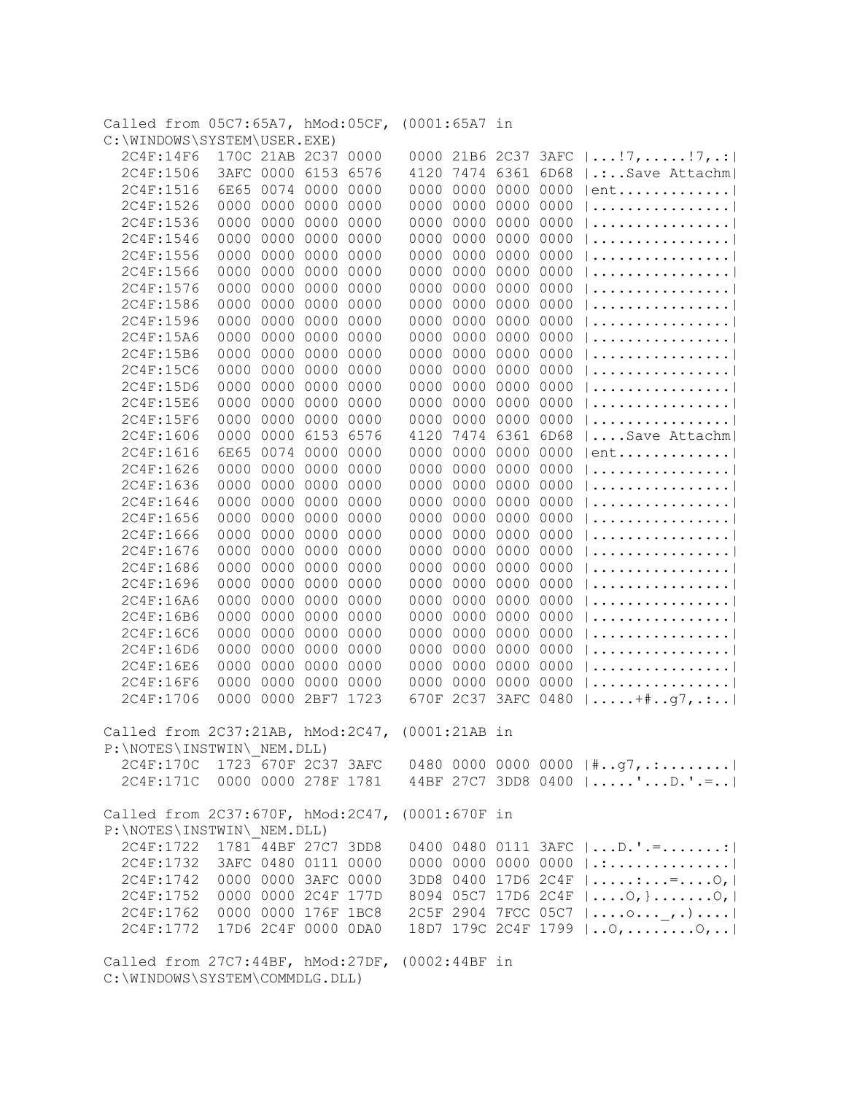| Called from 05C7:65A7, hMod:05CF, (0001:65A7 in |                        |                     |                |                                           |
|-------------------------------------------------|------------------------|---------------------|----------------|-------------------------------------------|
| C:\WINDOWS\SYSTEM\USER.EXE)                     |                        |                     |                |                                           |
| 2C4F:14F6                                       | 170C 21AB 2C37 0000    |                     |                | 0000 21B6 2C37 3AFC $ !7,!7 $             |
| 2C4F:1506                                       | 3AFC 0000 6153<br>6576 | 7474 6361<br>4120   |                | $6D68$   .: Save Attachm                  |
| 2C4F:1516                                       | 6E65 0074 0000<br>0000 | 0000<br>0000 0000   | 0000           | $ ent$                                    |
| 2C4F:1526                                       | 0000 0000 0000<br>0000 | 0000 0000 0000 0000 |                |                                           |
| 2C4F:1536                                       | 0000 0000 0000<br>0000 | 0000 0000 0000      | 0000           |                                           |
| 2C4F:1546                                       | 0000 0000 0000<br>0000 | 0000 0000 0000 0000 |                |                                           |
| 2C4F:1556                                       | 0000 0000 0000<br>0000 | 0000 0000 0000 0000 |                |                                           |
| 2C4F:1566                                       | 0000 0000 0000<br>0000 | 0000 0000 0000 0000 |                |                                           |
| 2C4F:1576<br>0000 0000                          | 0000<br>0000           | 0000 0000 0000 0000 |                |                                           |
| 2C4F:1586<br>0000 0000                          | 0000<br>0000           | 0000 0000 0000 0000 |                |                                           |
| 0000 0000<br>2C4F:1596                          | 0000<br>0000           | 0000 0000 0000 0000 |                |                                           |
| 2C4F:15A6<br>0000                               | 0000<br>0000<br>0000   | 0000 0000 0000 0000 |                |                                           |
| 0000<br>2C4F:15B6                               | 0000<br>0000<br>0000   | 0000 0000 0000      | 0000           |                                           |
| 2C4F:15C6<br>0000                               | 0000<br>0000<br>0000   | 0000 0000 0000      | 0000           |                                           |
| 0000<br>2C4F:15D6                               | 0000<br>0000<br>0000   | 0000 0000 0000      | 0000           |                                           |
| 0000<br>2C4F:15E6                               | 0000<br>0000<br>0000   | 0000                | 0000 0000 0000 |                                           |
| 0000<br>2C4F:15F6                               | 0000<br>0000<br>0000   | 0000<br>0000 0000   | 0000           |                                           |
| 0000<br>2C4F:1606                               | 0000<br>6153 6576      | 4120                | 7474 6361 6D68 | Save Attachm                              |
| 6E65<br>2C4F:1616                               | 0074<br>0000<br>0000   | 0000<br>0000        | 0000<br>0000   | $ ent$                                    |
| 2C4F:1626<br>0000                               | 0000<br>0000<br>0000   | 0000<br>0000        | 0000<br>0000   |                                           |
| 2C4F:1636<br>0000                               | 0000<br>0000<br>0000   | 0000<br>0000        | 0000<br>0000   |                                           |
| 0000<br>2C4F:1646                               | 0000<br>0000<br>0000   | 0000<br>0000        | 0000<br>0000   |                                           |
| 0000<br>2C4F:1656                               | 0000<br>0000<br>0000   | 0000<br>0000        | 0000<br>0000   |                                           |
| 2C4F:1666<br>0000                               | 0000<br>0000<br>0000   | 0000<br>0000        | 0000<br>0000   |                                           |
| 0000                                            | 0000<br>0000<br>0000   | 0000<br>0000        | 0000<br>0000   |                                           |
| 2C4F:1676                                       |                        |                     |                |                                           |
| 2C4F:1686<br>0000                               | 0000<br>0000<br>0000   | 0000<br>0000 0000   | 0000           |                                           |
| 2C4F:1696<br>0000                               | 0000<br>0000<br>0000   | 0000<br>0000 0000   | 0000           |                                           |
| 2C4F:16A6<br>0000                               | 0000<br>0000<br>0000   | 0000 0000 0000      | 0000           |                                           |
| 2C4F:16B6<br>0000                               | 0000<br>0000<br>0000   | 0000 0000 0000      | 0000           |                                           |
| 0000<br>2C4F:16C6                               | 0000<br>0000<br>0000   | 0000 0000 0000 0000 |                |                                           |
| 2C4F:16D6<br>0000                               | 0000<br>0000<br>0000   | 0000 0000 0000 0000 |                |                                           |
| 2C4F:16E6<br>0000                               | 0000<br>0000<br>0000   | 0000                | 0000 0000 0000 |                                           |
| 0000<br>2C4F:16F6                               | 0000<br>0000<br>0000   | 0000 0000 0000 0000 |                |                                           |
| 2C4F:1706                                       | 0000 0000 2BF7 1723    | 670F 2C37 3AFC 0480 |                | $ \ldots \ldots + \# \ldots q7, \ldots  $ |
|                                                 |                        |                     |                |                                           |
| Called from 2C37:21AB, hMod:2C47, (0001:21AB in |                        |                     |                |                                           |
| P:\NOTES\INSTWIN\ NEM.DLL)                      |                        |                     |                |                                           |
| 2C4F:170C 1723 670F 2C37 3AFC                   |                        |                     |                | 0480 0000 0000 0000 $ *, .97, .:  $       |
| 2C4F:171C 0000 0000 278F 1781                   |                        |                     |                | 44BF 27C7 3DD8 0400  'D.'.=               |
| Called from 2C37:670F, hMod:2C47, (0001:670F in |                        |                     |                |                                           |
| P:\NOTES\INSTWIN\ NEM.DLL)                      |                        |                     |                |                                           |
| 2C4F:1722 1781 44BF 27C7 3DD8                   |                        |                     |                | 0400 0480 0111 3AFC    D. ' .= :          |
| 2C4F:1732 3AFC 0480 0111 0000                   |                        |                     |                |                                           |
|                                                 |                        |                     |                | 0000 0000 0000 0000 $ $ .:                |
| 2C4F:1742 0000 0000 3AFC 0000                   |                        |                     |                | 3DD8 0400 17D6 2C4F   :=0,                |
| 2C4F:1752 0000 0000 2C4F 177D                   |                        |                     |                | 8094 05C7 17D6 2C4F    O, }  O,           |
| 2C4F:1762 0000 0000 176F 1BC8                   |                        |                     |                | 2C5F 2904 7FCC 05C7    o , . )            |
| 2C4F:1772 17D6 2C4F 0000 0DA0                   |                        |                     |                | 18D7 179C 2C4F 1799    0,  0,             |
| Called from 27C7:44BF, hMod:27DF, (0002:44BF in |                        |                     |                |                                           |
| C:\WINDOWS\SYSTEM\COMMDLG.DLL)                  |                        |                     |                |                                           |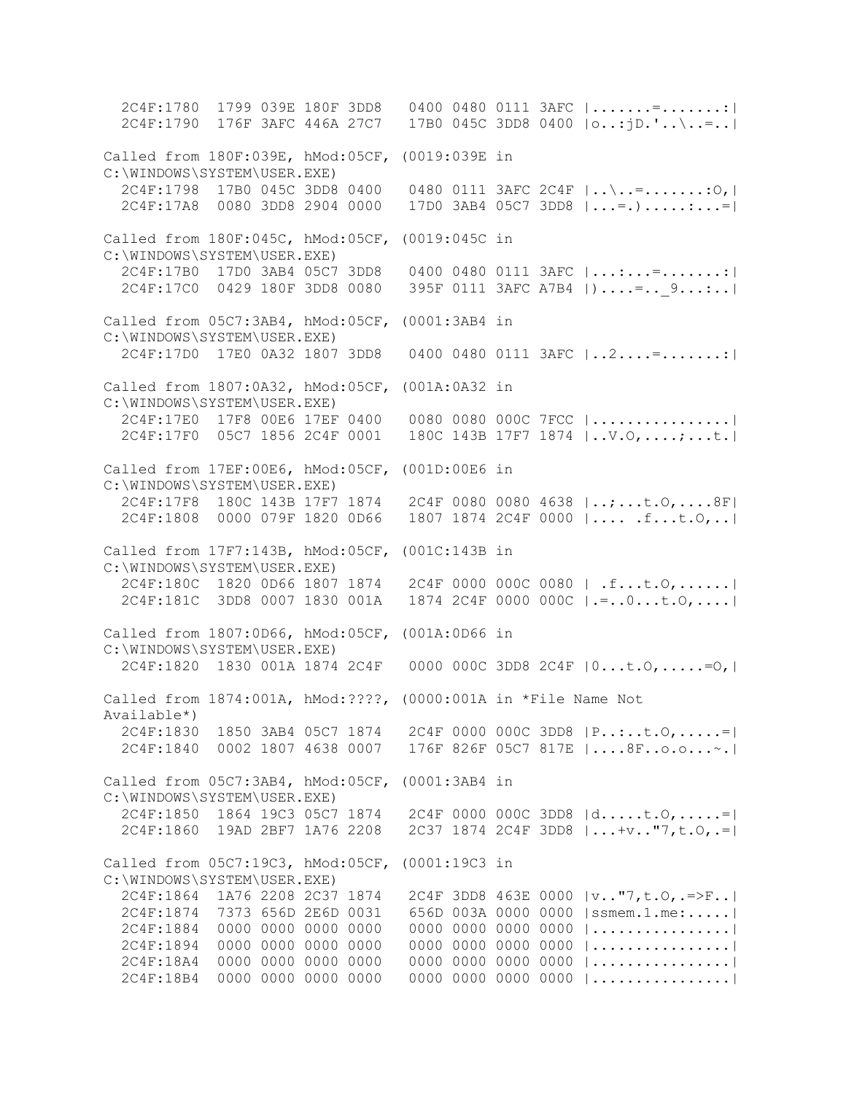2C4F:1780 1799 039E 180F 3DD8 0400 0480 0111 3AFC |.......=.......:| 2C4F:1790 176F 3AFC 446A 27C7 17B0 045C 3DD8 0400 |o..:jD.'..\..=..| Called from 180F:039E, hMod:05CF, (0019:039E in C:\WINDOWS\SYSTEM\USER.EXE) 2C4F:1798 17B0 045C 3DD8 0400 0480 0111 3AFC 2C4F |..\..=.......:O,| 2C4F:17A8 0080 3DD8 2904 0000 17D0 3AB4 05C7 3DD8 |...=.).....:...=| Called from 180F:045C, hMod:05CF, (0019:045C in C:\WINDOWS\SYSTEM\USER.EXE) 2C4F:17B0 17D0 3AB4 05C7 3DD8 0400 0480 0111 3AFC |...:...=.......:| 2C4F:17C0 0429 180F 3DD8 0080 395F 0111 3AFC A7B4 |)....=.. 9...:..| Called from 05C7:3AB4, hMod:05CF, (0001:3AB4 in C:\WINDOWS\SYSTEM\USER.EXE) 2C4F:17D0 17E0 0A32 1807 3DD8 0400 0480 0111 3AFC |..2....=.......:| Called from 1807:0A32, hMod:05CF, (001A:0A32 in C:\WINDOWS\SYSTEM\USER.EXE) 2C4F:17E0 17F8 00E6 17EF 0400 0080 0080 000C 7FCC |................| 2C4F:17F0 05C7 1856 2C4F 0001 180C 143B 17F7 1874 |..V.O,....;...t.| Called from 17EF:00E6, hMod:05CF, (001D:00E6 in C:\WINDOWS\SYSTEM\USER.EXE) 2C4F:17F8 180C 143B 17F7 1874 2C4F 0080 0080 4638 |..;...t.O,....8F| 2C4F:1808 0000 079F 1820 0D66 1807 1874 2C4F 0000 |.... .f...t.O,..| Called from 17F7:143B, hMod:05CF, (001C:143B in C:\WINDOWS\SYSTEM\USER.EXE) 2C4F:180C 1820 0D66 1807 1874 2C4F 0000 000C 0080 | .f...t.O,......| 2C4F:181C 3DD8 0007 1830 001A 1874 2C4F 0000 000C |.=..0...t.O,....| Called from 1807:0D66, hMod:05CF, (001A:0D66 in C:\WINDOWS\SYSTEM\USER.EXE) 2C4F:1820 1830 001A 1874 2C4F 0000 000C 3DD8 2C4F |0...t.O,.....=O,| Called from 1874:001A, hMod:????, (0000:001A in \*File Name Not Available\*) 2C4F:1830 1850 3AB4 05C7 1874 2C4F 0000 000C 3DD8 |P..:..t.O,.....=| 2C4F:1840 0002 1807 4638 0007 176F 826F 05C7 817E |....8F..o.o...~.| Called from 05C7:3AB4, hMod:05CF, (0001:3AB4 in C:\WINDOWS\SYSTEM\USER.EXE) 2C4F:1850 1864 19C3 05C7 1874 2C4F 0000 000C 3DD8 |d.....t.O,.....=| 2C4F:1860 19AD 2BF7 1A76 2208 2C37 1874 2C4F 3DD8 |...+v.."7,t.O,.=| Called from 05C7:19C3, hMod:05CF, (0001:19C3 in C:\WINDOWS\SYSTEM\USER.EXE) 2C4F:1864 1A76 2208 2C37 1874 2C4F 3DD8 463E 0000 |v.."7,t.O,.=>F..| 2C4F:1874 7373 656D 2E6D 0031 656D 003A 0000 0000 |ssmem.1.me:.....| 2C4F:1884 0000 0000 0000 0000 0000 0000 0000 0000 |................| 2C4F:1894 0000 0000 0000 0000 0000 0000 0000 0000 |................| 2C4F:18A4 0000 0000 0000 0000 0000 0000 0000 0000 |................| 2C4F:18B4 0000 0000 0000 0000 0000 0000 0000 0000 |................|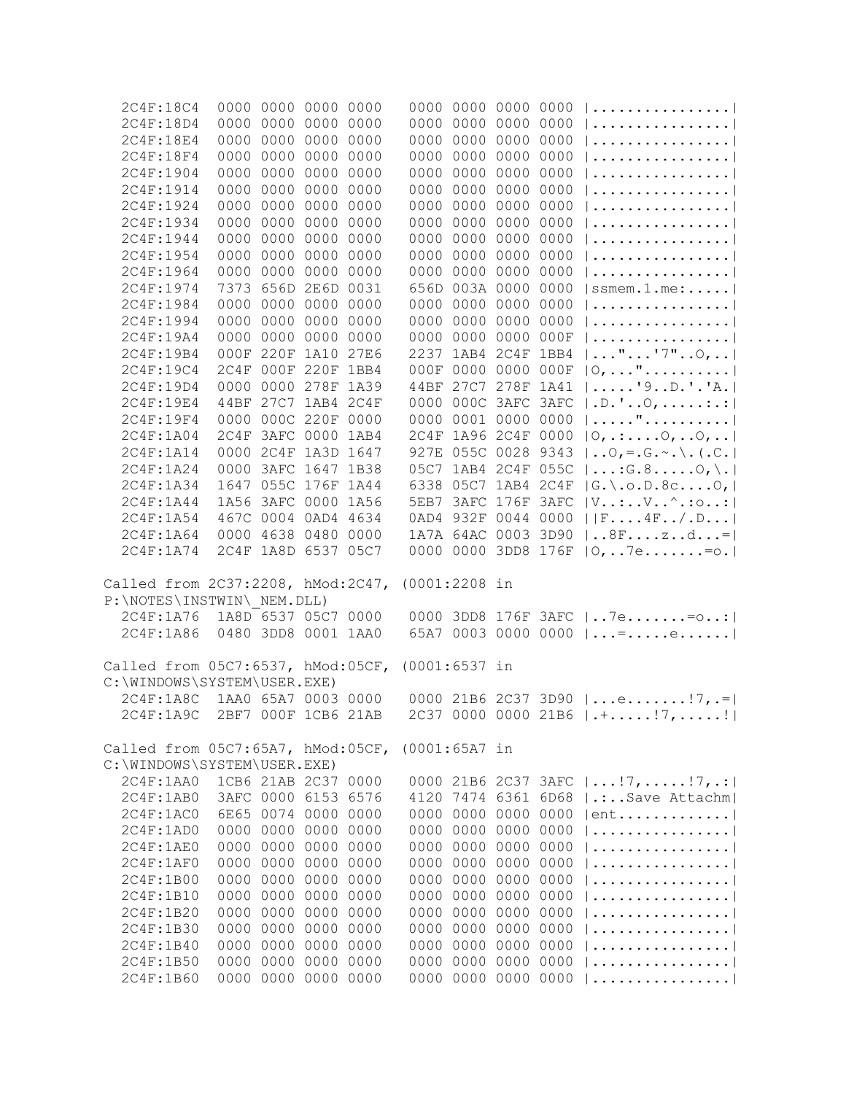| 2C4F:18C4                                                        | 0000 0000 0000 0000                        |  |                 | 0000 0000 0000 0000                        |                                                                                    |
|------------------------------------------------------------------|--------------------------------------------|--|-----------------|--------------------------------------------|------------------------------------------------------------------------------------|
| 2C4F:18D4                                                        | 0000 0000 0000 0000                        |  |                 | 0000 0000 0000 0000                        |                                                                                    |
| 2C4F:18E4                                                        | 0000 0000 0000 0000                        |  |                 | 0000 0000 0000 0000                        |                                                                                    |
| 2C4F:18F4                                                        | 0000 0000 0000 0000                        |  |                 | 0000 0000 0000 0000                        |                                                                                    |
| 2C4F:1904                                                        | 0000 0000 0000 0000                        |  |                 | 0000 0000 0000 0000                        |                                                                                    |
| 2C4F:1914                                                        | 0000 0000 0000 0000                        |  |                 | 0000 0000 0000 0000                        | .                                                                                  |
| 2C4F:1924                                                        | 0000 0000 0000 0000                        |  |                 | 0000 0000 0000 0000                        | .                                                                                  |
| 2C4F:1934                                                        | 0000 0000 0000 0000                        |  |                 | 0000 0000 0000 0000                        |                                                                                    |
| 2C4F:1944                                                        | 0000 0000 0000 0000                        |  |                 | 0000 0000 0000 0000                        |                                                                                    |
| 2C4F:1954                                                        | 0000 0000 0000 0000                        |  |                 | 0000 0000 0000 0000                        | .                                                                                  |
| 2C4F:1964                                                        | 0000 0000 0000 0000                        |  |                 | 0000 0000 0000 0000                        |                                                                                    |
| 2C4F:1974                                                        | 7373 656D 2E6D 0031                        |  |                 | 656D 003A 0000 0000                        | $ $ ssmem.1.me:                                                                    |
| 2C4F:1984                                                        | 0000 0000 0000 0000                        |  |                 | 0000 0000 0000 0000                        |                                                                                    |
| 2C4F:1994                                                        | 0000 0000 0000 0000                        |  |                 | 0000 0000 0000 0000                        |                                                                                    |
| 2C4F:19A4                                                        | 0000 0000 0000 0000                        |  |                 | 0000 0000 0000 000F                        |                                                                                    |
| 2C4F:19B4                                                        | 000F 220F 1A10 27E6                        |  |                 | 2237 1AB4 2C4F 1BB4                        | $  \ldots$ " $ \ldots$ "7" $\circ$ ,                                               |
| 2C4F:19C4                                                        | 2C4F 000F 220F 1BB4                        |  |                 | 000F 0000 0000 000F                        | $ 0, \ldots$ "                                                                     |
| 2C4F:19D4                                                        | 0000 0000 278F 1A39                        |  |                 | 44BF 27C7 278F 1A41                        | $  \ldots   9 \ldots 0 \ldots   A \ldots  $                                        |
| 2C4F:19E4                                                        | 44BF 27C7 1AB4 2C4F                        |  |                 | 0000 000C 3AFC 3AFC                        | $ .D.^{\dagger}.0, \ldots$                                                         |
| 2C4F:19F4                                                        | 0000 000C 220F 0000                        |  |                 | 0000 0001 0000 0000                        | "                                                                                  |
| 2C4F:1A04                                                        | 2C4F 3AFC 0000 1AB4                        |  |                 | 2C4F 1A96 2C4F 0000                        | $ 0, \ldots .0, .0, \ldots $                                                       |
| 2C4F:1A14                                                        | 0000 2C4F 1A3D 1647                        |  |                 | 927E 055C 0028 9343                        | $\vert \ldots 0, \vert = . \, \mathbb{G} \ldots \setminus . \, \vert \ldots \vert$ |
| 2C4F:1A24                                                        | 0000 3AFC 1647 1B38                        |  |                 | 05C7 1AB4 2C4F 055C                        | $\vert \ldots$ : G. 8 $\vert$ $\vert$ .                                            |
| 2C4F:1A34                                                        | 1647 055C 176F 1A44                        |  |                 | 6338 05C7 1AB4 2C4F                        | $ G_{\cdot}\rangle$ , o.D. 8c0, $ $                                                |
| 2C4F:1A44                                                        | 1A56 3AFC 0000 1A56                        |  |                 | 5EB7 3AFC 176F 3AFC                        | $ V:VV$ .: $\circ$ .: :                                                            |
| 2C4F:1A54                                                        | 467C 0004 0AD4 4634                        |  |                 | 0AD4 932F 0044 0000                        | F4F/.D                                                                             |
| 2C4F:1A64                                                        | 0000 4638 0480 0000                        |  |                 | 1A7A 64AC 0003 3D90                        | $ 8Fzd= $                                                                          |
| 2C4F:1A74                                                        | 2C4F 1A8D 6537 05C7                        |  |                 | 0000 0000 3DD8 176F                        | $ 0,7e. = 0.$                                                                      |
| Called from 2C37:2208, hMod:2C47,                                |                                            |  | (0001:2208 in   |                                            |                                                                                    |
| P:\NOTES\INSTWIN\ NEM.DLL)                                       |                                            |  |                 |                                            |                                                                                    |
| 2C4F:1A76                                                        | 1A8D 6537 05C7 0000                        |  |                 |                                            | 0000 3DD8 176F 3AFC   7e= o:                                                       |
| 2C4F:1A86                                                        | 0480 3DD8 0001 1AA0                        |  |                 |                                            | 65A7 0003 0000 0000 $ $ =e                                                         |
| Called from 05C7:6537, hMod:05CF,                                |                                            |  | $(0001:6537$ in |                                            |                                                                                    |
| C:\WINDOWS\SYSTEM\USER.EXE)                                      |                                            |  |                 |                                            |                                                                                    |
| 2C4F:1ABC                                                        | 1AA0 65A7 0003 0000                        |  |                 |                                            | 0000 21B6 2C37 3D90 $ e!7, .= $                                                    |
| 2C4F:1A9C 2BF7 000F 1CB6 21AB                                    |                                            |  |                 |                                            | $2C37 0000 0000 21B6 \mid .+$ !7,!                                                 |
|                                                                  |                                            |  |                 |                                            |                                                                                    |
| Called from 05C7:65A7, hMod:05CF,<br>C:\WINDOWS\SYSTEM\USER.EXE) |                                            |  | $(0001:65A7$ in |                                            |                                                                                    |
| 2C4F:1AA0                                                        | 1CB6 21AB 2C37 0000                        |  |                 |                                            |                                                                                    |
| 2C4F:1AB0                                                        | 3AFC 0000 6153 6576                        |  |                 | 4120 7474 6361 6D68                        | 0000 21B6 2C37 3AFC $ !7,!7, $<br>  .:Save Attachm                                 |
|                                                                  | 6E65 0074 0000 0000                        |  |                 | 0000 0000 0000 0000                        |                                                                                    |
| 2C4F:1AC0                                                        | 0000 0000 0000 0000                        |  |                 | 0000 0000 0000 0000                        | ent                                                                                |
| 2C4F:1AD0                                                        | 0000 0000 0000 0000                        |  |                 | 0000 0000 0000 0000                        | . 1                                                                                |
| 2C4F:1AE0<br>2C4F:1AF0                                           |                                            |  |                 | 0000 0000 0000 0000                        | .                                                                                  |
|                                                                  | 0000 0000 0000 0000<br>0000 0000 0000 0000 |  |                 | 0000 0000 0000 0000                        | . 1                                                                                |
| 2C4F:1B00                                                        |                                            |  |                 |                                            | . 1                                                                                |
| 2C4F:1B10                                                        | 0000 0000 0000 0000                        |  |                 | 0000 0000 0000 0000                        | .                                                                                  |
| 2C4F:1B20                                                        | 0000 0000 0000 0000                        |  |                 | 0000 0000 0000 0000<br>0000 0000 0000 0000 | .                                                                                  |
| 2C4F:1B30                                                        | 0000 0000 0000 0000<br>0000 0000 0000 0000 |  |                 | 0000 0000 0000 0000                        | . 1<br>. 1                                                                         |
| 2C4F:1B40                                                        | 0000 0000 0000 0000                        |  |                 | 0000 0000 0000 0000                        | .                                                                                  |
| 2C4F:1B50<br>2C4F:1B60                                           | 0000 0000 0000 0000                        |  |                 | 0000 0000 0000 0000                        |                                                                                    |
|                                                                  |                                            |  |                 |                                            | .                                                                                  |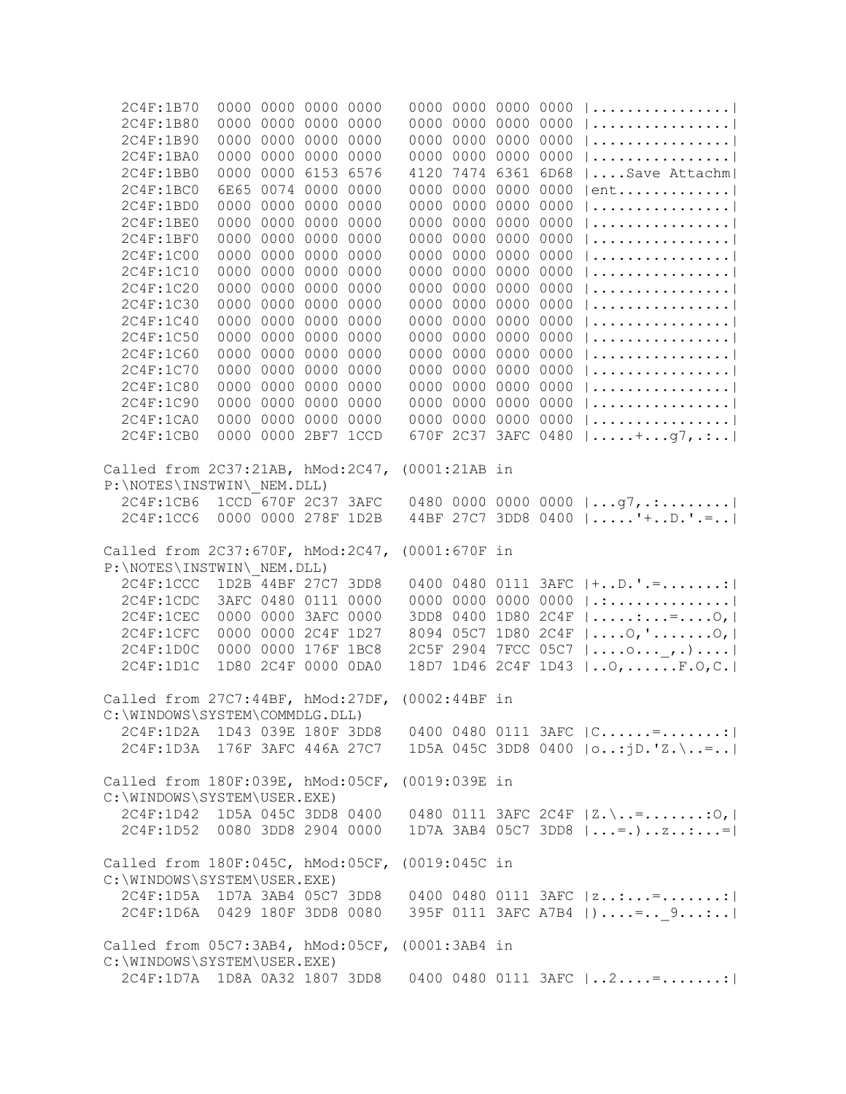| 2C4F:1B70                                                |                     |           | 0000 0000 0000 0000 |                 | 0000 0000 0000 0000 |           |                                               |  |
|----------------------------------------------------------|---------------------|-----------|---------------------|-----------------|---------------------|-----------|-----------------------------------------------|--|
| 2C4F:1B80                                                |                     |           | 0000 0000 0000 0000 |                 | 0000 0000 0000 0000 |           |                                               |  |
| 2C4F:1B90                                                |                     |           | 0000 0000 0000 0000 |                 | 0000 0000 0000 0000 |           |                                               |  |
| 2C4F:1BA0                                                |                     |           | 0000 0000 0000 0000 |                 | 0000 0000 0000 0000 |           |                                               |  |
| 2C4F:1BB0                                                |                     |           | 0000 0000 6153 6576 |                 | 4120 7474 6361 6D68 |           | Save Attachm                                  |  |
| 2C4F:1BC0                                                |                     |           | 6E65 0074 0000 0000 |                 | 0000 0000 0000 0000 |           | $ ent$                                        |  |
| 2C4F:1BD0                                                |                     |           | 0000 0000 0000 0000 |                 | 0000 0000 0000 0000 |           |                                               |  |
| 2C4F:1BE0                                                |                     |           | 0000 0000 0000 0000 |                 | 0000 0000 0000 0000 |           |                                               |  |
| 2C4F:1BF0                                                |                     |           | 0000 0000 0000 0000 |                 | 0000 0000 0000 0000 |           |                                               |  |
| 2C4F:1C00                                                |                     | 0000 0000 | 0000 0000           |                 | 0000 0000 0000 0000 |           |                                               |  |
| 2C4F:1C10                                                |                     | 0000 0000 | 0000 0000           |                 | 0000 0000 0000 0000 |           |                                               |  |
| 2C4F:1C20                                                |                     | 0000 0000 | 0000 0000           |                 | 0000 0000 0000 0000 |           |                                               |  |
| 2C4F:1C30                                                |                     | 0000 0000 | 0000 0000           |                 | 0000 0000 0000 0000 |           |                                               |  |
| 2C4F:1C40                                                |                     |           | 0000 0000 0000 0000 |                 | 0000 0000 0000 0000 |           |                                               |  |
| 2C4F:1C50                                                |                     |           | 0000 0000 0000 0000 |                 | 0000 0000 0000 0000 |           |                                               |  |
| 2C4F:1C60                                                |                     |           | 0000 0000 0000 0000 |                 | 0000 0000 0000 0000 |           |                                               |  |
| 2C4F:1C70                                                |                     |           | 0000 0000 0000 0000 |                 | 0000 0000 0000 0000 |           |                                               |  |
| 2C4F:1C80                                                |                     |           | 0000 0000 0000 0000 |                 | 0000 0000 0000 0000 |           |                                               |  |
| 2C4F:1C90                                                |                     |           | 0000 0000 0000 0000 |                 | 0000 0000 0000 0000 |           |                                               |  |
| 2C4F:1CA0                                                |                     |           | 0000 0000 0000 0000 |                 | 0000 0000 0000 0000 |           |                                               |  |
| 2C4F:1CB0                                                |                     |           | 0000 0000 2BF7 1CCD |                 | 670F 2C37 3AFC 0480 |           | $  \ldots + \ldots + q7, \ldots  $            |  |
|                                                          |                     |           |                     |                 |                     |           |                                               |  |
| Called from 2C37:21AB, hMod:2C47,                        |                     |           |                     | (0001:21AB in   |                     |           |                                               |  |
| P:\NOTES\INSTWIN\ NEM.DLL)                               |                     |           |                     |                 |                     |           |                                               |  |
| 2C4F:1CB6                                                | 1CCD 670F 2C37 3AFC |           |                     |                 |                     |           | 0480 0000 0000 0000 $ q7, $                   |  |
| 2C4F:1CC6                                                |                     |           | 0000 0000 278F 1D2B |                 |                     |           | 44BF 27C7 3DD8 0400  '+D.'.=                  |  |
|                                                          |                     |           |                     |                 |                     |           |                                               |  |
| Called from 2C37:670F, hMod:2C47,                        |                     |           |                     | $(0001:670F$ in |                     |           |                                               |  |
| P:\NOTES\INSTWIN\ NEM.DLL)                               |                     |           |                     |                 |                     |           |                                               |  |
| 2C4F:1CCC                                                |                     |           | 1D2B 44BF 27C7 3DD8 |                 | 0400 0480 0111 3AFC |           | $ +, D, ', =, :  $                            |  |
| 2C4F:1CDC                                                |                     |           | 3AFC 0480 0111 0000 |                 | 0000 0000 0000 0000 |           | . :                                           |  |
| 2C4F:1CEC                                                |                     |           | 0000 0000 3AFC 0000 |                 | 3DD8 0400           | 1D80 2C4F | $  \ldots   \ldots   \ldots  $                |  |
| 2C4F:1CFC                                                |                     |           | 0000 0000 2C4F 1D27 |                 | 8094 05C7 1D80 2C4F |           | $  \ldots .0, ' \ldots0,  $                   |  |
| 2C4F:1D0C                                                |                     |           | 0000 0000 176F 1BC8 |                 | 2C5F 2904 7FCC 05C7 |           | $  \ldots 0 \ldots 1 \ldots  $                |  |
| 2C4F:1D1C                                                |                     |           | 1D80 2C4F 0000 0DA0 |                 | 18D7 1D46 2C4F 1D43 |           | $ 0, \ldots $ $F.0, C. $                      |  |
|                                                          |                     |           |                     |                 |                     |           |                                               |  |
| Called from 27C7:44BF, hMod:27DF,                        |                     |           |                     | $(0002:44BF$ in |                     |           |                                               |  |
| C:\WINDOWS\SYSTEM\COMMDLG.DLL)                           |                     |           |                     |                 |                     |           |                                               |  |
| 2C4F:1D2A 1D43 039E 180F 3DD8 0400 0480 0111 3AFC $ C$ = |                     |           |                     |                 |                     |           |                                               |  |
| 2C4F:1D3A 176F 3AFC 446A 27C7                            |                     |           |                     |                 |                     |           | 1D5A 045C 3DD8 0400 $ 0:jD."Z.\.\.\.= $       |  |
|                                                          |                     |           |                     |                 |                     |           |                                               |  |
| Called from 180F:039E, hMod:05CF, (0019:039E in          |                     |           |                     |                 |                     |           |                                               |  |
| C:\WINDOWS\SYSTEM\USER.EXE)                              |                     |           |                     |                 |                     |           |                                               |  |
| 2C4F:1D42 1D5A 045C 3DD8 0400                            |                     |           |                     |                 |                     |           | 0480 0111 3AFC 2C4F $ Z_{\cdot}\rangle$ =: 0, |  |
| 2C4F:1D52 0080 3DD8 2904 0000                            |                     |           |                     |                 |                     |           | 1D7A 3AB4 05C7 3DD8 $  = .$ )=1               |  |
|                                                          |                     |           |                     |                 |                     |           |                                               |  |
| Called from 180F:045C, hMod:05CF, (0019:045C in          |                     |           |                     |                 |                     |           |                                               |  |
| C:\WINDOWS\SYSTEM\USER.EXE)                              |                     |           |                     |                 |                     |           |                                               |  |
| 2C4F:1D5A 1D7A 3AB4 05C7 3DD8                            |                     |           |                     |                 |                     |           | 0400 0480 0111 3AFC $ z$ =                    |  |
| 2C4F:1D6A 0429 180F 3DD8 0080                            |                     |           |                     |                 |                     |           | 395F 0111 3AFC A7B4   )= 9:                   |  |
|                                                          |                     |           |                     |                 |                     |           |                                               |  |
| Called from 05C7:3AB4, hMod:05CF, (0001:3AB4 in          |                     |           |                     |                 |                     |           |                                               |  |
| C:\WINDOWS\SYSTEM\USER.EXE)                              |                     |           |                     |                 |                     |           |                                               |  |
| 2C4F:1D7A 1D8A 0A32 1807 3DD8 0400 0480 0111 3AFC   2=;  |                     |           |                     |                 |                     |           |                                               |  |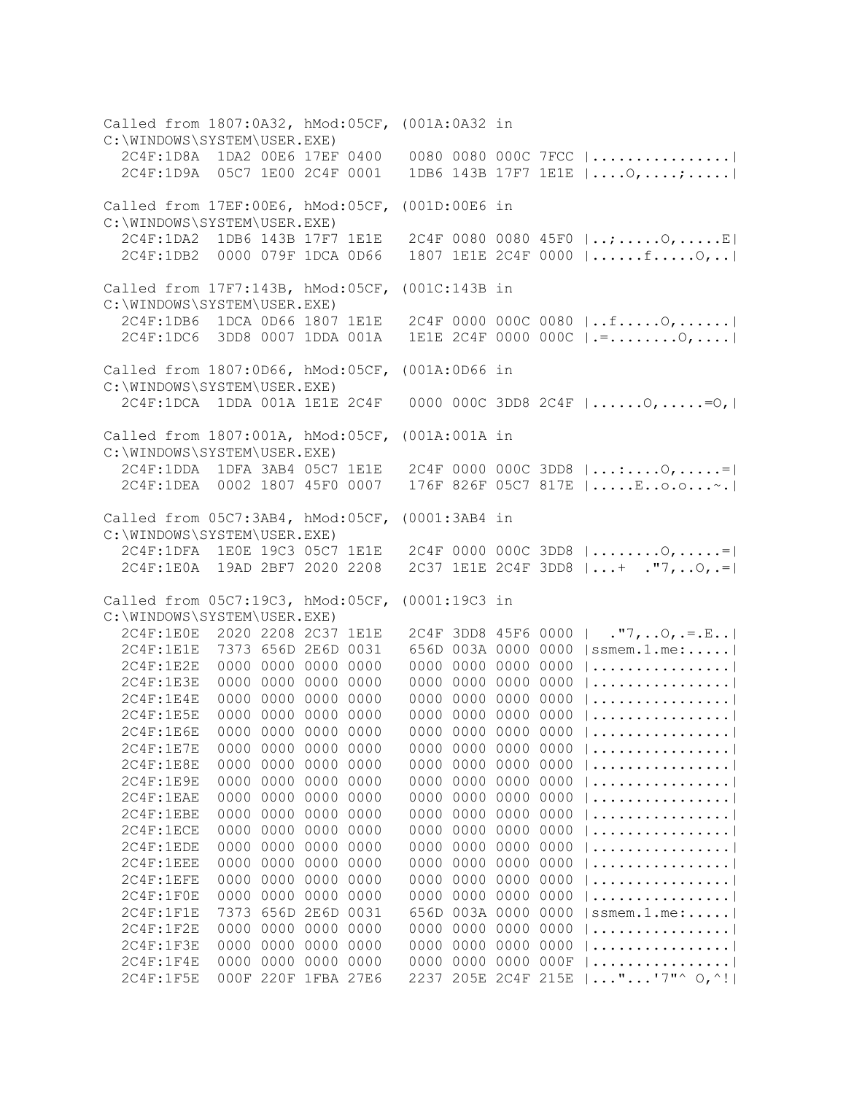Called from 1807:0A32, hMod:05CF, (001A:0A32 in C:\WINDOWS\SYSTEM\USER.EXE) 2C4F:1D8A 1DA2 00E6 17EF 0400 0080 0080 000C 7FCC |................| 2C4F:1D9A 05C7 1E00 2C4F 0001 1DB6 143B 17F7 1E1E |....O,....;.....| Called from 17EF:00E6, hMod:05CF, (001D:00E6 in C:\WINDOWS\SYSTEM\USER.EXE) 2C4F:1DA2 1DB6 143B 17F7 1E1E 2C4F 0080 0080 45F0 |..;.....O,.....E| 2C4F:1DB2 0000 079F 1DCA 0D66 1807 1E1E 2C4F 0000 |......f.....O,..| Called from 17F7:143B, hMod:05CF, (001C:143B in C:\WINDOWS\SYSTEM\USER.EXE) 2C4F:1DB6 1DCA 0D66 1807 1E1E 2C4F 0000 000C 0080 |..f.....O,......| 2C4F:1DC6 3DD8 0007 1DDA 001A 1E1E 2C4F 0000 000C |.=........O,....| Called from 1807:0D66, hMod:05CF, (001A:0D66 in C:\WINDOWS\SYSTEM\USER.EXE) 2C4F:1DCA 1DDA 001A 1E1E 2C4F 0000 000C 3DD8 2C4F |......O,.....=O,| Called from 1807:001A, hMod:05CF, (001A:001A in C:\WINDOWS\SYSTEM\USER.EXE) 2C4F:1DDA 1DFA 3AB4 05C7 1E1E 2C4F 0000 000C 3DD8 |...:....O,.....=| 2C4F:1DEA 0002 1807 45F0 0007 176F 826F 05C7 817E |.....E..o.o...~.| Called from 05C7:3AB4, hMod:05CF, (0001:3AB4 in C:\WINDOWS\SYSTEM\USER.EXE) 2C4F:1DFA 1E0E 19C3 05C7 1E1E 2C4F 0000 000C 3DD8 |........O,.....=| 2C4F:1E0A 19AD 2BF7 2020 2208 2C37 1E1E 2C4F 3DD8 |...+ ."7,..O,.=| Called from 05C7:19C3, hMod:05CF, (0001:19C3 in C:\WINDOWS\SYSTEM\USER.EXE) 2C4F:1E0E 2020 2208 2C37 1E1E 2C4F 3DD8 45F6 0000 | ."7,..O,.=.E..|<br>2C4F:1E1E 7373 656D 2E6D 0031 656D 003A 0000 0000 |ssmem.1.me:.....| 656D 003A 0000 0000 |ssmem.1.me:.....| 2C4F:1E2E 0000 0000 0000 0000 0000 0000 0000 0000 |................| 2C4F:1E3E 0000 0000 0000 0000 0000 0000 0000 0000 |................| 2C4F:1E4E 0000 0000 0000 0000 0000 0000 0000 0000 |................| 2C4F:1E5E 0000 0000 0000 0000 0000 0000 0000 0000 |................| 2C4F:1E6E 0000 0000 0000 0000 0000 0000 0000 0000 |................| 2C4F:1E7E 0000 0000 0000 0000 0000 0000 0000 0000 |................| 2C4F:1E8E 0000 0000 0000 0000 0000 0000 0000 0000 |................| 2C4F:1E9E 0000 0000 0000 0000 0000 0000 0000 0000 |................| 2C4F:1EAE 0000 0000 0000 0000 0000 0000 0000 0000 |................| 2C4F:1EBE 0000 0000 0000 0000 0000 0000 0000 0000 |................| 2C4F:1ECE 0000 0000 0000 0000 0000 0000 0000 0000 |................| 2C4F:1EDE 0000 0000 0000 0000 0000 0000 0000 0000 |................| 2C4F:1EEE 0000 0000 0000 0000 0000 0000 0000 0000 |................| 2C4F:1EFE 0000 0000 0000 0000 0000 0000 0000 0000 |................| 2C4F:1F0E 0000 0000 0000 0000 0000 0000 0000 0000 |................| 2C4F:1F1E 7373 656D 2E6D 0031 656D 003A 0000 0000 |ssmem.1.me:.....| 2C4F:1F2E 0000 0000 0000 0000 0000 0000 0000 0000 |................| 2C4F:1F3E 0000 0000 0000 0000 0000 0000 0000 0000 |................| 2C4F:1F4E 0000 0000 0000 0000 0000 0000 0000 000F |................| 2C4F:1F5E 000F 220F 1FBA 27E6 2237 205E 2C4F 215E |..."...'7"^ O,^!|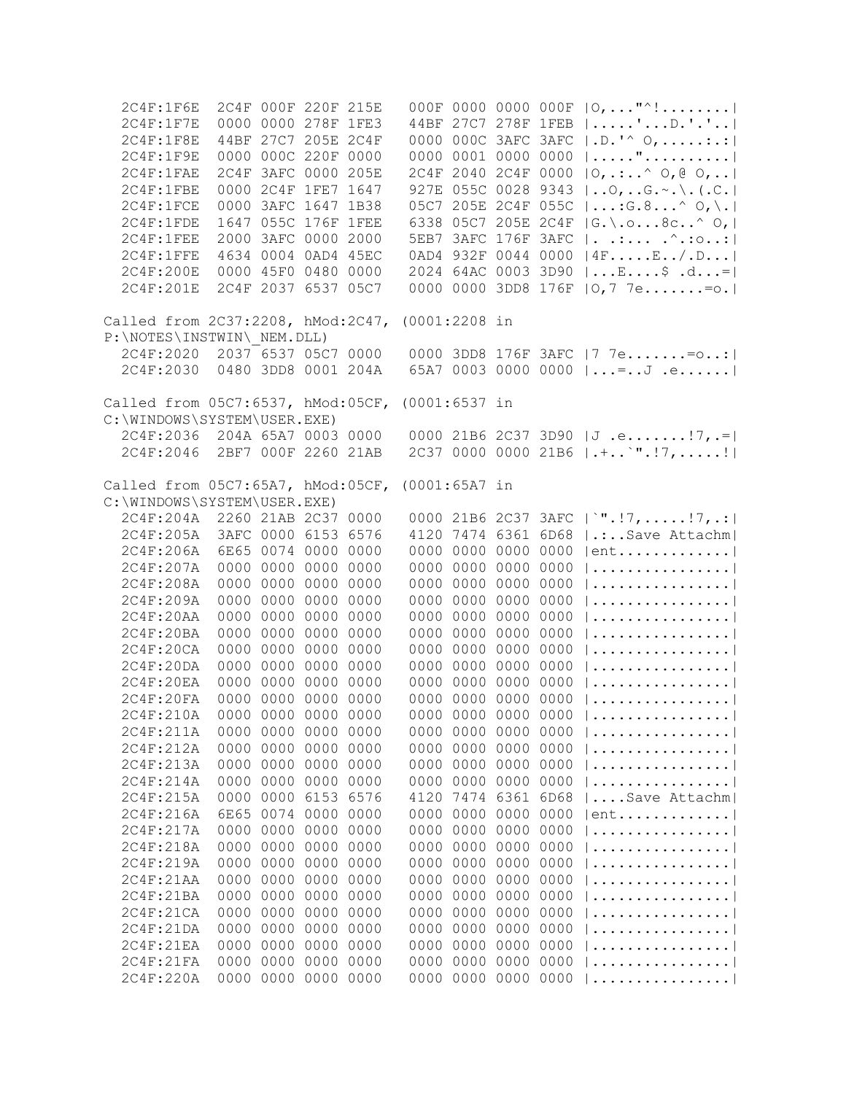| 2C4F:1F6E                                                                     |                     | 2C4F 000F 220F 215E |           |      |      |                     |           |      | 000F 0000 0000 000F   O,  "^!             |
|-------------------------------------------------------------------------------|---------------------|---------------------|-----------|------|------|---------------------|-----------|------|-------------------------------------------|
| 2C4F:1F7E                                                                     |                     | 0000 0000 278F 1FE3 |           |      |      |                     |           |      | 44BF 27C7 278F 1FEB   'D.'.'              |
| 2C4F:1F8E                                                                     |                     | 44BF 27C7 205E 2C4F |           |      |      |                     |           |      | 0000 000C 3AFC 3AFC   .D.'^ 0, :.:        |
| 2C4F:1F9E                                                                     |                     | 0000 000C 220F 0000 |           |      |      |                     |           |      | 0000 0001 0000 0000 $ $ "                 |
| 2C4F:1FAE                                                                     |                     | 2C4F 3AFC 0000 205E |           |      |      |                     |           |      | 2C4F 2040 2C4F 0000   O, .:^ O, @ O,      |
| 2C4F:1FBE                                                                     |                     | 0000 2C4F 1FE7 1647 |           |      |      |                     |           |      | 927E 055C 0028 9343    0,  G. ~. \. (. C. |
| 2C4F:1FCE                                                                     |                     | 0000 3AFC 1647 1B38 |           |      |      |                     |           |      | 05C7 205E 2C4F 055C   : G.8^ O, \.        |
| 2C4F:1FDE                                                                     |                     | 1647 055C 176F 1FEE |           |      |      |                     |           |      | 6338 05C7 205E 2C4F  G.\.o8c^ O,          |
| 2C4F:1FEE                                                                     |                     | 2000 3AFC 0000 2000 |           |      |      |                     |           |      | 5EB7 3AFC 176F 3AFC   ^ .: 0.             |
| 2C4F:1FFE                                                                     |                     | 4634 0004 0AD4 45EC |           |      |      |                     |           |      | 0AD4 932F 0044 0000   4FE/.D              |
| 2C4F:200E                                                                     |                     | 0000 45F0 0480 0000 |           |      |      |                     |           |      | 2024 64AC 0003 3D90  E\$ .d=              |
| 2C4F:201E                                                                     |                     | 2C4F 2037 6537 05C7 |           |      |      |                     |           |      | 0000 0000 3DD8 176F   0,7 7e= o.          |
|                                                                               |                     |                     |           |      |      |                     |           |      |                                           |
| Called from 2C37:2208, hMod:2C47, (0001:2208 in<br>P:\NOTES\INSTWIN\ NEM.DLL) |                     |                     |           |      |      |                     |           |      |                                           |
| 2C4F:2020 2037 6537 05C7 0000                                                 |                     |                     |           |      |      |                     |           |      | 0000 3DD8 176F 3AFC  7 7e= o:             |
|                                                                               |                     |                     |           |      |      |                     |           |      |                                           |
| 2C4F:2030 0480 3DD8 0001 204A                                                 |                     |                     |           |      |      |                     |           |      | 65A7 0003 0000 0000  =J .e                |
| Called from 05C7:6537, hMod:05CF, (0001:6537 in                               |                     |                     |           |      |      |                     |           |      |                                           |
| C:\WINDOWS\SYSTEM\USER.EXE)                                                   |                     |                     |           |      |      |                     |           |      |                                           |
| 2C4F:2036 204A 65A7 0003 0000                                                 |                     |                     |           |      |      |                     |           |      | 0000 21B6 2C37 3D90 $J .e7 =$             |
| 2C4F:2046                                                                     | 2BF7 000F 2260 21AB |                     |           |      |      |                     |           |      | 2C37 0000 0000 21B6 $ \cdot $ '".!7,!     |
| Called from 05C7:65A7, hMod:05CF, (0001:65A7 in                               |                     |                     |           |      |      |                     |           |      |                                           |
| C:\WINDOWS\SYSTEM\USER.EXE)                                                   |                     |                     |           |      |      |                     |           |      |                                           |
| 2C4F:204A 2260 21AB 2C37 0000                                                 |                     |                     |           |      |      |                     |           |      | 0000 21B6 2C37 3AFC   `".!7,!7,.:         |
|                                                                               |                     | 3AFC 0000 6153 6576 |           |      |      |                     |           |      | 4120 7474 6361 6D68   .: Save Attachm     |
| 2C4F:205A                                                                     |                     |                     |           |      |      |                     |           |      |                                           |
| 2C4F:206A                                                                     |                     | 6E65 0074 0000 0000 |           |      |      |                     |           |      | 0000 0000 0000 0000 $ $ ent               |
| 2C4F:207A                                                                     |                     | 0000 0000 0000 0000 |           |      |      | 0000 0000 0000 0000 |           |      |                                           |
| 2C4F:208A                                                                     |                     | 0000 0000 0000 0000 |           |      |      | 0000 0000 0000 0000 |           |      | $  \ldots \ldots \ldots \ldots \ldots  $  |
| 2C4F:209A                                                                     |                     | 0000 0000 0000 0000 |           |      |      | 0000 0000 0000 0000 |           |      | $  \ldots \ldots \ldots \ldots \ldots  $  |
| 2C4F:20AA                                                                     |                     | 0000 0000 0000 0000 |           |      |      | 0000 0000 0000 0000 |           |      |                                           |
| 2C4F:20BA                                                                     |                     | 0000 0000 0000 0000 |           |      |      | 0000 0000 0000 0000 |           |      |                                           |
| 2C4F:20CA                                                                     |                     | 0000 0000 0000 0000 |           |      |      | 0000 0000 0000 0000 |           |      |                                           |
| 2C4F:20DA                                                                     |                     | 0000 0000 0000 0000 |           |      |      | 0000 0000 0000 0000 |           |      |                                           |
| 2C4F:20EA                                                                     |                     | 0000 0000 0000 0000 |           |      |      | 0000 0000 0000 0000 |           |      | $  \ldots \ldots \ldots \ldots \ldots  $  |
| 2C4F:20FA                                                                     |                     | 0000 0000 0000 0000 |           |      |      | 0000 0000 0000 0000 |           |      |                                           |
| 2C4F:210A                                                                     |                     | 0000 0000 0000 0000 |           |      |      |                     |           |      | 0000 0000 0000 0000 $ $                   |
| 2C4F:211A                                                                     |                     | 0000 0000 0000 0000 |           |      |      | 0000 0000 0000 0000 |           |      |                                           |
| 2C4F:212A                                                                     |                     | 0000 0000           | 0000 0000 |      |      | 0000 0000           | 0000 0000 |      |                                           |
| 2C4F:213A                                                                     |                     | 0000 0000 0000 0000 |           |      |      | 0000 0000           | 0000 0000 |      |                                           |
| 2C4F:214A                                                                     |                     | 0000 0000           | 0000 0000 |      | 0000 | 0000                | 0000      | 0000 |                                           |
| 2C4F:215A                                                                     | 0000                | 0000                | 6153 6576 |      | 4120 | 7474                | 6361 6D68 |      | Save Attachm                              |
| 2C4F:216A                                                                     | 6E65                | 0074                | 0000 0000 |      | 0000 | 0000                | 0000      | 0000 | $ ent$                                    |
| 2C4F:217A                                                                     | 0000                | 0000                | 0000      | 0000 | 0000 | 0000                | 0000      | 0000 |                                           |
| 2C4F:218A                                                                     | 0000                | 0000                | 0000 0000 |      | 0000 | 0000                | 0000      | 0000 |                                           |
| 2C4F:219A                                                                     | 0000                | 0000                | 0000 0000 |      | 0000 | 0000                | 0000      | 0000 |                                           |
| 2C4F:21AA                                                                     | 0000                | 0000                | 0000 0000 |      | 0000 | 0000                | 0000      | 0000 |                                           |
| 2C4F:21BA                                                                     | 0000                | 0000                | 0000      | 0000 | 0000 | 0000                | 0000      | 0000 |                                           |
| 2C4F:21CA                                                                     | 0000                | 0000                | 0000 0000 |      | 0000 | 0000                | 0000      | 0000 |                                           |
| 2C4F:21DA                                                                     | 0000                | 0000                | 0000 0000 |      | 0000 | 0000                | 0000      | 0000 |                                           |
|                                                                               |                     |                     |           |      |      |                     |           |      |                                           |
| 2C4F:21EA                                                                     | 0000                | 0000                | 0000 0000 |      | 0000 | 0000                | 0000      | 0000 |                                           |
| 2C4F:21FA                                                                     | 0000                | 0000 0000 0000      |           |      | 0000 | 0000                | 0000 0000 |      |                                           |
| 2C4F:220A                                                                     |                     | 0000 0000 0000 0000 |           |      |      | 0000 0000 0000 0000 |           |      | .                                         |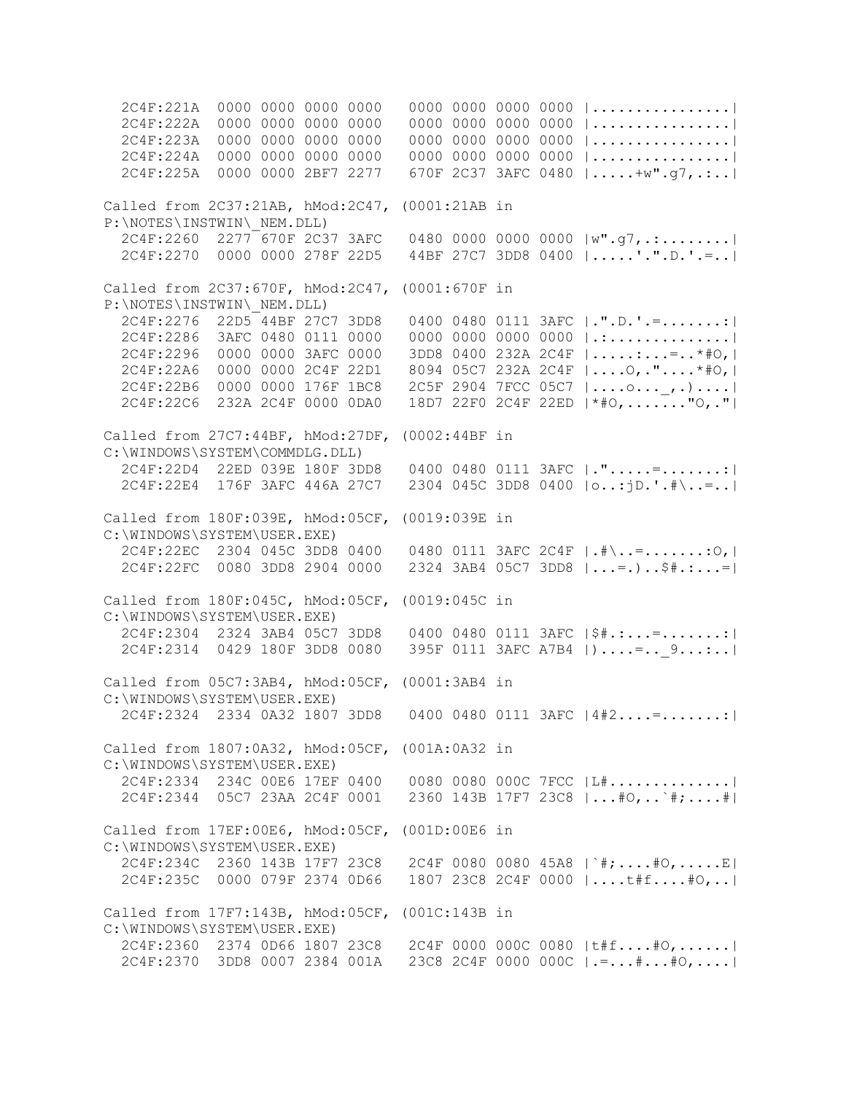2C4F:221A 0000 0000 0000 0000 0000 0000 0000 0000 |................| 2C4F:222A 0000 0000 0000 0000 0000 0000 0000 0000 |................| 2C4F:223A 0000 0000 0000 0000 0000 0000 0000 0000 |................| 2C4F:224A 0000 0000 0000 0000 0000 0000 0000 0000 |................| 2C4F:225A 0000 0000 2BF7 2277 670F 2C37 3AFC 0480 |.....+w".g7,.:..| Called from 2C37:21AB, hMod:2C47, (0001:21AB in P:\NOTES\INSTWIN\\_NEM.DLL) 2C4F:2260 2277 670F 2C37 3AFC 0480 0000 0000 0000 |w".g7,.:........| 2C4F:2270 0000 0000 278F 22D5 44BF 27C7 3DD8 0400 |.....'.".D.'.=..| Called from 2C37:670F, hMod:2C47, (0001:670F in P:\NOTES\INSTWIN\\_NEM.DLL)  $2C4F:2276$   $22D5$   $44BF$   $27C7$   $3DD8$  0400 0480 0111  $3AFC$   $|\cdot" . D \cdot' . = \ldots \ldots$  2C4F:2286 3AFC 0480 0111 0000 0000 0000 0000 0000 |.:..............| 2C4F:2296 0000 0000 3AFC 0000 3DD8 0400 232A 2C4F |.....:...=..\*#O,| 2C4F:22A6 0000 0000 2C4F 22D1 8094 05C7 232A 2C4F |....O,."....\*#O,| 2C4F:22B6 0000 0000 176F 1BC8 2C5F 2904 7FCC 05C7 |....o...\_,.)....| 2C4F:22C6 232A 2C4F 0000 0DA0 18D7 22F0 2C4F 22ED |\*#O,......."O,."| Called from 27C7:44BF, hMod:27DF, (0002:44BF in C:\WINDOWS\SYSTEM\COMMDLG.DLL) 2C4F:22D4 22ED 039E 180F 3DD8 0400 0480 0111 3AFC |.".....=.......:| 2C4F:22E4 176F 3AFC 446A 27C7 2304 045C 3DD8 0400 |o..:jD.'.#\..=..| Called from 180F:039E, hMod:05CF, (0019:039E in C:\WINDOWS\SYSTEM\USER.EXE) 2C4F:22EC 2304 045C 3DD8 0400 0480 0111 3AFC 2C4F |.#\..=.......:O,| 2C4F:22FC 0080 3DD8 2904 0000 2324 3AB4 05C7 3DD8 |...=.)..\$#.:...=| Called from 180F:045C, hMod:05CF, (0019:045C in C:\WINDOWS\SYSTEM\USER.EXE) 2C4F:2304 2324 3AB4 05C7 3DD8 0400 0480 0111 3AFC |\$#.:...=.......:| 2C4F:2314 0429 180F 3DD8 0080 395F 0111 3AFC A7B4 | )....=.. 9...:..| Called from 05C7:3AB4, hMod:05CF, (0001:3AB4 in C:\WINDOWS\SYSTEM\USER.EXE) 2C4F:2324 2334 0A32 1807 3DD8 0400 0480 0111 3AFC |4#2....=.......:| Called from 1807:0A32, hMod:05CF, (001A:0A32 in C:\WINDOWS\SYSTEM\USER.EXE) 2C4F:2334 234C 00E6 17EF 0400 0080 0080 000C 7FCC |L#..............| 2C4F:2344 05C7 23AA 2C4F 0001 2360 143B 17F7 23C8 |...#O,..`#;....#| Called from 17EF:00E6, hMod:05CF, (001D:00E6 in C:\WINDOWS\SYSTEM\USER.EXE) 2C4F:234C 2360 143B 17F7 23C8 2C4F 0080 0080 45A8 |`#;....#O,.....E| 2C4F:235C 0000 079F 2374 0D66 1807 23C8 2C4F 0000 |....t#f....#O,..| Called from 17F7:143B, hMod:05CF, (001C:143B in C:\WINDOWS\SYSTEM\USER.EXE) 2C4F:2360 2374 0D66 1807 23C8 2C4F 0000 000C 0080 |t#f....#O,......| 2C4F:2370 3DD8 0007 2384 001A 23C8 2C4F 0000 000C |.=...#...#O,....|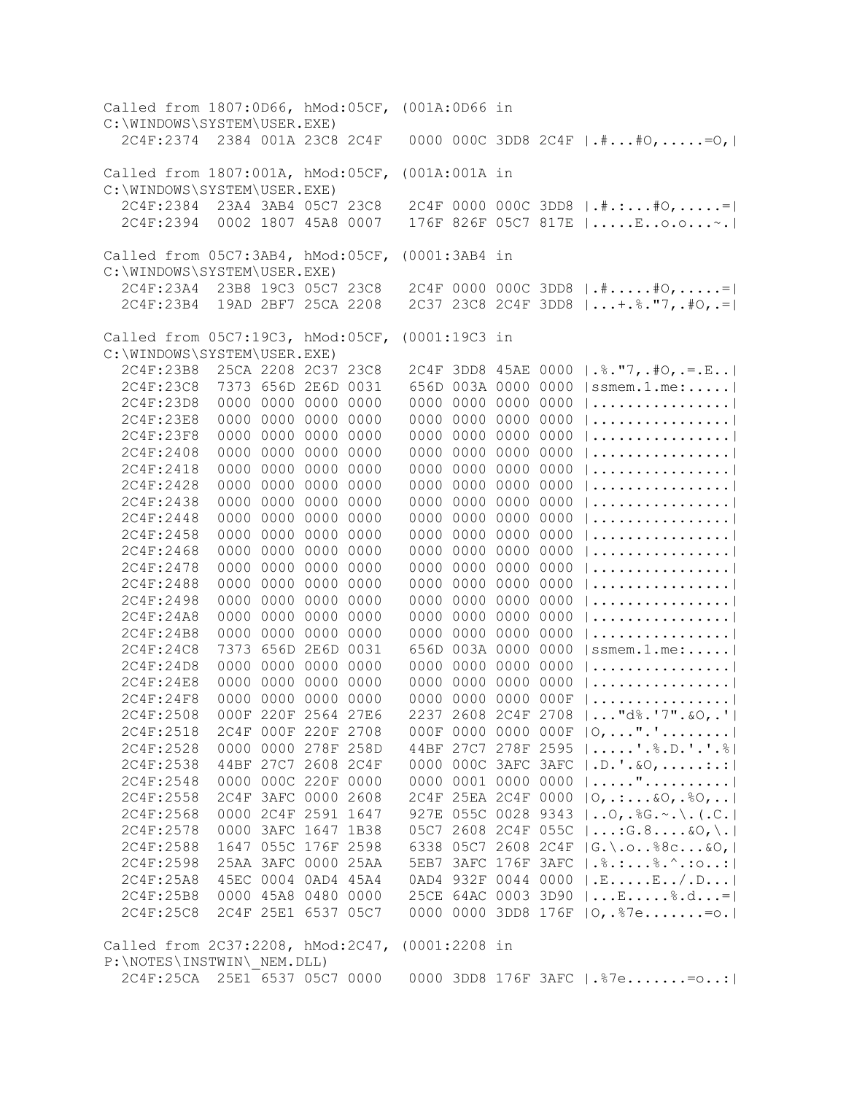Called from 1807:0D66, hMod:05CF, (001A:0D66 in C:\WINDOWS\SYSTEM\USER.EXE) 2C4F:2374 2384 001A 23C8 2C4F 0000 000C 3DD8 2C4F |.#...#O,.....=O,| Called from 1807:001A, hMod:05CF, (001A:001A in C:\WINDOWS\SYSTEM\USER.EXE) 2C4F:2384 23A4 3AB4 05C7 23C8 2C4F 0000 000C 3DD8 |.#.:...#O,.....=| 2C4F:2394 0002 1807 45A8 0007 176F 826F 05C7 817E |.....E..o.o...~.| Called from 05C7:3AB4, hMod:05CF, (0001:3AB4 in C:\WINDOWS\SYSTEM\USER.EXE) 2C4F:23A4 23B8 19C3 05C7 23C8 2C4F 0000 000C 3DD8 |.#.....#O,.....=| 2C4F:23B4 19AD 2BF7 25CA 2208 2C37 23C8 2C4F 3DD8 |...+.%."7,.#O,.=| Called from 05C7:19C3, hMod:05CF, (0001:19C3 in C:\WINDOWS\SYSTEM\USER.EXE) 2C4F:23B8 25CA 2208 2C37 23C8 2C4F 3DD8 45AE 0000 |.%."7,.#O,.=.E..| 2C4F:23C8 7373 656D 2E6D 0031 656D 003A 0000 0000 |ssmem.1.me:.....| 2C4F:23D8 0000 0000 0000 0000 0000 0000 0000 0000 |................| 2C4F:23E8 0000 0000 0000 0000 0000 0000 0000 0000 |................| 2C4F:23F8 0000 0000 0000 0000 0000 0000 0000 0000 |................| 2C4F:2408 0000 0000 0000 0000 0000 0000 0000 0000 |................| 2C4F:2418 0000 0000 0000 0000 0000 0000 0000 0000 |................| 2C4F:2428 0000 0000 0000 0000 0000 0000 0000 0000 |................| 2C4F:2438 0000 0000 0000 0000 0000 0000 0000 0000 |................| 2C4F:2448 0000 0000 0000 0000 0000 0000 0000 0000 |................| 2C4F:2458 0000 0000 0000 0000 0000 0000 0000 0000 |................| 2C4F:2468 0000 0000 0000 0000 0000 0000 0000 0000 |................| 2C4F:2478 0000 0000 0000 0000 0000 0000 0000 0000 |................| 2C4F:2488 0000 0000 0000 0000 0000 0000 0000 0000 |................| 2C4F:2498 0000 0000 0000 0000 0000 0000 0000 0000 |................| 2C4F:24A8 0000 0000 0000 0000 0000 0000 0000 0000 |................| 2C4F:24B8 0000 0000 0000 0000 0000 0000 0000 0000 |................| 2C4F:24C8 7373 656D 2E6D 0031 656D 003A 0000 0000 |ssmem.1.me:.....| 2C4F:24D8 0000 0000 0000 0000 0000 0000 0000 0000 |................| 2C4F:24E8 0000 0000 0000 0000 0000 0000 0000 0000 |................| 2C4F:24F8 0000 0000 0000 0000 0000 0000 0000 000F |................| 2C4F:2508 000F 220F 2564 27E6 2237 2608 2C4F 2708 |..."d%.'7".&O,.'| 2C4F:2518 2C4F 000F 220F 2708 000F 0000 0000 000F |O,...".'........| 2C4F:2528 0000 0000 278F 258D 44BF 27C7 278F 2595 |.....'.%.D.'.'.%| 2C4F:2538 44BF 27C7 2608 2C4F 0000 000C 3AFC 3AFC |.D.'.&O,.....:.:| 2C4F:2548 0000 000C 220F 0000 0000 0001 0000 0000 |....."..........| 2C4F:2558 2C4F 3AFC 0000 2608 2C4F 25EA 2C4F 0000 |O,.:...&O,.%O,..| 2C4F:2568 0000 2C4F 2591 1647 927E 055C 0028 9343 |..O,.%G.~.\.(.C.| 2C4F:2578 0000 3AFC 1647 1B38 05C7 2608 2C4F 055C |...:G.8....&O,\.| 2C4F:2588 1647 055C 176F 2598 6338 05C7 2608 2C4F |G.\.o..%8c...&O,| 2C4F:2598 25AA 3AFC 0000 25AA 5EB7 3AFC 176F 3AFC |.%.:...%.^.:o..:| 2C4F:25A8 45EC 0004 0AD4 45A4 0AD4 932F 0044 0000 |.E.....E../.D...| 2C4F:25B8 0000 45A8 0480 0000 25CE 64AC 0003 3D90 |...E.....%.d...=| 2C4F:25C8 2C4F 25E1 6537 05C7 0000 0000 3DD8 176F |O,.%7e.......=o.| Called from 2C37:2208, hMod:2C47, (0001:2208 in P:\NOTES\INSTWIN\\_NEM.DLL) 2C4F:25CA 25E1 6537 05C7 0000 0000 3DD8 176F 3AFC |.%7e.......=o..:|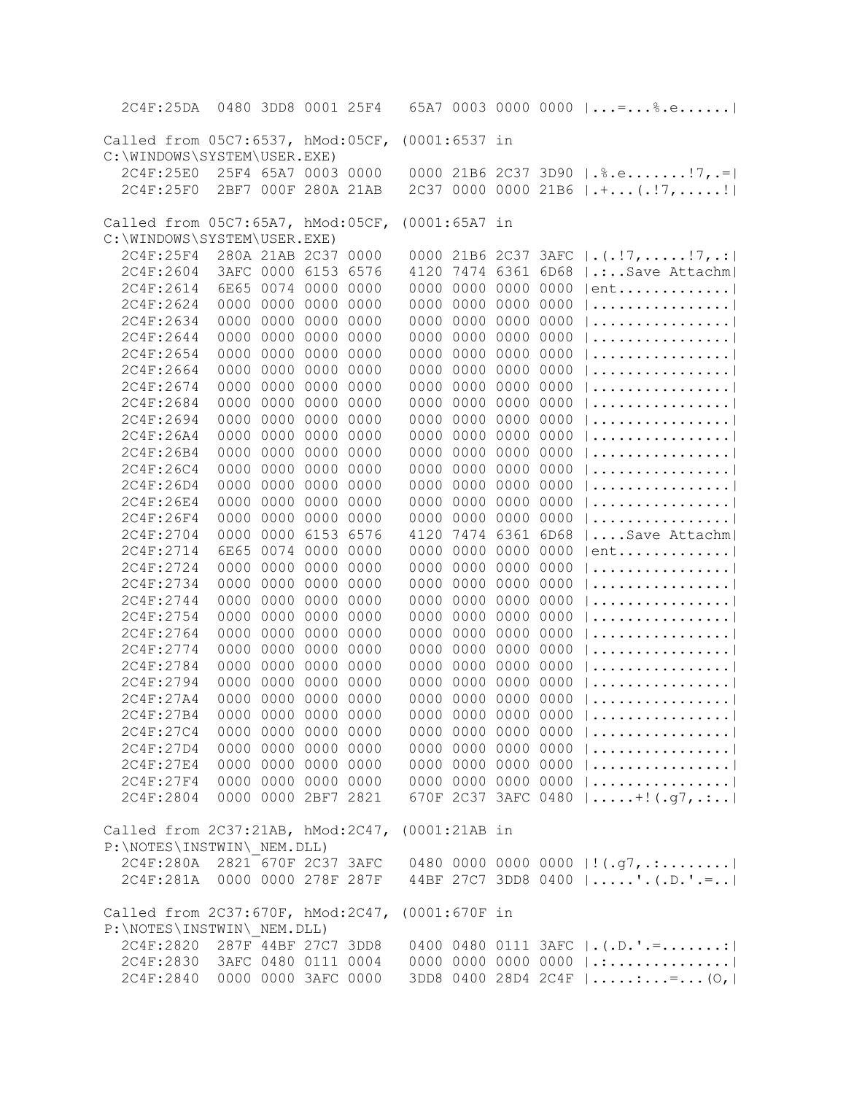| 2C4F:25DA                                                       |                     |                | 0480 3DD8 0001 25F4 |      |               |                     |      | 65A7 0003 0000 0000 $  = $ ;e                                                                                 |
|-----------------------------------------------------------------|---------------------|----------------|---------------------|------|---------------|---------------------|------|---------------------------------------------------------------------------------------------------------------|
| Called from 05C7:6537, hMod:05CF, (0001:6537 in                 |                     |                |                     |      |               |                     |      |                                                                                                               |
| C:\WINDOWS\SYSTEM\USER.EXE)                                     |                     |                |                     |      |               |                     |      |                                                                                                               |
| 2C4F:25E0                                                       |                     |                | 25F4 65A7 0003 0000 |      |               |                     |      | 0000 21B6 2C37 3D90   . \$. e! 7, .=                                                                          |
| 2C4F:25F0                                                       |                     |                | 2BF7 000F 280A 21AB |      |               |                     |      | $2C37 0000 0000 21B6 \mid .+ (.!)7,!$                                                                         |
|                                                                 |                     |                |                     |      |               |                     |      |                                                                                                               |
| Called from 05C7:65A7, hMod:05CF, (0001:65A7 in                 |                     |                |                     |      |               |                     |      |                                                                                                               |
| C:\WINDOWS\SYSTEM\USER.EXE)                                     |                     |                |                     |      |               |                     |      |                                                                                                               |
| 2C4F:25F4                                                       |                     |                | 280A 21AB 2C37 0000 |      |               |                     |      | 0000 21B6 2C37 3AFC $  \cdot   \cdot   \cdot  $ , ! 7, .:                                                     |
| 2C4F:2604                                                       |                     |                | 3AFC 0000 6153 6576 |      |               |                     |      | 4120 7474 6361 6D68   .:Save Attachm                                                                          |
| 2C4F:2614                                                       |                     |                | 6E65 0074 0000 0000 |      |               | 0000 0000 0000 0000 |      | $ ent$                                                                                                        |
| 2C4F:2624                                                       |                     | 0000 0000 0000 |                     | 0000 |               | 0000 0000 0000      | 0000 |                                                                                                               |
| 2C4F:2634                                                       |                     |                | 0000 0000 0000 0000 |      |               | 0000 0000 0000      | 0000 |                                                                                                               |
| 2C4F:2644                                                       |                     | 0000 0000 0000 |                     | 0000 |               | 0000 0000 0000 0000 |      |                                                                                                               |
| 2C4F:2654                                                       |                     | 0000 0000 0000 |                     | 0000 |               | 0000 0000 0000 0000 |      |                                                                                                               |
| 2C4F:2664                                                       | 0000                |                | 0000 0000           | 0000 |               | 0000 0000 0000      | 0000 |                                                                                                               |
| 2C4F:2674                                                       | 0000                |                | 0000 0000 0000      |      |               | 0000 0000 0000 0000 |      |                                                                                                               |
| 2C4F:2684                                                       | 0000                |                | 0000 0000           | 0000 |               | 0000 0000 0000 0000 |      |                                                                                                               |
| 2C4F:2694                                                       | 0000                |                | 0000 0000           | 0000 |               | 0000 0000 0000      | 0000 |                                                                                                               |
| 2C4F:26A4                                                       | 0000                | 0000           | 0000                | 0000 |               | 0000 0000 0000      | 0000 |                                                                                                               |
| 2C4F:26B4                                                       | 0000                |                | 0000 0000           | 0000 |               | 0000 0000 0000      | 0000 |                                                                                                               |
| 2C4F:26C4                                                       | 0000                |                | 0000 0000           | 0000 |               | 0000 0000 0000      | 0000 |                                                                                                               |
| 2C4F:26D4                                                       | 0000                |                | 0000 0000           | 0000 |               | 0000 0000 0000      | 0000 |                                                                                                               |
| 2C4F:26E4                                                       | 0000                |                | 0000 0000 0000      |      |               | 0000 0000 0000      | 0000 |                                                                                                               |
| 2C4F:26F4                                                       | 0000                |                | 0000 0000 0000      |      |               | 0000 0000 0000      | 0000 |                                                                                                               |
| 2C4F:2704                                                       | 0000                |                | 0000 6153 6576      |      |               | 4120 7474 6361      | 6D68 | $  \ldots$ Save Attachm                                                                                       |
| 2C4F:2714                                                       |                     |                | 6E65 0074 0000 0000 |      |               | 0000 0000 0000 0000 |      | $ ent$                                                                                                        |
| 2C4F:2724                                                       | 0000                |                | 0000 0000 0000      |      |               | 0000 0000 0000 0000 |      |                                                                                                               |
| 2C4F:2734                                                       | 0000                |                | 0000 0000 0000      |      |               | 0000 0000 0000 0000 |      |                                                                                                               |
| 2C4F:2744                                                       | 0000                |                | 0000 0000 0000      |      |               | 0000 0000 0000 0000 |      |                                                                                                               |
| 2C4F:2754                                                       | 0000                |                | 0000 0000 0000      |      |               | 0000 0000 0000 0000 |      |                                                                                                               |
| 2C4F:2764                                                       |                     |                | 0000 0000 0000 0000 |      |               | 0000 0000 0000 0000 |      |                                                                                                               |
| 2C4F:2774                                                       | 0000                |                | 0000 0000 0000      |      |               | 0000 0000 0000 0000 |      |                                                                                                               |
| 2C4F:2784                                                       | 0000                |                | 0000 0000 0000      |      |               | 0000 0000 0000 0000 |      |                                                                                                               |
| 2C4F:2794                                                       | 0000                | 0000 0000      |                     | 0000 |               | 0000 0000 0000 0000 |      |                                                                                                               |
| 2C4F:27A4                                                       | 0000                |                | 0000 0000 0000      |      |               | 0000 0000 0000 0000 |      |                                                                                                               |
| 2C4F:27B4                                                       |                     |                | 0000 0000 0000 0000 |      |               | 0000 0000 0000 0000 |      | 1. 1                                                                                                          |
| 2C4F:27C4                                                       |                     |                | 0000 0000 0000 0000 |      |               | 0000 0000 0000 0000 |      |                                                                                                               |
| 2C4F:27D4                                                       |                     |                | 0000 0000 0000 0000 |      |               |                     |      | 0000 0000 0000 0000                                                                                           |
| 2C4F:27E4                                                       |                     |                | 0000 0000 0000 0000 |      |               |                     |      | 0000 0000 0000 0000                                                                                           |
| 2C4F:27F4                                                       | 0000 0000 0000 0000 |                |                     |      |               |                     |      | 0000 0000 0000 0000                                                                                           |
| 2C4F:2804                                                       | 0000 0000 2BF7 2821 |                |                     |      |               |                     |      | 670F 2C37 3AFC 0480    + ! (.g7,.:                                                                            |
|                                                                 |                     |                |                     |      |               |                     |      |                                                                                                               |
| Called from 2C37:21AB, hMod:2C47,<br>P:\NOTES\INSTWIN\ NEM.DLL) |                     |                |                     |      | (0001:21AB in |                     |      |                                                                                                               |
| 2C4F:280A 2821 670F 2C37 3AFC                                   |                     |                |                     |      |               |                     |      |                                                                                                               |
| 2C4F:281A 0000 0000 278F 287F                                   |                     |                |                     |      |               |                     |      | 0480 0000 0000 0000   ! (.g7, .:  <br>44BF 27C7 3DD8 0400  '.(.D.'.=                                          |
|                                                                 |                     |                |                     |      |               |                     |      |                                                                                                               |
| Called from 2C37:670F, hMod:2C47,                               |                     |                |                     |      | (0001:670F in |                     |      |                                                                                                               |
| P:\NOTES\INSTWIN\ NEM.DLL)                                      |                     |                |                     |      |               |                     |      |                                                                                                               |
| 2C4F:2820 287F 44BF 27C7 3DD8                                   |                     |                |                     |      |               |                     |      | 0400 0480 0111 3AFC $  \cdot   \cdot  $ . $  \cdot  $ . $  \cdot  $ . $  \cdot  $ . $  \cdot  $ . $  \cdot  $ |
| 2C4F:2830 3AFC 0480 0111 0004                                   |                     |                |                     |      |               |                     |      | 0000 0000 0000 0000  .:                                                                                       |
| 2C4F:2840 0000 0000 3AFC 0000                                   |                     |                |                     |      |               |                     |      | 3DD8 0400 28D4 2C4F   :=(0,                                                                                   |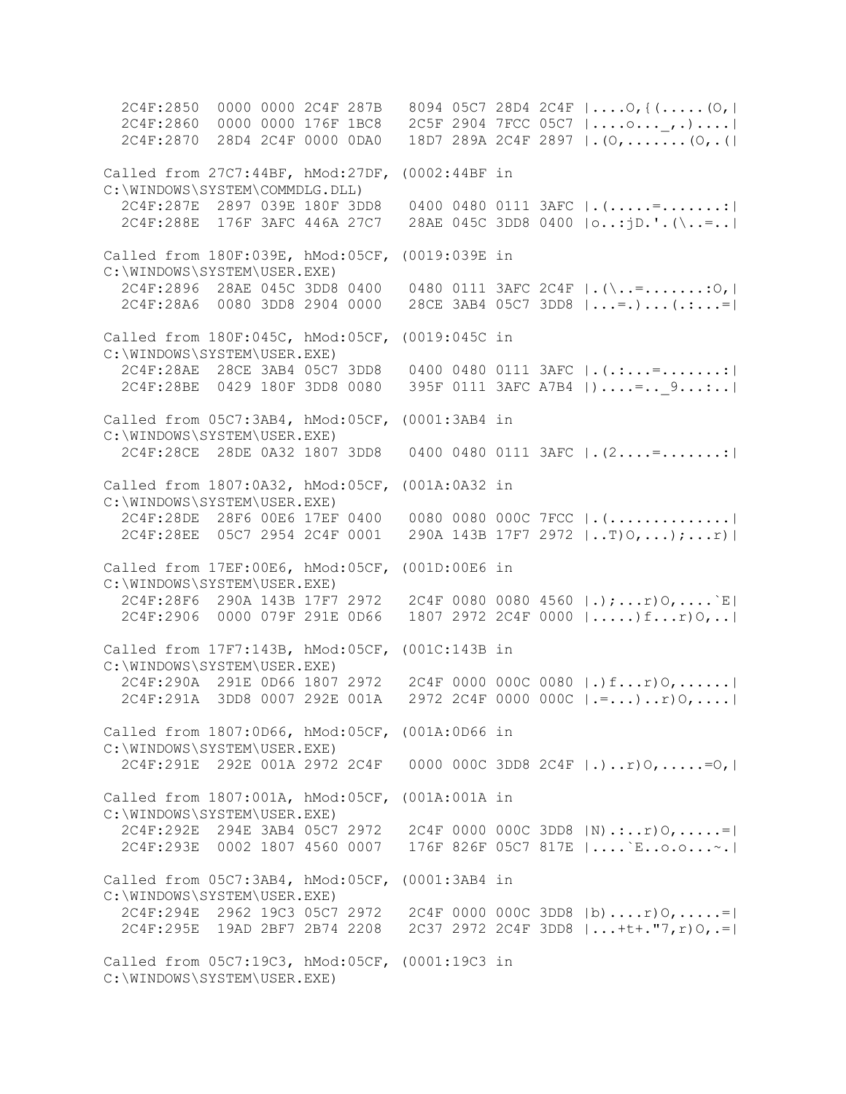2C4F:2850 0000 0000 2C4F 287B 8094 05C7 28D4 2C4F |....O,{(.....(O,| 2C4F:2860 0000 0000 176F 1BC8 2C5F 2904 7FCC 05C7 |....o...\_,.)....| 2C4F:2870 28D4 2C4F 0000 0DA0 18D7 289A 2C4F 2897 |.(O,.......(O,.(| Called from 27C7:44BF, hMod:27DF, (0002:44BF in C:\WINDOWS\SYSTEM\COMMDLG.DLL) 2C4F:287E 2897 039E 180F 3DD8 0400 0480 0111 3AFC |.(.....=.......:| 2C4F:288E 176F 3AFC 446A 27C7 28AE 045C 3DD8 0400 |o..:jD.'.(\..=..| Called from 180F:039E, hMod:05CF, (0019:039E in C:\WINDOWS\SYSTEM\USER.EXE) 2C4F:2896 28AE 045C 3DD8 0400 0480 0111 3AFC 2C4F |.(\..=.......:O,| 2C4F:28A6 0080 3DD8 2904 0000 28CE 3AB4 05C7 3DD8 |...=.)...(.:...=| Called from 180F:045C, hMod:05CF, (0019:045C in C:\WINDOWS\SYSTEM\USER.EXE) 2C4F:28AE 28CE 3AB4 05C7 3DD8 0400 0480 0111 3AFC |.(.:...=.......:| 2C4F:28BE 0429 180F 3DD8 0080 395F 0111 3AFC A7B4 |)....=..\_9...:..| Called from 05C7:3AB4, hMod:05CF, (0001:3AB4 in C:\WINDOWS\SYSTEM\USER.EXE) 2C4F:28CE 28DE 0A32 1807 3DD8 0400 0480 0111 3AFC |.(2....=.......:| Called from 1807:0A32, hMod:05CF, (001A:0A32 in C:\WINDOWS\SYSTEM\USER.EXE) 2C4F:28DE 28F6 00E6 17EF 0400 0080 0080 000C 7FCC |.(..............| 2C4F:28EE 05C7 2954 2C4F 0001 290A 143B 17F7 2972  $| \dots | 0, \dots |$ ;...r) Called from 17EF:00E6, hMod:05CF, (001D:00E6 in C:\WINDOWS\SYSTEM\USER.EXE) 2C4F:28F6 290A 143B 17F7 2972 2C4F 0080 0080 4560 |.);...r)O,....`E| 2C4F:2906 0000 079F 291E 0D66 1807 2972 2C4F 0000 |.....)f...r)O,..| Called from 17F7:143B, hMod:05CF, (001C:143B in C:\WINDOWS\SYSTEM\USER.EXE) 2C4F:290A 291E 0D66 1807 2972 2C4F 0000 000C 0080 |.)f...r)O,......| 2C4F:291A 3DD8 0007 292E 001A 2972 2C4F 0000 000C |.=...)..r)O,....| Called from 1807:0D66, hMod:05CF, (001A:0D66 in C:\WINDOWS\SYSTEM\USER.EXE) 2C4F:291E 292E 001A 2972 2C4F 0000 000C 3DD8 2C4F |.)..r)O,.....=O,| Called from 1807:001A, hMod:05CF, (001A:001A in C:\WINDOWS\SYSTEM\USER.EXE) 2C4F:292E 294E 3AB4 05C7 2972 2C4F 0000 000C 3DD8 |N).:..r)O,.....=| 2C4F:293E 0002 1807 4560 0007 176F 826F 05C7 817E |....`E..o.o...~.| Called from 05C7:3AB4, hMod:05CF, (0001:3AB4 in C:\WINDOWS\SYSTEM\USER.EXE) 2C4F:294E 2962 19C3 05C7 2972 2C4F 0000 000C 3DD8 |b)....r)O,.....=| 2C4F:295E 19AD 2BF7 2B74 2208 2C37 2972 2C4F 3DD8 |...+t+."7,r)O,.=| Called from 05C7:19C3, hMod:05CF, (0001:19C3 in C:\WINDOWS\SYSTEM\USER.EXE)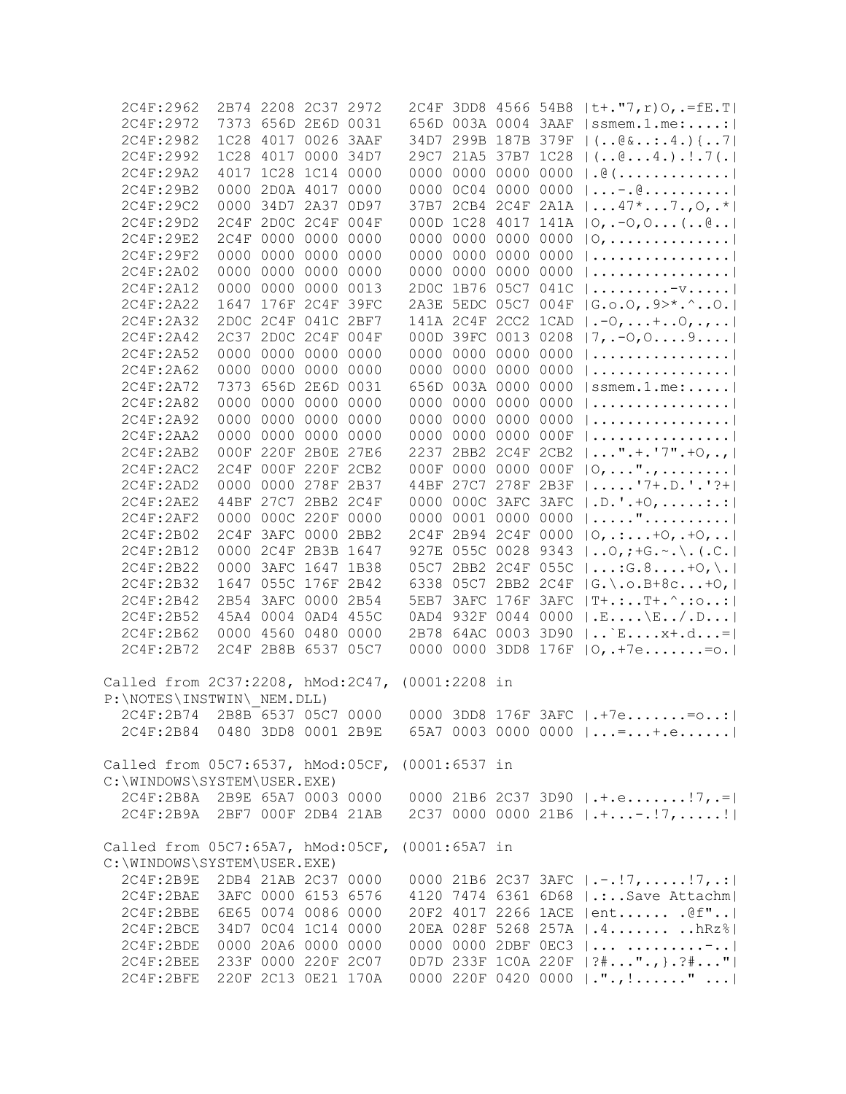| 2C4F:2962                                       |                     | 2B74 2208 2C37 2972 |           |      |                 |                |                     |      | 2C4F 3DD8 4566 54B8  t+."7, r) O, .=fE.T                                 |
|-------------------------------------------------|---------------------|---------------------|-----------|------|-----------------|----------------|---------------------|------|--------------------------------------------------------------------------|
| 2C4F:2972                                       |                     | 7373 656D 2E6D 0031 |           |      |                 |                | 656D 003A 0004 3AAF |      | $ $ ssmem.1.me:                                                          |
| 2C4F:2982                                       |                     | 1C28 4017 0026      |           | 3AAF |                 |                |                     |      | 34D7 299B 187B 379F   (@&:.4.) {7                                        |
| 2C4F:2992                                       |                     | 1C28 4017 0000 34D7 |           |      |                 |                | 29C7 21A5 37B7 1C28 |      | $ (\mathbb{C}4.).:.7(.) $                                                |
| 2C4F:29A2                                       |                     | 4017 1C28 1C14 0000 |           |      | 0000            |                | 0000 0000           | 0000 | $  \cdot \mathbb{G}$ (                                                   |
| 2C4F:29B2                                       |                     | 0000 2D0A 4017      |           | 0000 | 0000            |                | 0C04 0000 0000      |      | $  \ldots - . \, @. \ldots \ldots \ldots  $                              |
| 2C4F:29C2                                       |                     | 0000 34D7 2A37      |           | 0D97 | 37B7            |                |                     |      | 2CB4 2C4F 2A1A $ 47*7.70,.* $                                            |
| 2C4F:29D2                                       |                     | 2C4F 2D0C 2C4F      |           | 004F |                 |                |                     |      | 000D 1C28 4017 141A $ 0, -0, 0$ (0)                                      |
| 2C4F:29E2                                       |                     | 2C4F 0000 0000      |           | 0000 |                 |                | 0000 0000 0000 0000 |      | $ 0, \ldots, \ldots, \ldots,  $                                          |
| 2C4F:29F2                                       |                     | 0000 0000 0000      |           | 0000 |                 | 0000 0000      | 0000 0000           |      |                                                                          |
| 2C4F:2A02                                       |                     | 0000 0000 0000 0000 |           |      |                 |                | 0000 0000 0000 0000 |      |                                                                          |
| 2C4F:2A12                                       |                     | 0000 0000 0000 0013 |           |      |                 |                | 2D0C 1B76 05C7 041C |      | $  \ldots \ldots \ldots \cdots \vdots$                                   |
| 2C4F:2A22                                       |                     | 1647 176F 2C4F      |           | 39FC |                 |                | 2A3E 5EDC 05C7 004F |      | $ G.0.0, .9>^*$ . ^0.                                                    |
| 2C4F:2A32                                       |                     | 2D0C 2C4F 041C 2BF7 |           |      |                 |                | 141A 2C4F 2CC2 1CAD |      | $ .-0, \ldots +0, ., . $                                                 |
| 2C4F:2A42                                       |                     | 2C37 2D0C 2C4F      |           | 004F |                 |                | 000D 39FC 0013 0208 |      |                                                                          |
| 2C4F:2A52                                       |                     | 0000 0000 0000      |           | 0000 |                 |                | 0000 0000 0000 0000 |      | $ 7, -0, 0, \ldots 9, \ldots  $<br>                                      |
| 2C4F:2A62                                       | 0000                | 0000 0000           |           | 0000 |                 |                | 0000 0000 0000 0000 |      |                                                                          |
|                                                 |                     | 7373 656D 2E6D      |           |      |                 | 656D 003A 0000 |                     | 0000 |                                                                          |
| 2C4F:2A72                                       |                     |                     |           | 0031 |                 |                |                     |      | $ $ ssmem.1.me:                                                          |
| 2C4F:2A82                                       | 0000                | 0000 0000           |           | 0000 | 0000            | 0000           | 0000 0000           |      |                                                                          |
| 2C4F:2A92                                       | 0000                | 0000 0000           |           | 0000 | 0000            | 0000           | 0000 0000           |      |                                                                          |
| 2C4F:2AA2                                       | 0000                | 0000 0000           |           | 0000 | 0000            | 0000           | 0000 000F           |      |                                                                          |
| 2C4F:2AB2                                       |                     | 000F 220F 2B0E 27E6 |           |      | 2237            |                | 2BB2 2C4F 2CB2      |      | $  \ldots$ " . + . '7" . +0, . ,                                         |
| 2C4F:2AC2                                       | 2C4F                | 000F 220F           |           | 2CB2 | 000F            | 0000           | 0000 000F           |      | $ 0, \ldots$ ".,                                                         |
| 2C4F:2AD2                                       | 0000                | 0000 278F           |           | 2B37 | 44BF            | 27C7           | 278F 2B3F           |      | $  \ldots   7+ D \cdot   7+  $                                           |
| 2C4F:2AE2                                       | 44BF                | 27C7                | 2BB2 2C4F |      | 0000            | 000C           | 3AFC 3AFC           |      | $ .D.^{\dagger}.+0, \ldots$                                              |
| 2C4F:2AF2                                       | 0000                |                     | 000C 220F | 0000 | 0000            |                | 0001 0000 0000      |      | "                                                                        |
| 2C4F:2B02                                       | 2C4F                | 3AFC 0000           |           | 2BB2 | 2C4F            |                | 2B94 2C4F 0000      |      | $ 0, \ldots, +0, +0, \ldots $                                            |
| 2C4F:2B12                                       |                     | 0000 2C4F 2B3B 1647 |           |      | 927E            | 055C 0028      |                     | 9343 | $ 0,$ ; +G. $\sim$ . \. (.C.)                                            |
| 2C4F:2B22                                       | 0000                | 3AFC 1647           |           | 1B38 | 05C7            |                | 2BB2 2C4F 055C      |      | $ \ldots$ : G. 8 +0, \.                                                  |
| 2C4F:2B32                                       | 1647                | 055C 176F           |           | 2B42 | 6338            | 05C7           | 2BB2 2C4F           |      | $ G. \setminus .0.B+8c+O,  $                                             |
| 2C4F:2B42                                       |                     | 2B54 3AFC 0000      |           | 2B54 | 5EB7            |                | 3AFC 176F           | 3AFC | $ T^+ \cdot : \cdot \cdot T^+ \cdot \hat{\cdot} : \circ \cdot \cdot :  $ |
| 2C4F:2B52                                       |                     | 45A4 0004 0AD4 455C |           |      | 0AD4            | 932F           | 0044 0000           |      | $ \cdot \text{E} \dots \cdot \text{E} \dots / \text{D} \dots  $          |
| 2C4F:2B62                                       |                     | 0000 4560 0480      |           | 0000 | 2B78            |                | 64AC 0003 3D90      |      | $  \dots \rangle$ E $x + . d  =  $                                       |
| 2C4F:2B72                                       |                     | 2C4F 2B8B 6537      |           | 05C7 | 0000            | 0000           | 3DD8 176F           |      | $ 0, .+7e.=0.$                                                           |
| Called from 2C37:2208, hMod:2C47,               |                     |                     |           |      | $(0001:2208$ in |                |                     |      |                                                                          |
| P:\NOTES\INSTWIN\ NEM.DLL)                      |                     |                     |           |      |                 |                |                     |      |                                                                          |
| 2C4F:2B74 2B8B 6537 05C7 0000                   |                     |                     |           |      |                 |                |                     |      | 0000 3DD8 176F 3AFC $ .*7e=0 $                                           |
|                                                 |                     |                     |           |      |                 |                |                     |      | $2C4F:2B84$ 0480 3DD8 0001 2B9E 65A7 0003 0000 0000  =+.e                |
| Called from 05C7:6537, hMod:05CF, (0001:6537 in |                     |                     |           |      |                 |                |                     |      |                                                                          |
| C:\WINDOWS\SYSTEM\USER.EXE)                     |                     |                     |           |      |                 |                |                     |      |                                                                          |
|                                                 |                     |                     |           |      |                 |                |                     |      | 2C4F:2B8A 2B9E 65A7 0003 0000 0000 21B6 2C37 3D90   .+.e! 7, .=          |
| 2C4F:2B9A 2BF7 000F 2DB4 21AB                   |                     |                     |           |      |                 |                |                     |      |                                                                          |
|                                                 |                     |                     |           |      |                 |                |                     |      |                                                                          |
| Called from 05C7:65A7, hMod:05CF, (0001:65A7 in |                     |                     |           |      |                 |                |                     |      |                                                                          |
| C:\WINDOWS\SYSTEM\USER.EXE)                     |                     |                     |           |      |                 |                |                     |      |                                                                          |
| 2C4F:2B9E                                       | 2DB4 21AB 2C37 0000 |                     |           |      |                 |                |                     |      | 0000 21B6 2C37 3AFC $ \cdot - \cdot 7, \ldots 7, \ldots $                |
| 2C4F:2BAE 3AFC 0000 6153 6576                   |                     |                     |           |      |                 |                |                     |      | 4120 7474 6361 6D68   .:Save Attachm                                     |
| 2C4F:2BBE 6E65 0074 0086 0000                   |                     |                     |           |      |                 |                |                     |      | 20F2 4017 2266 1ACE   ent . @f"                                          |
| 2C4F:2BCE 34D7 0C04 1C14 0000                   |                     |                     |           |      |                 |                |                     |      | 20EA 028F 5268 257A   .4  hRz%                                           |
| 2C4F:2BDE 0000 20A6 0000 0000                   |                     |                     |           |      |                 |                |                     |      | 0000 0000 2DBF 0EC3    -                                                 |
| 2C4F:2BEE 233F 0000 220F 2C07                   |                     |                     |           |      |                 |                |                     |      | 0D7D 233F 1C0A 220F   ?#"., } . ?#"                                      |
| 2C4F:2BFE 220F 2C13 0E21 170A                   |                     |                     |           |      |                 |                |                     |      | 0000 220F 0420 0000  .".,!"                                              |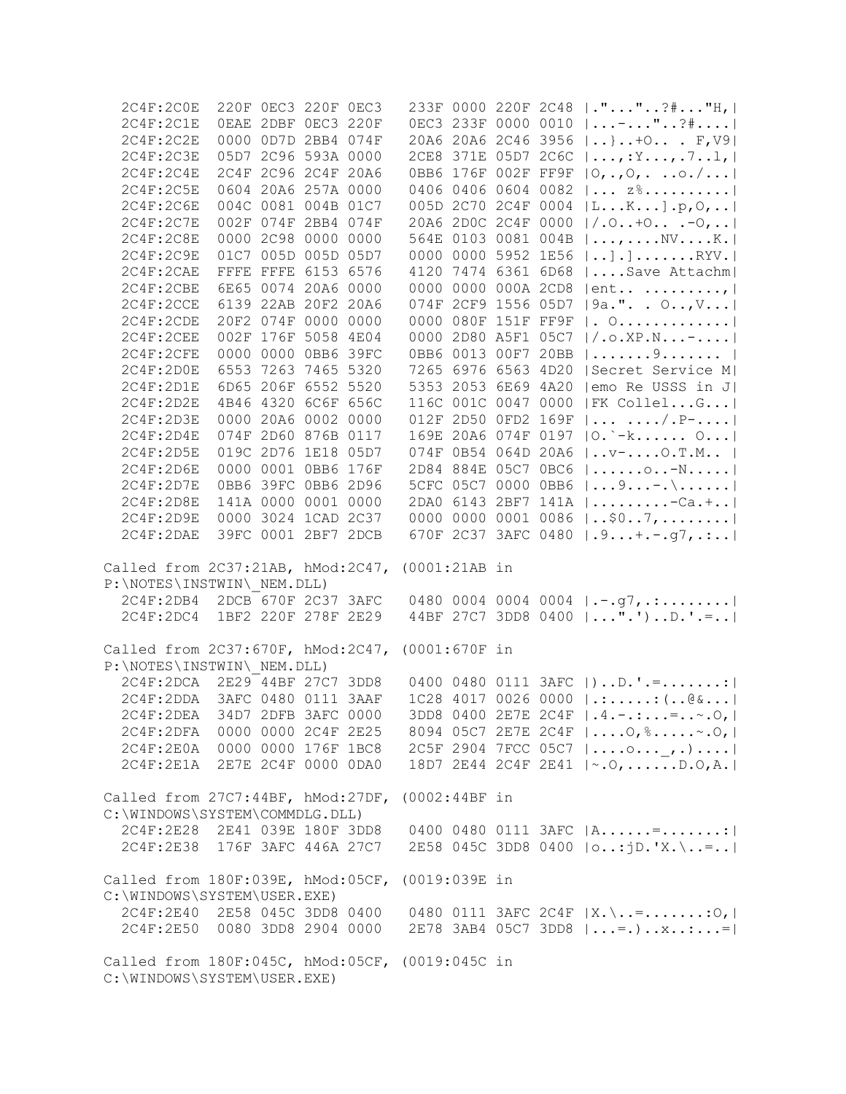| 2C4F:2C1E<br>2C4F:2C2E                                                         |  | 220F 0EC3 220F 0EC3 |               |                     |                     | 233F 0000 220F 2C48  .""?#"H,                                        |
|--------------------------------------------------------------------------------|--|---------------------|---------------|---------------------|---------------------|----------------------------------------------------------------------|
|                                                                                |  | OEAE 2DBF OEC3 220F |               |                     |                     | 0EC3 233F 0000 0010    -  " ? #                                      |
|                                                                                |  | 0000 0D7D 2BB4 074F |               |                     |                     | 20A6 20A6 2C46 3956    }  + O. F, V9                                 |
| 2C4F:2C3E                                                                      |  | 05D7 2C96 593A 0000 |               |                     |                     | 2CE8 371E 05D7 2C6C   , : Y, . 7 1,                                  |
| 2C4F:2C4E                                                                      |  | 2C4F 2C96 2C4F 20A6 |               |                     |                     | OBB6 176F 002F FF9F $ 0, ., 0,0. /  $                                |
| 2C4F:2C5E                                                                      |  | 0604 20A6 257A 0000 |               |                     |                     | 0406 0406 0604 0082   $z^s$                                          |
| 2C4F:2C6E                                                                      |  | 004C 0081 004B 01C7 |               |                     |                     | 005D 2C70 2C4F 0004  LK].p, 0,                                       |
| 2C4F:2C7E                                                                      |  | 002F 074F 2BB4 074F |               |                     |                     | 20A6 2D0C 2C4F 0000  /.O+O .-O,                                      |
| 2C4F:2C8E                                                                      |  | 0000 2C98 0000 0000 |               |                     |                     | 564E 0103 0081 004B   ,  . NV K.                                     |
| 2C4F:2C9E                                                                      |  | 01C7 005D 005D 05D7 |               |                     |                     | 0000 0000 5952 1E56    ] . ] RYV.                                    |
| 2C4F:2CAE                                                                      |  | FFFE FFFE 6153 6576 |               |                     |                     | 4120 7474 6361 6D68    Save Attachm                                  |
| 2C4F:2CBE                                                                      |  | 6E65 0074 20A6 0000 |               |                     |                     | 0000 0000 000A 2CD8   ent ,                                          |
| 2C4F:2CCE                                                                      |  | 6139 22AB 20F2 20A6 |               |                     |                     | 074F 2CF9 1556 05D7   9a.". . O, V                                   |
| 2C4F:2CDE                                                                      |  | 20F2 074F 0000 0000 |               | 0000 080F 151F FF9F |                     | . 0.                                                                 |
| 2C4F:2CEE                                                                      |  | 002F 176F 5058 4E04 |               | 0000 2D80 A5F1 05C7 |                     | $  / . \circ . \times P . N -  $                                     |
| 2C4F:2CFE                                                                      |  | 0000 0000 0BB6 39FC |               |                     |                     | 0BB6 0013 00F7 20BB   9                                              |
| 2C4F:2D0E                                                                      |  | 6553 7263 7465 5320 |               |                     | 7265 6976 6563 4D20 | Secret Service M                                                     |
| 2C4F:2D1E                                                                      |  | 6D65 206F 6552 5520 |               |                     |                     | 5353 2053 6E69 4A20   emo Re USSS in J                               |
| 2C4F:2D2E                                                                      |  | 4B46 4320 6C6F 656C |               |                     |                     | 116C 001C 0047 0000   FK CollelG                                     |
| 2C4F:2D3E                                                                      |  | 0000 20A6 0002 0000 |               |                     |                     | 012F 2D50 0FD2 169F $  \ldots \ldots / P^{-} \ldots  $               |
| 2C4F:2D4E                                                                      |  | 074F 2D60 876B 0117 |               | 169E 20A6 074F 0197 |                     | $[0, -k, \ldots, 0, \ldots]$                                         |
| 2C4F:2D5E                                                                      |  | 019C 2D76 1E18 05D7 |               | 074F 0B54 064D 20A6 |                     | $ v-0.T.M $                                                          |
| 2C4F:2D6E                                                                      |  | 0000 0001 0BB6 176F |               |                     |                     | 2D84 884E 05C7 0BC6    o-N                                           |
| 2C4F:2D7E                                                                      |  | 0BB6 39FC 0BB6 2D96 |               |                     |                     | 5CFC 05C7 0000 0BB6 $ 9- \lambda$                                    |
| 2C4F:2D8E                                                                      |  | 141A 0000 0001 0000 |               |                     |                     | 2DA0 6143 2BF7 141A   -Ca.+                                          |
| 2C4F:2D9E                                                                      |  | 0000 3024 1CAD 2C37 |               |                     |                     | 0000 0000 0001 0086   \$07,                                          |
| 2C4F:2DAE                                                                      |  | 39FC 0001 2BF7 2DCB |               |                     |                     | 670F 2C37 3AFC 0480   . 9. + . - . g7, . :                           |
|                                                                                |  |                     |               |                     |                     |                                                                      |
| Called from 2C37:21AB, hMod:2C47,                                              |  |                     | (0001:21AB in |                     |                     |                                                                      |
|                                                                                |  |                     |               |                     |                     |                                                                      |
| P:\NOTES\INSTWIN\ NEM.DLL)                                                     |  |                     |               |                     |                     |                                                                      |
| 2C4F:2DB4 2DCB 670F 2C37 3AFC                                                  |  |                     |               |                     |                     | 0480 0004 0004 0004 $\left  \cdot -.97, \ldots \ldots \right $       |
| 2C4F:2DC4 1BF2 220F 278F 2E29                                                  |  |                     |               |                     |                     | 44BF 27C7 3DD8 0400  ".')D.'.=                                       |
| Called from 2C37:670F, hMod:2C47, (0001:670F in                                |  |                     |               |                     |                     |                                                                      |
| P:\NOTES\INSTWIN\ NEM.DLL)                                                     |  |                     |               |                     |                     |                                                                      |
| 2C4F:2DCA 2E29 44BF 27C7 3DD8                                                  |  |                     |               |                     |                     | 0400 0480 0111 3AFC $ \cdot $ .D.'.=:                                |
| 2C4F:2DDA 3AFC 0480 0111 3AAF                                                  |  |                     |               |                     |                     | $1C28$ 4017 0026 0000  .:: (@&                                       |
| 2C4F:2DEA 34D7 2DFB 3AFC 0000                                                  |  |                     |               |                     |                     | 3DD8 0400 2E7E 2C4F   .4. -.:=~. O,                                  |
| 2C4F:2DFA 0000 0000 2C4F 2E25                                                  |  |                     |               |                     |                     | 8094 05C7 2E7E 2C4F    0, %~. 0,                                     |
| 2C4F:2E0A 0000 0000 176F 1BC8                                                  |  |                     |               |                     |                     |                                                                      |
| 2C4F:2E1A 2E7E 2C4F 0000 0DA0                                                  |  |                     |               |                     |                     | 2C5F 2904 7FCC 05C7  o_,.) <br>18D7 2E44 2C4F 2E41   ~. 0,  D. 0, A. |
|                                                                                |  |                     |               |                     |                     |                                                                      |
| Called from 27C7:44BF, hMod:27DF, (0002:44BF in                                |  |                     |               |                     |                     |                                                                      |
| C:\WINDOWS\SYSTEM\COMMDLG.DLL)                                                 |  |                     |               |                     |                     |                                                                      |
| 2C4F:2E28 2E41 039E 180F 3DD8                                                  |  |                     |               |                     |                     | 0400 0480 0111 3AFC $ A$ =                                           |
| 2C4F:2E38 176F 3AFC 446A 27C7                                                  |  |                     |               |                     |                     | 2E58 045C 3DD8 0400 $ 0:jD."X.\.\.\.\ .\ .\$                         |
| Called from 180F:039E, hMod:05CF, (0019:039E in                                |  |                     |               |                     |                     |                                                                      |
| C:\WINDOWS\SYSTEM\USER.EXE)                                                    |  |                     |               |                     |                     |                                                                      |
| 2C4F:2E40 2E58 045C 3DD8 0400                                                  |  |                     |               |                     |                     | 0480 0111 3AFC 2C4F $ X_{\cdot}\rangle$ =:0,                         |
| 2C4F:2E50 0080 3DD8 2904 0000                                                  |  |                     |               |                     |                     | 2E78 3AB4 05C7 3DD8 $  = .$                                          |
|                                                                                |  |                     |               |                     |                     |                                                                      |
| Called from 180F:045C, hMod:05CF, (0019:045C in<br>C:\WINDOWS\SYSTEM\USER.EXE) |  |                     |               |                     |                     |                                                                      |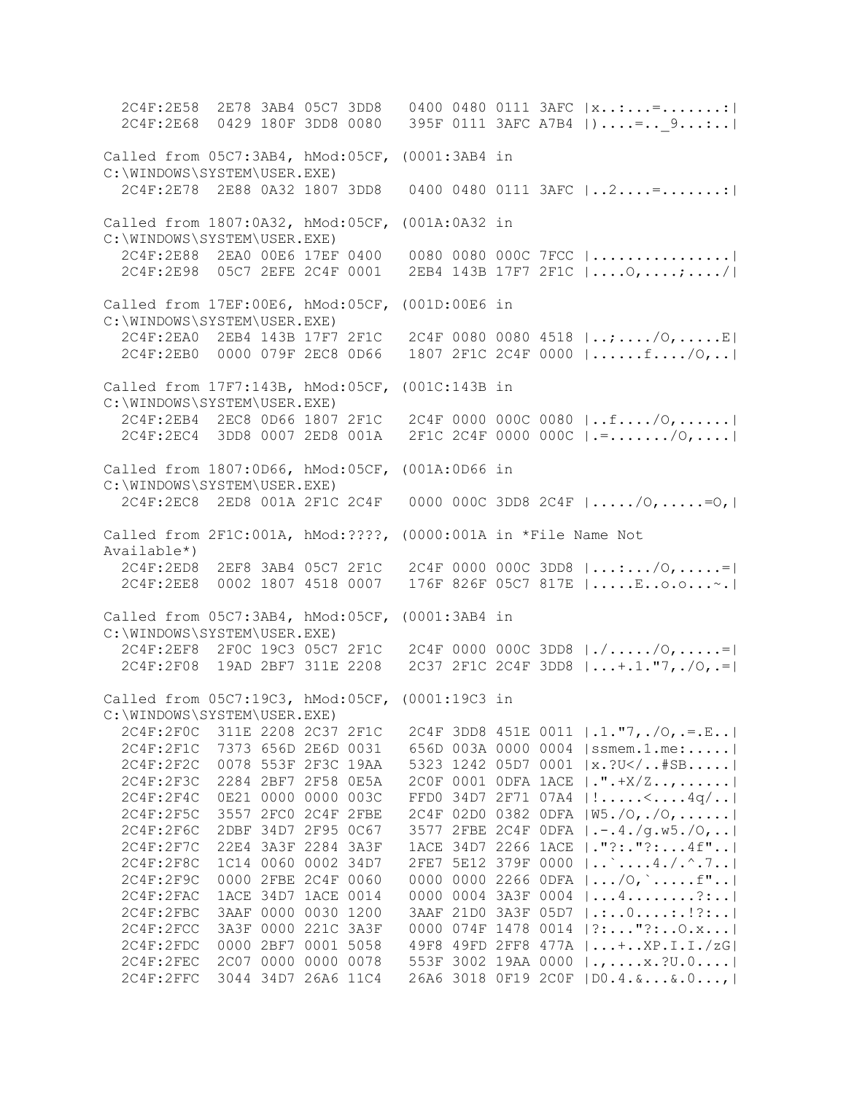2C4F:2E58 2E78 3AB4 05C7 3DD8 0400 0480 0111 3AFC |x..:...=.......:| 2C4F:2E68 0429 180F 3DD8 0080 395F 0111 3AFC A7B4 |)....=..\_9...:..| Called from 05C7:3AB4, hMod:05CF, (0001:3AB4 in C:\WINDOWS\SYSTEM\USER.EXE) 2C4F:2E78 2E88 0A32 1807 3DD8 0400 0480 0111 3AFC |..2....=.......:| Called from 1807:0A32, hMod:05CF, (001A:0A32 in C:\WINDOWS\SYSTEM\USER.EXE) 2C4F:2E88 2EA0 00E6 17EF 0400 0080 0080 000C 7FCC |................| 2C4F:2E98 05C7 2EFE 2C4F 0001 2EB4 143B 17F7 2F1C |....O,....;..../| Called from 17EF:00E6, hMod:05CF, (001D:00E6 in C:\WINDOWS\SYSTEM\USER.EXE) 2C4F:2EA0 2EB4 143B 17F7 2F1C 2C4F 0080 0080 4518 |..;..../O,.....E| 2C4F:2EB0 0000 079F 2EC8 0D66 1807 2F1C 2C4F 0000 |......f..../O,..| Called from 17F7:143B, hMod:05CF, (001C:143B in C:\WINDOWS\SYSTEM\USER.EXE) 2C4F:2EB4 2EC8 0D66 1807 2F1C 2C4F 0000 000C 0080 |..f..../O,......| 2C4F:2EC4 3DD8 0007 2ED8 001A 2F1C 2C4F 0000 000C |.=......./O,....| Called from 1807:0D66, hMod:05CF, (001A:0D66 in C:\WINDOWS\SYSTEM\USER.EXE) 2C4F:2EC8 2ED8 001A 2F1C 2C4F 0000 000C 3DD8 2C4F |...../O,.....=O,| Called from 2F1C:001A, hMod:????, (0000:001A in \*File Name Not Available\*) 2C4F:2ED8 2EF8 3AB4 05C7 2F1C 2C4F 0000 000C 3DD8 |...:.../O,.....=| 2C4F:2EE8 0002 1807 4518 0007 176F 826F 05C7 817E |.....E..o.o...~.| Called from 05C7:3AB4, hMod:05CF, (0001:3AB4 in C:\WINDOWS\SYSTEM\USER.EXE) 2C4F:2EF8 2F0C 19C3 05C7 2F1C 2C4F 0000 000C 3DD8 |./...../O,.....=| 2C4F:2F08 19AD 2BF7 311E 2208 2C37 2F1C 2C4F 3DD8 |...+.1."7,./O,.=| Called from 05C7:19C3, hMod:05CF, (0001:19C3 in C:\WINDOWS\SYSTEM\USER.EXE) 2C4F:2F0C 311E 2208 2C37 2F1C 2C4F 3DD8 451E 0011 |.1."7,./O,.=.E..| 2C4F:2F1C 7373 656D 2E6D 0031 656D 003A 0000 0004 |ssmem.1.me:.....| 2C4F:2F2C 0078 553F 2F3C 19AA 5323 1242 05D7 0001 |x.?U</..#SB.....| 2C4F:2F3C 2284 2BF7 2F58 0E5A 2C0F 0001 0DFA 1ACE |.".+X/Z..,......| 2C4F:2F4C 0E21 0000 0000 003C FFD0 34D7 2F71 07A4 |!.....<....4q/..| 2C4F:2F5C 3557 2FC0 2C4F 2FBE 2C4F 02D0 0382 0DFA |W5./O,./O,......| 2C4F:2F6C 2DBF 34D7 2F95 0C67 3577 2FBE 2C4F 0DFA |.-.4./g.w5./O,..| 2C4F:2F7C 22E4 3A3F 2284 3A3F 1ACE 34D7 2266 1ACE |."?:."?:...4f"..| 2C4F:2F8C 1C14 0060 0002 34D7 2FE7 5E12 379F 0000 |..`....4./.^.7..| 2C4F:2F9C 0000 2FBE 2C4F 0060 0000 0000 2266 0DFA |.../O,`.....f"..| 2C4F:2FAC 1ACE 34D7 1ACE 0014 0000 0004 3A3F 0004 |...4........?:..| 2C4F:2FBC 3AAF 0000 0030 1200 3AAF 21D0 3A3F 05D7 |.:..0....:.!?:..| 2C4F:2FCC 3A3F 0000 221C 3A3F 0000 074F 1478 0014 |?:..."?:..O.x...| 2C4F:2FDC 0000 2BF7 0001 5058 49F8 49FD 2FF8 477A |...+..XP.I.I./zG| 2C4F:2FEC 2C07 0000 0000 0078 553F 3002 19AA 0000 |.,....x.?U.0....| 2C4F:2FFC 3044 34D7 26A6 11C4 26A6 3018 0F19 2C0F |D0.4.&...&.0...,|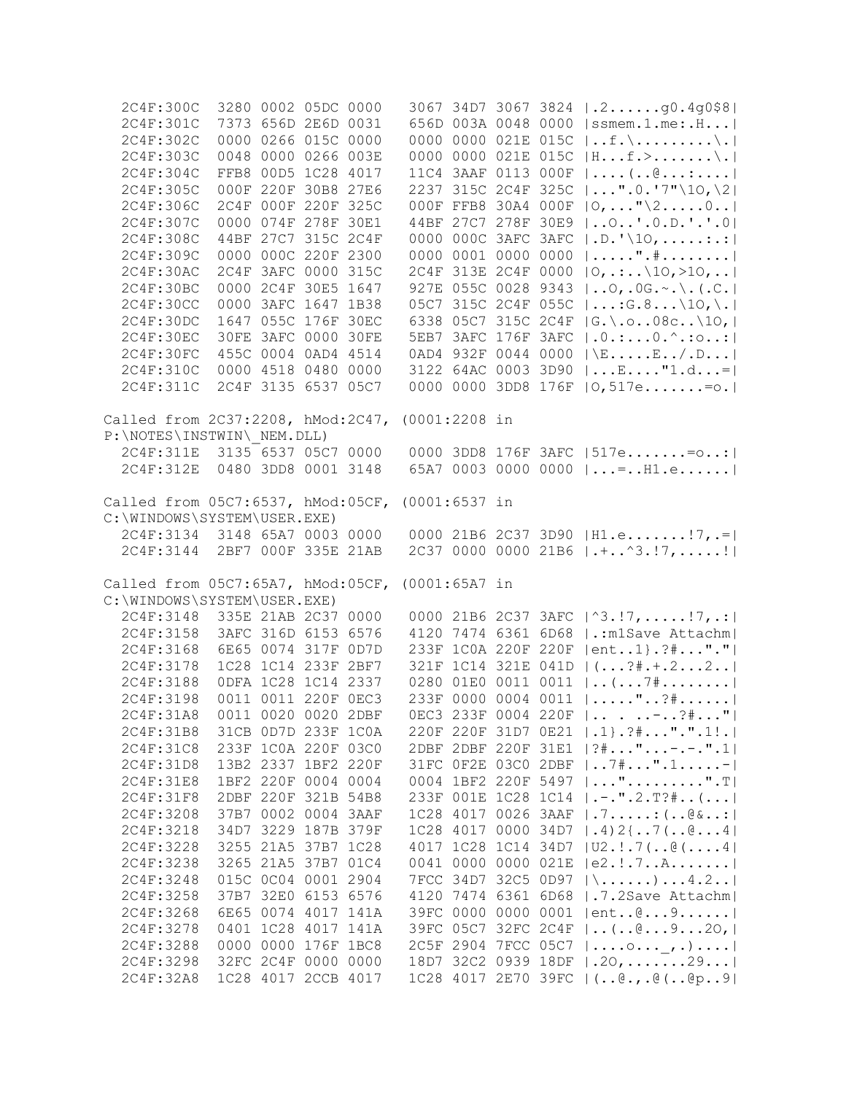| 2C4F:300C                                       |                     | 3280 0002 05DC 0000 |      |                 |           |                     | 3067 34D7 3067 3824   .2g0.4g0\$8                                                                               |
|-------------------------------------------------|---------------------|---------------------|------|-----------------|-----------|---------------------|-----------------------------------------------------------------------------------------------------------------|
| 2C4F:301C                                       |                     | 7373 656D 2E6D 0031 |      |                 |           |                     | 656D 003A 0048 0000  ssmem.1.me:.H                                                                              |
| 2C4F:302C                                       |                     | 0000 0266 015C 0000 |      |                 |           |                     | 0000 0000 021E 015C $ f.\rangle\rangle.$                                                                        |
| 2C4F:303C                                       |                     | 0048 0000 0266 003E |      |                 |           |                     | 0000 0000 021E 015C  Hf.>\.                                                                                     |
| 2C4F:304C                                       |                     | FFB8 00D5 1C28 4017 |      |                 |           |                     | 11C4 3AAF 0113 000F $  \dots ( \cdot \theta \dots \dots  $                                                      |
| 2C4F:305C                                       |                     | 000F 220F 30B8 27E6 |      |                 |           |                     | 2237 315C 2C4F 325C   ".0.'7"\10,\2                                                                             |
| 2C4F:306C                                       |                     | 2C4F 000F 220F 325C |      |                 |           |                     | 000F FFB8 30A4 000F   O,  "\20                                                                                  |
| 2C4F:307C                                       |                     | 0000 074F 278F 30E1 |      |                 |           |                     | 44BF 27C7 278F 30E9    O'. O.D.'.'. O                                                                           |
| 2C4F:308C                                       |                     | 44BF 27C7 315C 2C4F |      |                 |           |                     | 0000 000C 3AFC 3AFC   .D. '\10, :.:                                                                             |
| 2C4F:309C                                       |                     | 0000 000C 220F 2300 |      |                 |           |                     | 0000 0001 0000 0000 $  \ldots \ldots \ldots \ldots \ldots  $                                                    |
| 2C4F:30AC                                       |                     | 2C4F 3AFC 0000 315C |      |                 |           |                     | 2C4F 313E 2C4F 0000   0, .: \10, >10,                                                                           |
| 2C4F:30BC                                       |                     | 0000 2C4F 30E5 1647 |      |                 |           |                     | 927E 055C 0028 9343    0, . 0G. ~. \. (. C.                                                                     |
| 2C4F:30CC                                       |                     | 0000 3AFC 1647 1B38 |      |                 |           |                     | 05C7 315C 2C4F 055C $ ;G.8 \10, \. $                                                                            |
| 2C4F:30DC                                       |                     | 1647 055C 176F 30EC |      |                 |           |                     | 6338 05C7 315C 2C4F   G.\.o08c\10,                                                                              |
| 2C4F:30EC                                       |                     | 30FE 3AFC 0000 30FE |      |                 |           |                     | 5EB7 3AFC 176F 3AFC   .0.:0.^.:0:                                                                               |
| 2C4F:30FC                                       |                     | 455C 0004 0AD4 4514 |      |                 |           |                     | 0AD4 932F 0044 0000 $ \E_{E}/D $                                                                                |
| 2C4F:310C                                       |                     | 0000 4518 0480 0000 |      |                 |           |                     | 3122 64AC 0003 3D90 $ E"1.d= $                                                                                  |
| 2C4F:311C                                       |                     |                     |      |                 |           |                     |                                                                                                                 |
|                                                 |                     | 2C4F 3135 6537 05C7 |      |                 |           |                     | 0000 0000 3DD8 176F   0,517e= o.                                                                                |
| Called from 2C37:2208, hMod:2C47,               |                     |                     |      | $(0001:2208$ in |           |                     |                                                                                                                 |
| P:\NOTES\INSTWIN\ NEM.DLL)                      |                     |                     |      |                 |           |                     |                                                                                                                 |
| 2C4F:311E 3135 6537 05C7 0000                   |                     |                     |      |                 |           |                     | 0000 3DD8 176F 3AFC   517e= o:                                                                                  |
| 2C4F: 312E                                      | 0480 3DD8 0001 3148 |                     |      |                 |           |                     | 65A7 0003 0000 0000 $  = . H1.e$                                                                                |
|                                                 |                     |                     |      |                 |           |                     |                                                                                                                 |
| Called from 05C7:6537, hMod:05CF, (0001:6537 in |                     |                     |      |                 |           |                     |                                                                                                                 |
| C:\WINDOWS\SYSTEM\USER.EXE)                     |                     |                     |      |                 |           |                     |                                                                                                                 |
| 2C4F:3134 3148 65A7 0003 0000                   |                     |                     |      |                 |           |                     | 0000 21B6 2C37 3D90   H1.e! 7, .=                                                                               |
| 2C4F:3144 2BF7 000F 335E 21AB                   |                     |                     |      |                 |           |                     | 2C37 0000 0000 21B6 $\vert \cdot \vert \cdot \cdot \cdot \cdot \cdot \cdot \cdot \cdot \cdot \cdot \vert \vert$ |
|                                                 |                     |                     |      |                 |           |                     |                                                                                                                 |
| Called from 05C7:65A7, hMod:05CF, (0001:65A7 in |                     |                     |      |                 |           |                     |                                                                                                                 |
| C:\WINDOWS\SYSTEM\USER.EXE)                     |                     |                     |      |                 |           |                     |                                                                                                                 |
| 2C4F:3148                                       | 335E 21AB 2C37 0000 |                     |      |                 |           |                     | 0000 21B6 2C37 3AFC   ^3.!7, !7, .:                                                                             |
| 2C4F:3158                                       |                     | 3AFC 316D 6153 6576 |      |                 |           |                     | 4120 7474 6361 6D68   .: m1Save Attachm                                                                         |
| 2C4F:3168                                       |                     | 6E65 0074 317F 0D7D |      |                 |           |                     | 233F 1COA 220F 220F   ent1 }. ?# "."                                                                            |
| 2C4F:3178                                       |                     | 1C28 1C14 233F 2BF7 |      |                 |           |                     | 321F 1C14 321E 041D   (?#.+.22                                                                                  |
| 2C4F:3188                                       |                     | ODFA 1C28 1C14 2337 |      |                 |           |                     | 0280 01E0 0011 0011    (  7#                                                                                    |
| 2C4F:3198                                       |                     | 0011 0011 220F 0EC3 |      |                 |           |                     | 233F 0000 0004 0011  "?#                                                                                        |
| 2C4F:31A8                                       |                     | 0011 0020 0020 2DBF |      |                 |           |                     | OEC3 233F 0004 220F    - ?#"                                                                                    |
| 2C4F:31B8                                       |                     | 31CB 0D7D 233F 1C0A |      |                 | 220F 220F |                     | $31D7$ $0E21$ $  .1 \}$ . $?$ #".".1!.                                                                          |
| 2C4F:31C8                                       |                     | 233F 1C0A 220F 03C0 |      |                 |           | 2DBF 2DBF 220F 31E1 | $ ?$ # " - . - . " . 1                                                                                          |
| 2C4F:31D8                                       |                     | 13B2 2337 1BF2 220F |      |                 |           | 31FC OF2E 03C0 2DBF | $ 7*"$ . 1-                                                                                                     |
| 2C4F: 31E8                                      |                     | 1BF2 220F 0004 0004 |      |                 |           | 0004 1BF2 220F 5497 | $  \ldots$ "".T                                                                                                 |
| 2C4F: 31F8                                      | 2DBF                | 220F 321B 54B8      |      |                 |           | 233F 001E 1C28 1C14 | $ $ ".2.T?# $( $                                                                                                |
| 2C4F:3208                                       |                     | 37B7 0002 0004 3AAF |      |                 |           | 1C28 4017 0026 3AAF | .7. : ( @ & :                                                                                                   |
| 2C4F:3218                                       |                     | 34D7 3229 187B 379F |      |                 |           | 1C28 4017 0000 34D7 | $  .4)$ 2 { $.7$ ( $.6$ $.4$ }                                                                                  |
| 2C4F:3228                                       |                     | 3255 21A5 37B7 1C28 |      |                 |           |                     | 4017 1C28 1C14 34D7 $ U2.$ 7(@(4)                                                                               |
| 2C4F:3238                                       |                     | 3265 21A5 37B7 01C4 |      |                 |           | 0041 0000 0000 021E | e2.1.7A                                                                                                         |
| 2C4F:3248                                       |                     | 015C 0C04 0001 2904 |      |                 |           | 7FCC 34D7 32C5 0D97 | $ \ldots \ldots \ldots \ldots 4.2 \ldots $                                                                      |
| 2C4F:3258                                       |                     | 37B7 32E0 6153 6576 |      |                 |           | 4120 7474 6361 6D68 | .7.2Save Attachm                                                                                                |
| 2C4F:3268                                       | 6E65                | 0074 4017 141A      |      |                 |           | 39FC 0000 0000 0001 | ent@9                                                                                                           |
| 2C4F:3278                                       |                     | 0401 1C28 4017      | 141A |                 |           | 39FC 05C7 32FC 2C4F | $  \ldots ( \ldots \emptyset \ldots 9 \ldots 20,  $                                                             |
| 2C4F:3288                                       |                     | 0000 0000 176F 1BC8 |      |                 |           | 2C5F 2904 7FCC 05C7 | $  \ldots 0 \ldots 0 \ldots 1 \rangle$                                                                          |
| 2C4F:3298                                       |                     | 32FC 2C4F 0000 0000 |      |                 |           | 18D7 32C2 0939 18DF | $ .20, \ldots  .29 $                                                                                            |
| 2C4F:32A8                                       |                     | 1C28 4017 2CCB 4017 |      |                 |           |                     | 1C28 4017 2E70 39FC   (@.,.@(@p9                                                                                |
|                                                 |                     |                     |      |                 |           |                     |                                                                                                                 |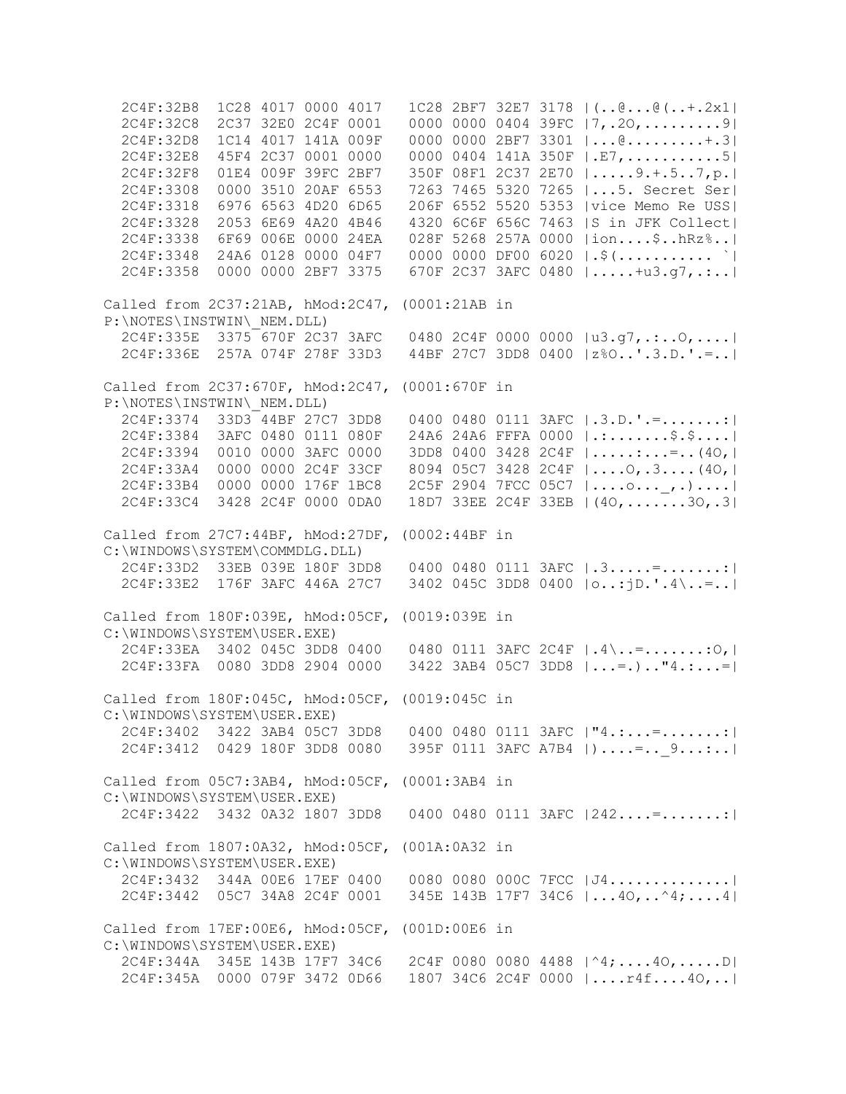2C4F:32B8 1C28 4017 0000 4017 1C28 2BF7 32E7 3178 |(..@...@(..+.2x1| 2C4F:32C8 2C37 32E0 2C4F 0001 0000 0000 0404 39FC |7,.2O,.........9| 2C4F:32D8 1C14 4017 141A 009F 0000 0000 2BF7 3301 |...@.........+.3| 2C4F:32E8 45F4 2C37 0001 0000 0000 0404 141A 350F |.E7,...........5| 2C4F:32F8 01E4 009F 39FC 2BF7 350F 08F1 2C37 2E70 |.....9.+.5..7,p.| 2C4F:3308 0000 3510 20AF 6553 7263 7465 5320 7265 |...5. Secret Ser| 2C4F:3318 6976 6563 4D20 6D65 206F 6552 5520 5353 |vice Memo Re USS| 2C4F:3328 2053 6E69 4A20 4B46 4320 6C6F 656C 7463 |S in JFK Collect| 2C4F:3338 6F69 006E 0000 24EA 028F 5268 257A 0000 |ion....\$..hRz%..| 2C4F:3348 24A6 0128 0000 04F7 0000 0000 DF00 6020 |.\$(........... `| 2C4F:3358 0000 0000 2BF7 3375 670F 2C37 3AFC 0480 |.....+u3.g7,.:..| Called from 2C37:21AB, hMod:2C47, (0001:21AB in P:\NOTES\INSTWIN\\_NEM.DLL) 2C4F:335E 3375 670F 2C37 3AFC 0480 2C4F 0000 0000 |u3.g7,.:..O,....| 2C4F:336E 257A 074F 278F 33D3 44BF 27C7 3DD8 0400 |z%O..'.3.D.'.=..| Called from 2C37:670F, hMod:2C47, (0001:670F in P:\NOTES\INSTWIN\\_NEM.DLL) 2C4F:3374 33D3 44BF 27C7 3DD8 0400 0480 0111 3AFC |.3.D.'.=.......:| 2C4F:3384 3AFC 0480 0111 080F 24A6 24A6 FFFA 0000 |.:.......\$.\$....| 2C4F:3394 0010 0000 3AFC 0000 3DD8 0400 3428 2C4F |.....:...=..(4O,| 2C4F:33A4 0000 0000 2C4F 33CF 8094 05C7 3428 2C4F |....O,.3....(4O,| 2C4F:33B4 0000 0000 176F 1BC8 2C5F 2904 7FCC 05C7 |....o...\_,.)....| 2C4F:33C4 3428 2C4F 0000 0DA0 18D7 33EE 2C4F 33EB |(40,.......30,.3) Called from 27C7:44BF, hMod:27DF, (0002:44BF in C:\WINDOWS\SYSTEM\COMMDLG.DLL) 2C4F:33D2 33EB 039E 180F 3DD8 0400 0480 0111 3AFC |.3.....=.......:| 2C4F:33E2 176F 3AFC 446A 27C7 3402 045C 3DD8 0400 |o..:jD.'.4\..=..| Called from 180F:039E, hMod:05CF, (0019:039E in C:\WINDOWS\SYSTEM\USER.EXE) 2C4F:33EA 3402 045C 3DD8 0400 0480 0111 3AFC 2C4F |.4\..=.......:O,| 2C4F:33FA 0080 3DD8 2904 0000 3422 3AB4 05C7 3DD8 |...=.).."4.:...=| Called from 180F:045C, hMod:05CF, (0019:045C in C:\WINDOWS\SYSTEM\USER.EXE) 2C4F:3402 3422 3AB4 05C7 3DD8 0400 0480 0111 3AFC |"4.:...=.......:| 2C4F:3412 0429 180F 3DD8 0080 395F 0111 3AFC A7B4 |)....=..\_9...:..| Called from 05C7:3AB4, hMod:05CF, (0001:3AB4 in C:\WINDOWS\SYSTEM\USER.EXE) 2C4F:3422 3432 0A32 1807 3DD8 0400 0480 0111 3AFC |242....=.......:| Called from 1807:0A32, hMod:05CF, (001A:0A32 in C:\WINDOWS\SYSTEM\USER.EXE) 2C4F:3432 344A 00E6 17EF 0400 0080 0080 000C 7FCC |J4..............| 2C4F:3442 05C7 34A8 2C4F 0001 345E 143B 17F7 34C6 |...4O,..^4;....4| Called from 17EF:00E6, hMod:05CF, (001D:00E6 in C:\WINDOWS\SYSTEM\USER.EXE) 2C4F:344A 345E 143B 17F7 34C6 2C4F 0080 0080 4488 |^4;....4O,.....D| 2C4F:345A 0000 079F 3472 0D66 1807 34C6 2C4F 0000 |....r4f....4O,..|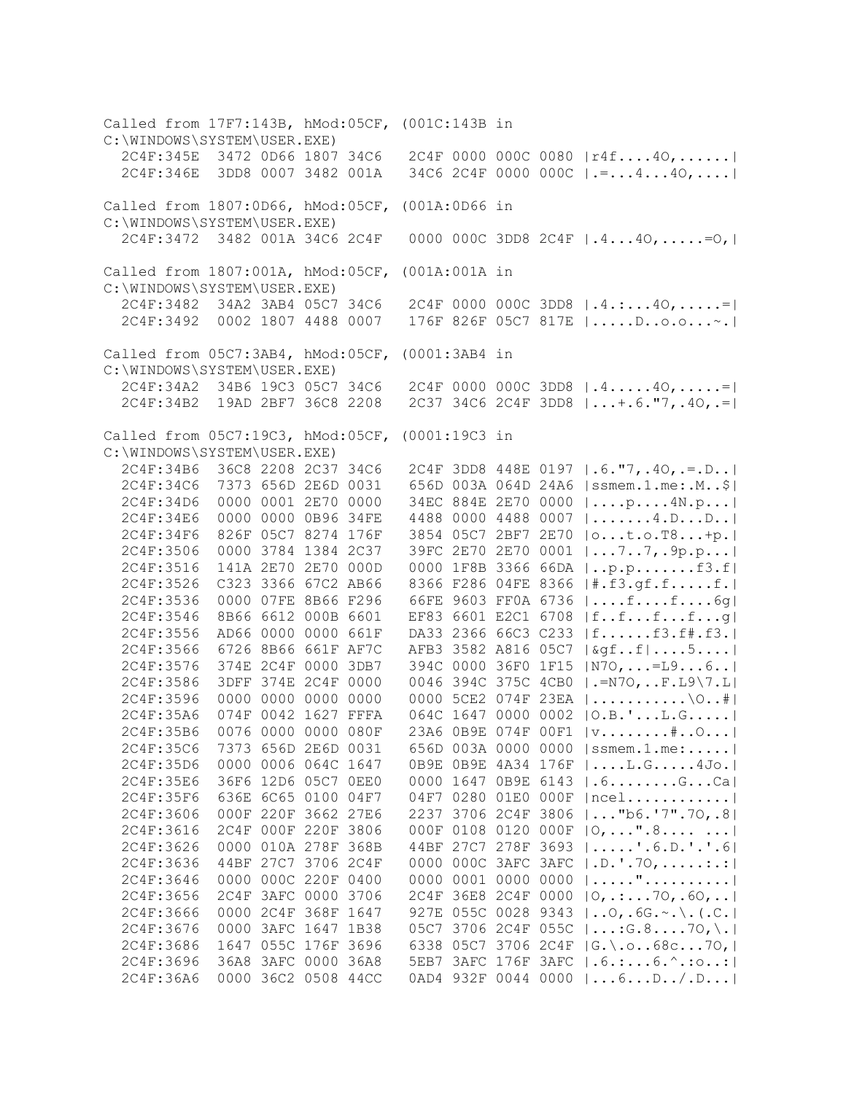Called from 17F7:143B, hMod:05CF, (001C:143B in C:\WINDOWS\SYSTEM\USER.EXE) 2C4F:345E 3472 0D66 1807 34C6 2C4F 0000 000C 0080 |r4f....4O,......| 2C4F:346E 3DD8 0007 3482 001A 34C6 2C4F 0000 000C |.=...4...4O,....| Called from 1807:0D66, hMod:05CF, (001A:0D66 in C:\WINDOWS\SYSTEM\USER.EXE) 2C4F:3472 3482 001A 34C6 2C4F 0000 000C 3DD8 2C4F |.4...4O,.....=O,| Called from 1807:001A, hMod:05CF, (001A:001A in C:\WINDOWS\SYSTEM\USER.EXE) 2C4F:3482 34A2 3AB4 05C7 34C6 2C4F 0000 000C 3DD8 |.4.:...4O,.....=| 2C4F:3492 0002 1807 4488 0007 176F 826F 05C7 817E |.....D..o.o...~.| Called from 05C7:3AB4, hMod:05CF, (0001:3AB4 in C:\WINDOWS\SYSTEM\USER.EXE) 2C4F:34A2 34B6 19C3 05C7 34C6 2C4F 0000 000C 3DD8 |.4.....4O,.....=| 2C4F:34B2 19AD 2BF7 36C8 2208 2C37 34C6 2C4F 3DD8 |...+.6."7,.4O,.=| Called from 05C7:19C3, hMod:05CF, (0001:19C3 in C:\WINDOWS\SYSTEM\USER.EXE) 2C4F:34B6 36C8 2208 2C37 34C6 2C4F 3DD8 448E 0197 |.6."7,.4O,.=.D..| 2C4F:34C6 7373 656D 2E6D 0031 656D 003A 064D 24A6 |ssmem.1.me:.M..\$| 2C4F:34D6 0000 0001 2E70 0000 34EC 884E 2E70 0000 |....p....4N.p...| 2C4F:34E6 0000 0000 0B96 34FE 4488 0000 4488 0007 |.......4.D...D..| 2C4F:34F6 826F 05C7 8274 176F 3854 05C7 2BF7 2E70 |o...t.o.T8...+p.| 2C4F:3506 0000 3784 1384 2C37 39FC 2E70 2E70 0001 |...7..7,.9p.p...| 2C4F:3516 141A 2E70 2E70 000D 0000 1F8B 3366 66DA |..p.p.......f3.f| 2C4F:3526 C323 3366 67C2 AB66 8366 F286 04FE 8366 |#.f3.gf.f.....f.| 2C4F:3536 0000 07FE 8B66 F296 66FE 9603 FF0A 6736 |....f....f....6g| 2C4F:3546 8B66 6612 000B 6601 EF83 6601 E2C1 6708 |f..f...f...f...g| 2C4F:3556 AD66 0000 0000 661F DA33 2366 66C3 C233 |f......f3.f#.f3.| 2C4F:3566 6726 8B66 661F AF7C AFB3 3582 A816 05C7 |&gf..f|....5....| 2C4F:3576 374E 2C4F 0000 3DB7 394C 0000 36F0 1F15 |N7O,...=L9...6..| 2C4F:3586 3DFF 374E 2C4F 0000 0046 394C 375C 4CB0 |.=N7O,..F.L9\7.L| 2C4F:3596 0000 0000 0000 0000 0000 5CE2 074F 23EA |...........\O..#| 2C4F:35A6 074F 0042 1627 FFFA 064C 1647 0000 0002 |O.B.'...L.G.....| 2C4F:35B6 0076 0000 0000 080F 23A6 0B9E 074F 00F1 |v........#..O...| 2C4F:35C6 7373 656D 2E6D 0031 656D 003A 0000 0000 |ssmem.1.me:.....| 2C4F:35D6 0000 0006 064C 1647 0B9E 0B9E 4A34 176F |....L.G.....4Jo.| 2C4F:35E6 36F6 12D6 05C7 0EE0 0000 1647 0B9E 6143 |.6........G...Ca| 2C4F:35F6 636E 6C65 0100 04F7 04F7 0280 01E0 000F |ncel............| 2C4F:3606 000F 220F 3662 27E6 2237 3706 2C4F 3806 |..."b6.'7".7O,.8| 2C4F:3616 2C4F 000F 220F 3806 000F 0108 0120 000F |O,...".8.... ...| 2C4F:3626 0000 010A 278F 368B 44BF 27C7 278F 3693 |.....'.6.D.'.'.6| 2C4F:3636 44BF 27C7 3706 2C4F 0000 000C 3AFC 3AFC |.D.'.7O,.....:.:| 2C4F:3646 0000 000C 220F 0400 0000 0001 0000 0000 |....."..........| 2C4F:3656 2C4F 3AFC 0000 3706 2C4F 36E8 2C4F 0000 |O,.:...7O,.6O,..| 2C4F:3666 0000 2C4F 368F 1647 927E 055C 0028 9343 |..O,.6G.~.\.(.C.| 2C4F:3676 0000 3AFC 1647 1B38 05C7 3706 2C4F 055C |...:G.8....7O,\.| 2C4F:3686 1647 055C 176F 3696 6338 05C7 3706 2C4F |G.\.o..68c...7O,| 2C4F:3696 36A8 3AFC 0000 36A8 5EB7 3AFC 176F 3AFC |.6.:...6.^.:o..:| 2C4F:36A6 0000 36C2 0508 44CC 0AD4 932F 0044 0000 |...6...D../.D...|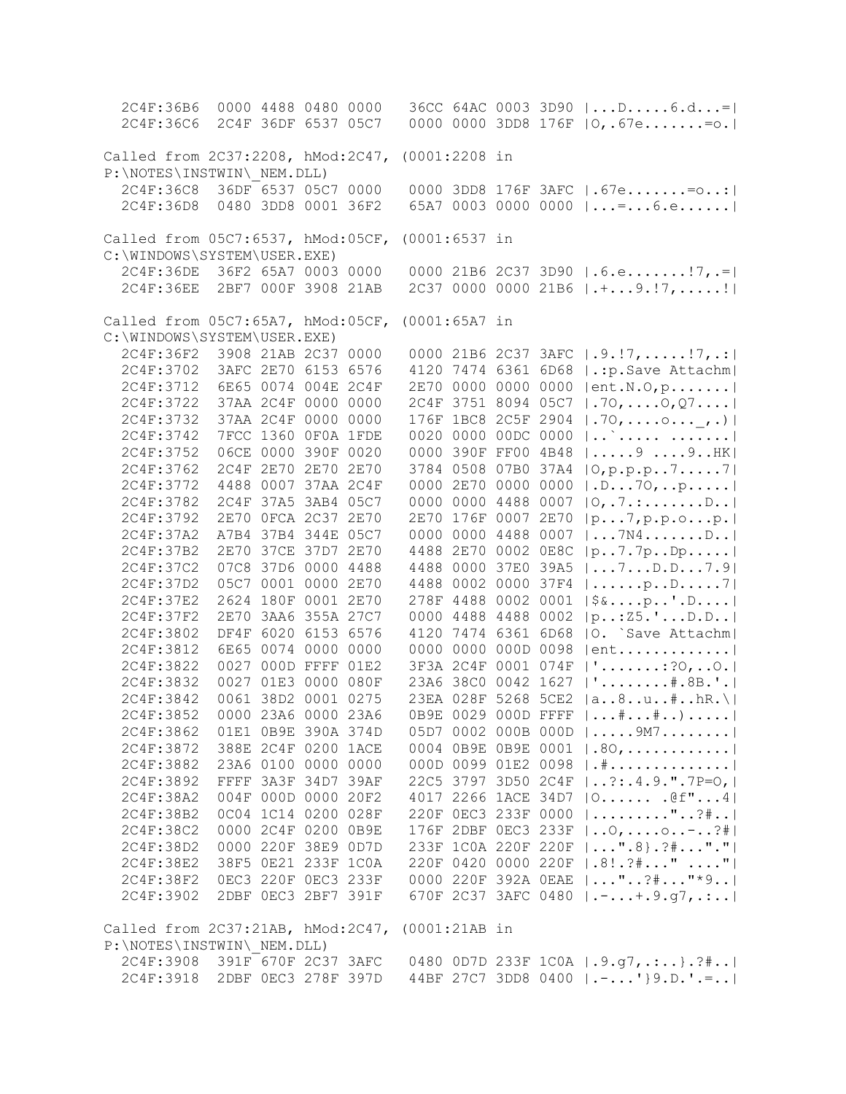| 2C4F:36B6                         | 0000 4488 0480 0000 |      |                 |                     |      | $36CC 64AC 0003 3D90  D6.d=$                                                   |
|-----------------------------------|---------------------|------|-----------------|---------------------|------|--------------------------------------------------------------------------------|
| 2C4F:36C6                         | 2C4F 36DF 6537 05C7 |      |                 |                     |      | 0000 0000 3DD8 176F $ 0, .67e=0.$                                              |
|                                   |                     |      |                 |                     |      |                                                                                |
| Called from 2C37:2208, hMod:2C47, |                     |      | $(0001:2208$ in |                     |      |                                                                                |
| P:\NOTES\INSTWIN\ NEM.DLL)        |                     |      |                 |                     |      |                                                                                |
| 2C4F:36C8                         | 36DF 6537 05C7 0000 |      |                 |                     |      | 0000 3DD8 176F 3AFC   .67e= o:                                                 |
| 2C4F:36D8                         | 0480 3DD8 0001 36F2 |      |                 |                     |      | 65A7 0003 0000 0000 $  =  6$                                                   |
|                                   |                     |      |                 |                     |      |                                                                                |
| Called from 05C7:6537, hMod:05CF, |                     |      | $(0001:6537$ in |                     |      |                                                                                |
| C:\WINDOWS\SYSTEM\USER.EXE)       |                     |      |                 |                     |      |                                                                                |
| 2C4F:36DE                         | 36F2 65A7 0003 0000 |      |                 |                     |      | 0000 21B6 2C37 3D90   .6.e!7,.=                                                |
| 2C4F:36EE                         | 2BF7 000F 3908 21AB |      |                 |                     |      | 2C37 0000 0000 21B6 $ \cdot $ 9.!7,!                                           |
|                                   |                     |      |                 |                     |      |                                                                                |
| Called from 05C7:65A7, hMod:05CF, |                     |      | $(0001:65A7$ in |                     |      |                                                                                |
| C:\WINDOWS\SYSTEM\USER.EXE)       |                     |      |                 |                     |      |                                                                                |
| 2C4F:36F2                         | 3908 21AB 2C37 0000 |      |                 |                     |      | 0000 21B6 2C37 3AFC $ .9.!7, \ldots.!7, .: $                                   |
| 2C4F:3702                         | 3AFC 2E70 6153 6576 |      |                 | 4120 7474 6361 6D68 |      | .: p. Save Attachm                                                             |
| 2C4F:3712                         | 6E65 0074 004E 2C4F |      |                 | 2E70 0000 0000 0000 |      | $ ent.N.0, p. \ldots  $                                                        |
| 2C4F:3722                         | 37AA 2C4F 0000 0000 |      |                 | 2C4F 3751 8094 05C7 |      | $ .70, \ldots .0, 07 \ldots  $                                                 |
| 2C4F:3732                         | 37AA 2C4F 0000 0000 |      |                 | 176F 1BC8 2C5F 2904 |      |                                                                                |
|                                   |                     |      |                 |                     |      | $  .70,0 , . \rangle  $                                                        |
| 2C4F:3742                         | 7FCC 1360 OFOA 1FDE |      |                 | 0020 0000 00DC 0000 |      | $ $                                                                            |
| 2C4F:3752                         | 06CE 0000 390F 0020 |      |                 | 0000 390F FF00 4B48 |      | $ 999$ HK                                                                      |
| 2C4F:3762                         | 2C4F 2E70 2E70 2E70 |      |                 | 3784 0508 07B0 37A4 |      | $ 0, p, p, p, \ldots, 7, \ldots, 7 $                                           |
| 2C4F:3772                         | 4488 0007 37AA 2C4F |      |                 | 0000 2E70 0000 0000 |      | .D70, p                                                                        |
| 2C4F:3782                         | 2C4F 37A5 3AB4 05C7 |      |                 | 0000 0000 4488 0007 |      | 0, .7. : D. .                                                                  |
| 2C4F:3792                         | 2E70 OFCA 2C37      | 2E70 |                 | 2E70 176F 0007 2E70 |      | $ p \ldots 7, p \ldots 0 \ldots p. $                                           |
| 2C4F:37A2                         | A7B4 37B4 344E 05C7 |      |                 | 0000 0000 4488      | 0007 | $  \ldots 7M4 \ldots \ldots D \ldots  $                                        |
| 2C4F:37B2                         | 2E70 37CE 37D7 2E70 |      |                 | 4488 2E70 0002 0E8C |      | p7.7pDp                                                                        |
| 2C4F:37C2                         | 07C8 37D6 0000 4488 |      |                 | 4488 0000 37E0 39A5 |      | $  \ldots 7 \ldots D \ldots 7 \ldots 9  $                                      |
| 2C4F:37D2                         | 05C7 0001 0000 2E70 |      |                 | 4488 0002 0000 37F4 |      | $  \ldots   \ldots p \ldots p \ldots 7  $                                      |
| 2C4F:37E2                         | 2624 180F 0001 2E70 |      |                 | 278F 4488 0002 0001 |      | $ \$&p'.D $                                                                    |
| 2C4F:37F2                         | 2E70 3AA6 355A 27C7 |      |                 | 0000 4488 4488 0002 |      | $ p_{\cdot} : 25 \cdot \n \cdot \n \dots D \cdot D \dots  $                    |
| 2C4F:3802                         | DF4F 6020 6153 6576 |      |                 | 4120 7474 6361 6D68 |      | O. Save Attachm                                                                |
| 2C4F:3812                         | 6E65 0074 0000 0000 |      |                 | 0000 0000 000D 0098 |      | $ ent$                                                                         |
| 2C4F:3822                         | 0027 000D FFFF 01E2 |      |                 | 3F3A 2C4F 0001 074F |      | $  ' \ldots \ldots \ldots \ldots ?0, \ldots 0.  $                              |
| 2C4F:3832                         | 0027 01E3 0000 080F |      |                 | 23A6 38C0 0042 1627 |      | $ ! \ldots \ldots \ldots \# \ldots \mathbb{B} \ldots  $                        |
| 2C4F:3842                         | 0061 38D2 0001 0275 |      |                 | 23EA 028F 5268 5CE2 |      | $ a8u*.hR.\rangle$                                                             |
| 2C4F:3852                         | 0000 23A6 0000 23A6 |      |                 | 0B9E 0029 000D FFFF |      |                                                                                |
| 2C4F:3862                         | 01E1 0B9E 390A 374D |      |                 |                     |      | 05D7 0002 000B 000D $  \ldots .9M7 \ldots .11 $                                |
| 2C4F:3872                         | 388E 2C4F 0200 1ACE |      |                 |                     |      | 0004 OB9E OB9E 0001   .80,                                                     |
| 2C4F:3882                         | 23A6 0100 0000 0000 |      |                 |                     |      | 000D 0099 01E2 0098   .#                                                       |
| 2C4F:3892                         | FFFF 3A3F 34D7 39AF |      |                 |                     |      | 22C5 3797 3D50 2C4F   ?:.4.9.".7P=0,                                           |
| 2C4F:38A2                         | 004F 000D 0000 20F2 |      |                 |                     |      | 4017 2266 1ACE 34D7   0 . @f"4                                                 |
| 2C4F:38B2                         | 0C04 1C14 0200 028F |      |                 |                     |      | 220F OEC3 233F 0000   "?#                                                      |
| 2C4F:38C2                         | 0000 2C4F 0200 0B9E |      |                 |                     |      | 176F 2DBF 0EC3 233F    0,  0. . -?#                                            |
| 2C4F:38D2                         | 0000 220F 38E9 0D7D |      |                 |                     |      | 233F 1COA 220F 220F    ".8}. ?# ". "                                           |
| 2C4F:38E2                         | 38F5 0E21 233F 1C0A |      |                 |                     |      | 220F 0420 0000 220F   .8! . ?#" "                                              |
| 2C4F:38F2                         | OEC3 220F OEC3 233F |      |                 |                     |      | 0000 220F 392A OEAE   "?#"*9                                                   |
| 2C4F:3902                         | 2DBF 0EC3 2BF7 391F |      |                 |                     |      | 670F 2C37 3AFC 0480   .-+.9.g7,.:                                              |
|                                   |                     |      |                 |                     |      |                                                                                |
| Called from 2C37:21AB, hMod:2C47, |                     |      | (0001:21AB in   |                     |      |                                                                                |
| P:\NOTES\INSTWIN\ NEM.DLL)        |                     |      |                 |                     |      |                                                                                |
| 2C4F:3908 391F 670F 2C37 3AFC     |                     |      |                 |                     |      |                                                                                |
|                                   |                     |      |                 |                     |      | 0480 OD7D 233F 1C0A $ .9.97$ , .:}.?# <br>44BF 27C7 3DD8 0400   .-' } 9.D.' .= |
| 2C4F:3918 2DBF 0EC3 278F 397D     |                     |      |                 |                     |      |                                                                                |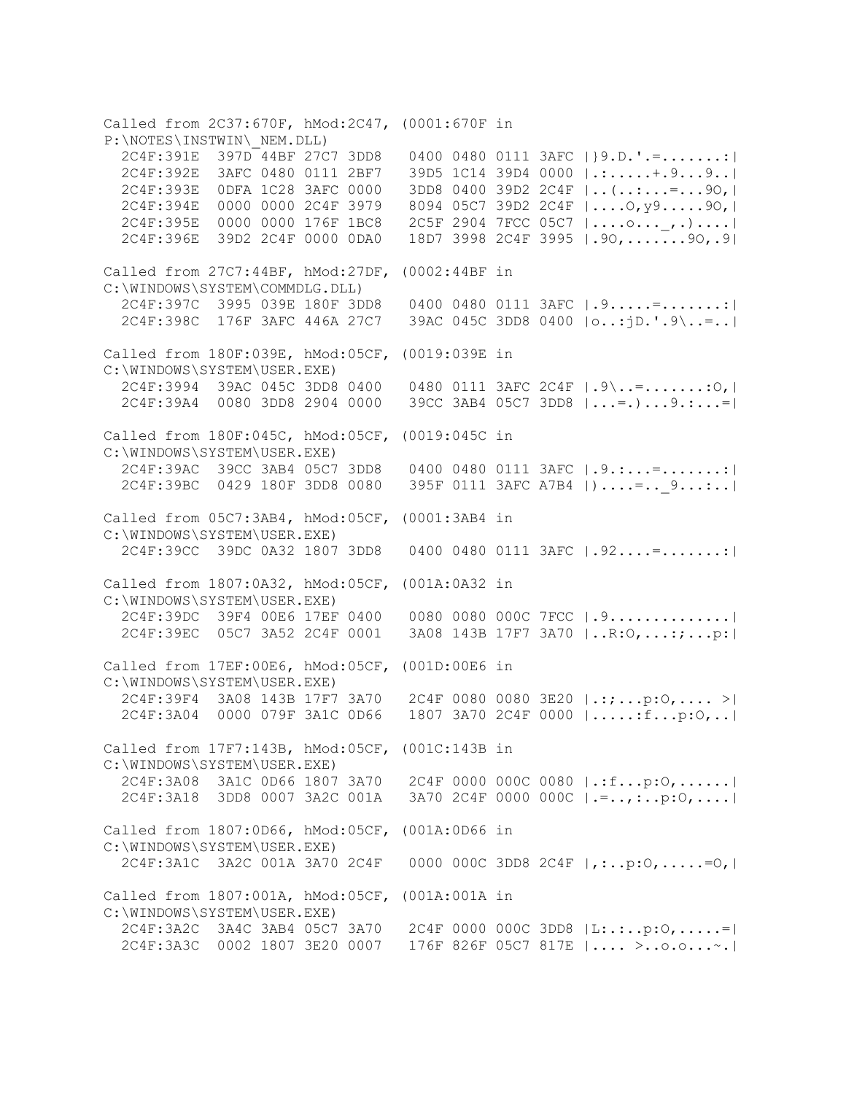Called from 2C37:670F, hMod:2C47, (0001:670F in P:\NOTES\INSTWIN\\_NEM.DLL) 2C4F:391E 397D 44BF 27C7 3DD8 0400 0480 0111 3AFC |}9.D.'.=.......:| 2C4F:392E 3AFC 0480 0111 2BF7 39D5 1C14 39D4 0000 |.:.....+.9...9..| 2C4F:393E 0DFA 1C28 3AFC 0000 3DD8 0400 39D2 2C4F |..(..:...=...9O,| 2C4F:394E 0000 0000 2C4F 3979 8094 05C7 39D2 2C4F |....O,y9.....9O,| 2C4F:395E 0000 0000 176F 1BC8 2C5F 2904 7FCC 05C7 |....o...\_,.)....| 2C4F:396E 39D2 2C4F 0000 0DA0 18D7 3998 2C4F 3995 |.9O,.......9O,.9| Called from 27C7:44BF, hMod:27DF, (0002:44BF in C:\WINDOWS\SYSTEM\COMMDLG.DLL) 2C4F:397C 3995 039E 180F 3DD8 0400 0480 0111 3AFC |.9.....=.......:| 2C4F:398C 176F 3AFC 446A 27C7 39AC 045C 3DD8 0400 |o..:jD.'.9\..=..| Called from 180F:039E, hMod:05CF, (0019:039E in C:\WINDOWS\SYSTEM\USER.EXE) 2C4F:3994 39AC 045C 3DD8 0400 0480 0111 3AFC 2C4F |.9\..=.......:O,| 2C4F:39A4 0080 3DD8 2904 0000 39CC 3AB4 05C7 3DD8 |...=.)...9.:...=| Called from 180F:045C, hMod:05CF, (0019:045C in C:\WINDOWS\SYSTEM\USER.EXE) 2C4F:39AC 39CC 3AB4 05C7 3DD8 0400 0480 0111 3AFC |.9.:...=.......:| 2C4F:39BC 0429 180F 3DD8 0080 395F 0111 3AFC A7B4 |)....=..\_9...:..| Called from 05C7:3AB4, hMod:05CF, (0001:3AB4 in C:\WINDOWS\SYSTEM\USER.EXE) 2C4F:39CC 39DC 0A32 1807 3DD8 0400 0480 0111 3AFC |.92....=.......:| Called from 1807:0A32, hMod:05CF, (001A:0A32 in C:\WINDOWS\SYSTEM\USER.EXE) 2C4F:39DC 39F4 00E6 17EF 0400 0080 0080 000C 7FCC |.9..............| 2C4F:39EC 05C7 3A52 2C4F 0001 3A08 143B 17F7 3A70 |..R:O,...:;...p:| Called from 17EF:00E6, hMod:05CF, (001D:00E6 in C:\WINDOWS\SYSTEM\USER.EXE) 2C4F:39F4 3A08 143B 17F7 3A70 2C4F 0080 0080 3E20 |.:;...p:O,.... >| 2C4F:3A04 0000 079F 3A1C 0D66 1807 3A70 2C4F 0000 |.....:f...p:O,..| Called from 17F7:143B, hMod:05CF, (001C:143B in C:\WINDOWS\SYSTEM\USER.EXE) 2C4F:3A08 3A1C 0D66 1807 3A70 2C4F 0000 000C 0080 |.:f...p:O,......| 2C4F:3A18 3DD8 0007 3A2C 001A 3A70 2C4F 0000 000C |.=..,:..p:O,....| Called from 1807:0D66, hMod:05CF, (001A:0D66 in C:\WINDOWS\SYSTEM\USER.EXE) 2C4F:3A1C 3A2C 001A 3A70 2C4F 0000 000C 3DD8 2C4F |,:..p:O,.....=O,| Called from 1807:001A, hMod:05CF, (001A:001A in C:\WINDOWS\SYSTEM\USER.EXE) 2C4F:3A2C 3A4C 3AB4 05C7 3A70 2C4F 0000 000C 3DD8 |L:.:..p:O,.....=| 2C4F:3A3C 0002 1807 3E20 0007 176F 826F 05C7 817E |.... >..o.o...~.|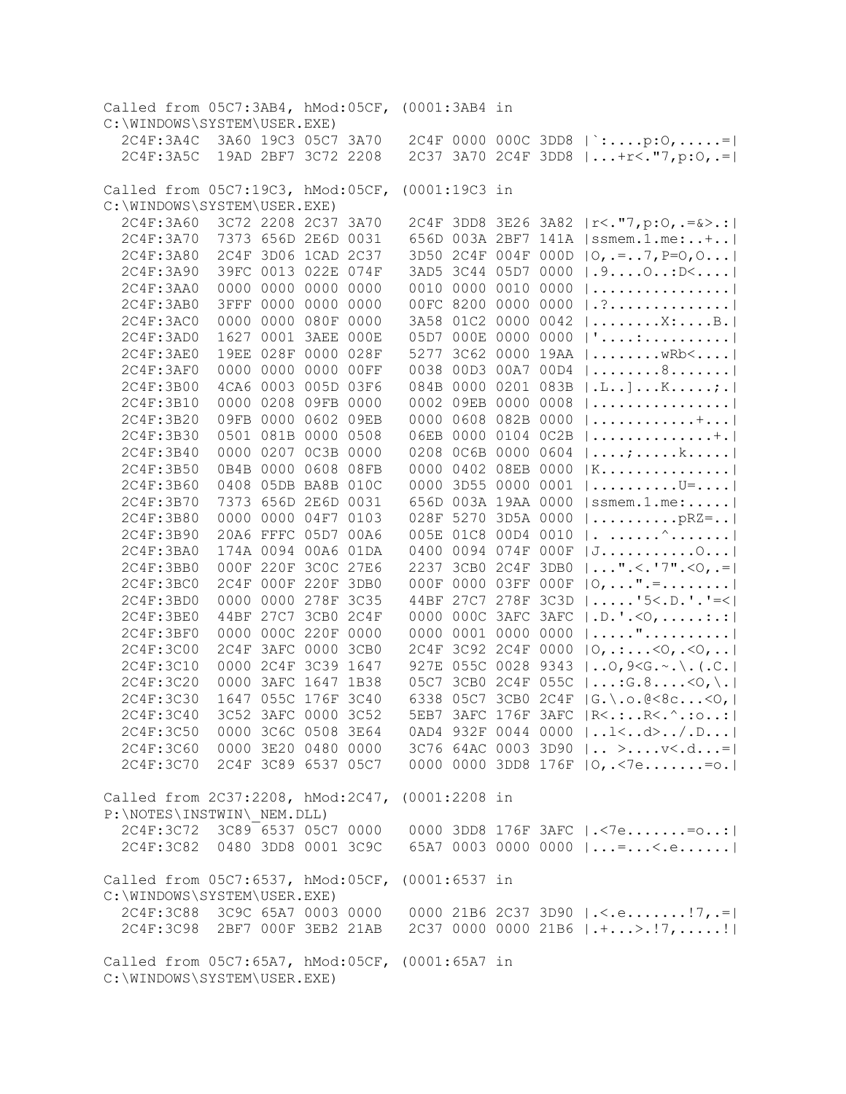| Called from 05C7:3AB4, hMod:05CF, (0001:3AB4 in                                |                     |                |                     |      |               |                     |           |      |                                                                                                                                     |
|--------------------------------------------------------------------------------|---------------------|----------------|---------------------|------|---------------|---------------------|-----------|------|-------------------------------------------------------------------------------------------------------------------------------------|
| C:\WINDOWS\SYSTEM\USER.EXE)                                                    |                     |                |                     |      |               |                     |           |      |                                                                                                                                     |
| 2C4F:3A4C                                                                      |                     |                | 3A60 19C3 05C7 3A70 |      |               |                     |           |      | 2C4F 0000 000C 3DD8   `:p:0,=                                                                                                       |
| 2C4F:3A5C                                                                      |                     |                | 19AD 2BF7 3C72 2208 |      |               |                     |           |      | 2C37 3A70 2C4F 3DD8    +r<. "7, p:0, .=                                                                                             |
|                                                                                |                     |                |                     |      |               |                     |           |      |                                                                                                                                     |
| Called from 05C7:19C3, hMod:05CF,                                              |                     |                |                     |      | (0001:19C3 in |                     |           |      |                                                                                                                                     |
| C:\WINDOWS\SYSTEM\USER.EXE)                                                    |                     |                |                     |      |               |                     |           |      |                                                                                                                                     |
| 2C4F:3A60                                                                      |                     |                | 3C72 2208 2C37 3A70 |      |               |                     |           |      | 2C4F 3DD8 3E26 3A82   r<. "7, p:0, .=&>.:                                                                                           |
| 2C4F: 3A70                                                                     |                     |                | 7373 656D 2E6D 0031 |      |               |                     |           |      | 656D 003A 2BF7 141A   ssmem.1.me:+                                                                                                  |
| 2C4F: 3A80                                                                     |                     |                | 2C4F 3D06 1CAD 2C37 |      |               | 3D50 2C4F 004F 000D |           |      | $ 0, -1, 7, P=0, 0 $                                                                                                                |
| 2C4F:3A90                                                                      |                     |                | 39FC 0013 022E 074F |      |               | 3AD5 3C44 05D7 0000 |           |      | .9.0. . : D <                                                                                                                       |
| 2C4F: 3AA0                                                                     |                     |                | 0000 0000 0000 0000 |      |               | 0010 0000 0010      |           | 0000 |                                                                                                                                     |
| 2C4F:3AB0                                                                      |                     | 3FFF 0000 0000 |                     | 0000 |               | 00FC 8200 0000      |           | 0000 | . ?                                                                                                                                 |
| 2C4F:3AC0                                                                      |                     | 0000 0000 080F |                     | 0000 |               | 3A58 01C2 0000      |           | 0042 | $  \ldots \ldots \ldots \ldots \ldots \ldots \ldots \ldots  $                                                                       |
| 2C4F:3AD0                                                                      |                     |                | 1627 0001 3AEE 000E |      |               | 05D7 000E 0000 0000 |           |      |                                                                                                                                     |
| 2C4F:3AE0                                                                      |                     |                | 19EE 028F 0000 028F |      |               | 5277 3C62 0000 19AA |           |      | $  \ldots \ldots \ldots$ wRb $\leq \ldots$ .                                                                                        |
| 2C4F:3AF0                                                                      |                     |                | 0000 0000 0000 00FF |      |               | 0038 00D3 00A7 00D4 |           |      | $  \ldots \ldots \ldots 8 \ldots \ldots  $                                                                                          |
| 2C4F:3B00                                                                      |                     |                | 4CA6 0003 005D 03F6 |      |               | 084B 0000 0201 083B |           |      | $ L_{\cdot}, L_{\cdot}, L_{\cdot}, K_{\cdot}, \ldots, K_{\cdot}, L_{\cdot} $                                                        |
| 2C4F:3B10                                                                      |                     |                | 0000 0208 09FB 0000 |      |               | 0002 09EB 0000 0008 |           |      |                                                                                                                                     |
| 2C4F:3B20                                                                      |                     |                | 09FB 0000 0602 09EB |      |               | 0000 0608 082B 0000 |           |      |                                                                                                                                     |
| 2C4F:3B30                                                                      |                     |                | 0501 081B 0000 0508 |      |               | 06EB 0000 0104 0C2B |           |      | $ + $                                                                                                                               |
| 2C4F:3B40                                                                      |                     |                | 0000 0207 0C3B 0000 |      |               | 0208 0C6B 0000 0604 |           |      |                                                                                                                                     |
| 2C4F: 3B50                                                                     |                     |                | 0B4B 0000 0608 08FB |      |               | 0000 0402 08EB 0000 |           |      | $ K$                                                                                                                                |
| 2C4F:3B60                                                                      |                     |                | 0408 05DB BA8B 010C |      |               | 0000 3D55 0000 0001 |           |      | $\vert \ldots \ldots \ldots \ldots U^{\pm} \ldots \vert$                                                                            |
| 2C4F:3B70                                                                      |                     |                | 7373 656D 2E6D 0031 |      |               | 656D 003A 19AA 0000 |           |      | ssmem.1.me:                                                                                                                         |
| 2C4F:3B80                                                                      |                     |                | 0000 0000 04F7 0103 |      |               | 028F 5270 3D5A 0000 |           |      | $  \ldots \ldots \ldots \text{pRZ} = \ldots  $                                                                                      |
| 2C4F:3B90                                                                      |                     |                | 20A6 FFFC 05D7 00A6 |      |               | 005E 01C8 00D4 0010 |           |      | $ \cdot $ $\wedge$ $ $                                                                                                              |
| 2C4F:3BA0                                                                      |                     |                | 174A 0094 00A6 01DA |      |               | 0400 0094 074F 000F |           |      | $ J \ldots  \ldots 0 $                                                                                                              |
| 2C4F: 3BB0                                                                     |                     |                | 000F 220F 3C0C 27E6 |      |               | 2237 3CB0 2C4F 3DB0 |           |      | $  \ldots$ ". < . '7". < $\odot$ , . =                                                                                              |
| 2C4F: 3BC0                                                                     |                     |                | 2C4F 000F 220F 3DB0 |      |               | 000F 0000 03FF 000F |           |      | $ 0, \ldots$ ".=                                                                                                                    |
| 2C4F: 3BD0                                                                     |                     |                | 0000 0000 278F 3C35 |      |               | 44BF 27C7 278F 3C3D |           |      | $  \ldots   5 \lt. D \cdot   - \lt.  $                                                                                              |
| 2C4F: 3BE0                                                                     |                     |                | 44BF 27C7 3CB0 2C4F |      |               | 0000 000C 3AFC 3AFC |           |      | $ .D.^{\dagger}.<\!\!\circlearrowleft, \ldots \ldots \ldots  $                                                                      |
| 2C4F:3BF0                                                                      |                     |                | 0000 000C 220F 0000 |      |               | 0000 0001 0000      |           | 0000 | $  \dots   \dots$ " $ $                                                                                                             |
| 2C4F:3C00                                                                      | 2C4F                |                | 3AFC 0000 3CB0      |      |               | 2C4F 3C92 2C4F 0000 |           |      | $ 0, \ldots .50, .50, \ldots $                                                                                                      |
| 2C4F:3C10                                                                      |                     |                | 0000 2C4F 3C39 1647 |      |               | 927E 055C 0028 9343 |           |      | $ 0,9\le G. \sim . \setminus .(.C. $                                                                                                |
| 2C4F:3C20                                                                      |                     |                | 0000 3AFC 1647 1B38 |      |               | 05C7 3CB0 2C4F 055C |           |      | $  \ldots$ :G.8 $<$ O,\.                                                                                                            |
| 2C4F:3C30                                                                      |                     |                | 1647 055C 176F 3C40 |      |               | 6338 05C7 3CB0 2C4F |           |      | $ G. \ .0.0000000 $                                                                                                                 |
| 2C4F:3C40                                                                      |                     |                | 3C52 3AFC 0000 3C52 |      | 5EB7          |                     | 3AFC 176F | 3AFC | $R < . : . R < . ^ . : . : . : . :  $                                                                                               |
| 2C4F:3C50                                                                      | 0000 3C6C 0508 3E64 |                |                     |      |               |                     |           |      | 0AD4 932F 0044 0000 $ 1/D $                                                                                                         |
| 2C4F:3C60 0000 3E20 0480 0000                                                  |                     |                |                     |      |               |                     |           |      | $3C76 64AC 0003 3D90   > v < .d =  $                                                                                                |
| 2C4F:3C70 2C4F 3C89 6537 05C7                                                  |                     |                |                     |      |               |                     |           |      | 0000 0000 3DD8 176F $ 0, .\langle 7e=0. $                                                                                           |
|                                                                                |                     |                |                     |      |               |                     |           |      |                                                                                                                                     |
| Called from 2C37:2208, hMod:2C47, (0001:2208 in                                |                     |                |                     |      |               |                     |           |      |                                                                                                                                     |
| P:\NOTES\INSTWIN\ NEM.DLL)                                                     |                     |                |                     |      |               |                     |           |      |                                                                                                                                     |
| 2C4F:3C72 3C89 6537 05C7 0000                                                  |                     |                |                     |      |               |                     |           |      | 0000 3DD8 176F 3AFC   .< 7e= o:                                                                                                     |
| 2C4F:3C82 0480 3DD8 0001 3C9C                                                  |                     |                |                     |      |               |                     |           |      | 65A7 0003 0000 0000 $  =  < e $                                                                                                     |
|                                                                                |                     |                |                     |      |               |                     |           |      |                                                                                                                                     |
| Called from 05C7:6537, hMod:05CF, (0001:6537 in                                |                     |                |                     |      |               |                     |           |      |                                                                                                                                     |
| C:\WINDOWS\SYSTEM\USER.EXE)                                                    |                     |                |                     |      |               |                     |           |      |                                                                                                                                     |
| 2C4F:3C88 3C9C 65A7 0003 0000                                                  |                     |                |                     |      |               |                     |           |      | 0000 21B6 2C37 3D90 $ \cdot $ . $ 7, .= $                                                                                           |
| 2C4F:3C98 2BF7 000F 3EB2 21AB                                                  |                     |                |                     |      |               |                     |           |      | 2C37 0000 0000 21B6 $\vert \cdot \vert \cdot \ldots \cdot \vert \cdot \vert \cdot \vert \cdot \ldots \cdot \vert \cdot \vert \vert$ |
|                                                                                |                     |                |                     |      |               |                     |           |      |                                                                                                                                     |
| Called from 05C7:65A7, hMod:05CF, (0001:65A7 in<br>C:\WINDOWS\SYSTEM\USER.EXE) |                     |                |                     |      |               |                     |           |      |                                                                                                                                     |
|                                                                                |                     |                |                     |      |               |                     |           |      |                                                                                                                                     |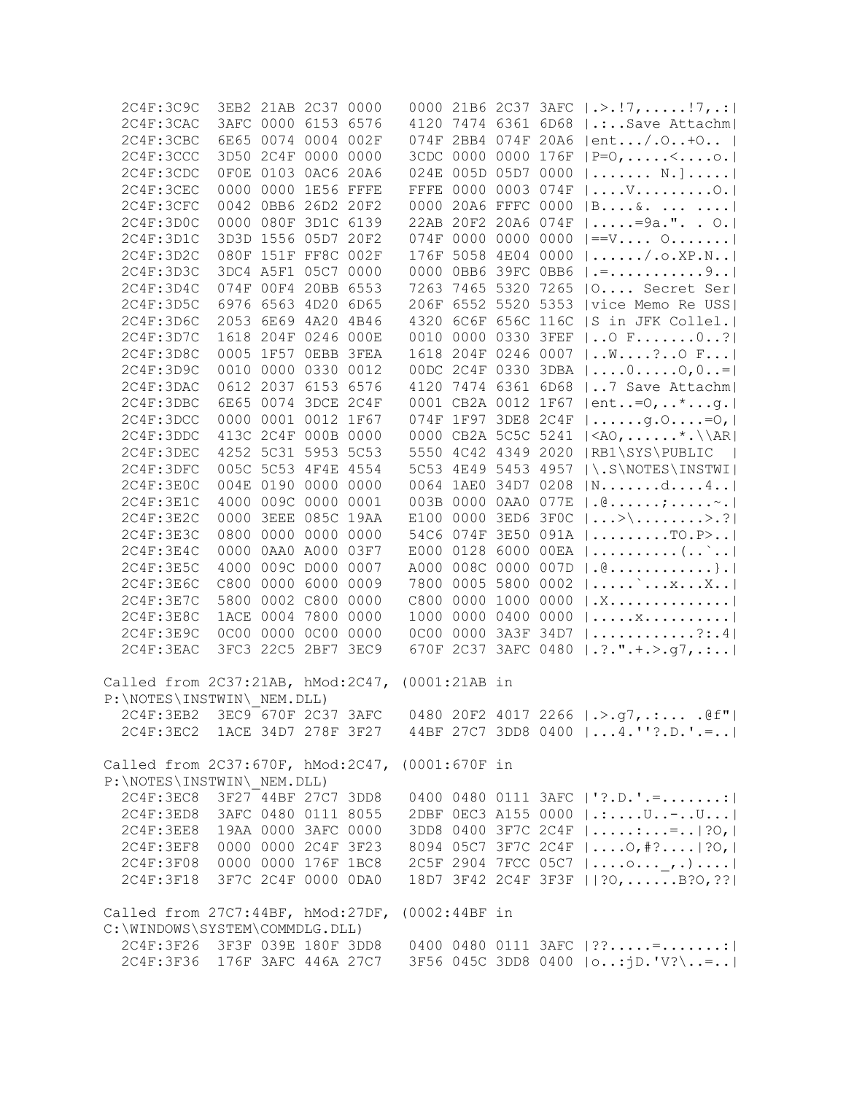| 2C4F:3C9C                                                                         | 3EB2 21AB 2C37 0000 |  |                     |  | 0000 21B6 2C37 3AFC   .>.!7, !7, .:                            |
|-----------------------------------------------------------------------------------|---------------------|--|---------------------|--|----------------------------------------------------------------|
| 2C4F:3CAC                                                                         | 3AFC 0000 6153 6576 |  |                     |  | 4120 7474 6361 6D68   .:Save Attachm                           |
| 2C4F:3CBC                                                                         | 6E65 0074 0004 002F |  |                     |  | 074F 2BB4 074F 20A6   ent/.O+O                                 |
| 2C4F:3CCC                                                                         | 3D50 2C4F 0000 0000 |  |                     |  | 3CDC 0000 0000 176F   P=0, <o. < td=""></o. <>                 |
| 2C4F:3CDC                                                                         | OFOE 0103 0AC6 20A6 |  | 024E 005D 05D7 0000 |  | $ \ldots $ . $\mathbb{N}$ . $ \ldots $                         |
| 2C4F:3CEC                                                                         | 0000 0000 1E56 FFFE |  | FFFE 0000 0003 074F |  | $ \ldots, V_{\cdot}, \ldots, \ldots, O_{\cdot} $               |
| 2C4F:3CFC                                                                         | 0042 0BB6 26D2 20F2 |  | 0000 20A6 FFFC 0000 |  | B6                                                             |
| 2C4F:3D0C                                                                         | 0000 080F 3D1C 6139 |  |                     |  | 22AB 20F2 20A6 074F   =9a.". . O.                              |
| 2C4F:3D1C                                                                         | 3D3D 1556 05D7 20F2 |  |                     |  | 074F 0000 0000 0000 $ =V 0$                                    |
| 2C4F:3D2C                                                                         | 080F 151F FF8C 002F |  |                     |  | 176F 5058 4E04 0000  /.o.XP.N                                  |
| 2C4F:3D3C                                                                         | 3DC4 A5F1 05C7 0000 |  |                     |  | 0000 0BB6 39FC 0BB6   .=9                                      |
| 2C4F:3D4C                                                                         | 074F 00F4 20BB 6553 |  |                     |  | 7263 7465 5320 7265   O Secret Ser                             |
| 2C4F:3D5C                                                                         | 6976 6563 4D20 6D65 |  |                     |  | 206F 6552 5520 5353   vice Memo Re USS                         |
| 2C4F:3D6C                                                                         |                     |  |                     |  |                                                                |
|                                                                                   | 2053 6E69 4A20 4B46 |  |                     |  | 4320 6C6F 656C 116C  S in JFK Collel.                          |
| 2C4F:3D7C                                                                         | 1618 204F 0246 000E |  |                     |  | 0010 0000 0330 3FEF    O F 0?                                  |
| 2C4F:3D8C                                                                         | 0005 1F57 OEBB 3FEA |  |                     |  | 1618 204F 0246 0007    W. ? O F                                |
| 2C4F:3D9C                                                                         | 0010 0000 0330 0012 |  |                     |  | OODC 2C4F 0330 3DBA $ 000,0 =$                                 |
| 2C4F:3DAC                                                                         | 0612 2037 6153 6576 |  |                     |  | 4120 7474 6361 6D68    7 Save Attachm                          |
| 2C4F:3DBC                                                                         | 6E65 0074 3DCE 2C4F |  |                     |  | 0001 CB2A 0012 1F67   ent= 0, *g.                              |
| 2C4F:3DCC                                                                         | 0000 0001 0012 1F67 |  |                     |  | 074F 1F97 3DE8 2C4F $  \dots q.0=0 $                           |
| 2C4F:3DDC                                                                         | 413C 2C4F 000B 0000 |  |                     |  | 0000 CB2A 5C5C 5241   <a0,*.\\ar < td=""></a0,*.\\ar <>        |
| 2C4F:3DEC                                                                         | 4252 5C31 5953 5C53 |  |                     |  | 5550 4C42 4349 2020   RB1\SYS\PUBLIC                           |
| 2C4F:3DFC                                                                         | 005C 5C53 4F4E 4554 |  |                     |  | 5C53 4E49 5453 4957   \. S\NOTES\INSTWI                        |
| 2C4F:3E0C                                                                         | 004E 0190 0000 0000 |  |                     |  | 0064 1AE0 34D7 0208  Nd4                                       |
| 2C4F: 3E1C                                                                        | 4000 009C 0000 0001 |  |                     |  | 003B 0000 0AA0 077E   .@;~.                                    |
| 2C4F:3E2C                                                                         | 0000 3EEE 085C 19AA |  |                     |  | E100 0000 3ED6 3F0C $ >\rangle$ >.?                            |
| 2C4F: 3E3C                                                                        | 0800 0000 0000 0000 |  |                     |  | 54C6 074F 3E50 091A   TO.P>                                    |
| 2C4F: 3E4C                                                                        | 0000 0AA0 A000 03F7 |  |                     |  | E000 0128 6000 00EA    (`                                      |
| 2C4F: 3E5C                                                                        | 4000 009C D000 0007 |  |                     |  | A000 008C 0000 007D   .@}.                                     |
| 2C4F: 3E6C                                                                        | C800 0000 6000 0009 |  |                     |  | 7800 0005 5800 0002   ` x X                                    |
| 2C4F:3E7C                                                                         | 5800 0002 C800 0000 |  |                     |  | C800 0000 1000 0000 $ X$                                       |
| 2C4F:3E8C                                                                         | 1ACE 0004 7800 0000 |  |                     |  | 1000 0000 0400 0000  x                                         |
| 2C4F:3E9C                                                                         | 0C00 0000 0C00 0000 |  |                     |  | 0C00 0000 3A3F 34D7  ?:.4                                      |
| 2C4F: 3EAC                                                                        | 3FC3 22C5 2BF7 3EC9 |  |                     |  | 670F 2C37 3AFC 0480   .?.". + . > . g7, .:                     |
| Called from 2C37:21AB, hMod:2C47, (0001:21AB in                                   |                     |  |                     |  |                                                                |
| P:\NOTES\INSTWIN\ NEM.DLL)                                                        |                     |  |                     |  |                                                                |
| 2C4F:3EB2 3EC9 670F 2C37 3AFC                                                     |                     |  |                     |  | 0480 20F2 4017 2266   .> .g7, .: . @f"                         |
|                                                                                   |                     |  |                     |  | 2C4F:3EC2 1ACE 34D7 278F 3F27 44BF 27C7 3DD8 0400  4.''?.D.'.= |
| Called from 2C37:670F, hMod:2C47, (0001:670F in                                   |                     |  |                     |  |                                                                |
| P:\NOTES\INSTWIN\ NEM.DLL)                                                        |                     |  |                     |  |                                                                |
| 2C4F:3EC8 3F27 44BF 27C7 3DD8                                                     |                     |  |                     |  | 0400 0480 0111 3AFC   '?.D. '.=:                               |
| 2C4F:3ED8 3AFC 0480 0111 8055                                                     |                     |  |                     |  | 2DBF 0EC3 A155 0000   .: U. .- U                               |
| 2C4F: 3EE8 19AA 0000 3AFC 0000                                                    |                     |  |                     |  | 3DD8 0400 3F7C 2C4F   := ?O,                                   |
| 2C4F:3EF8 0000 0000 2C4F 3F23                                                     |                     |  |                     |  | 8094 05C7 3F7C 2C4F    0, #?   ?0,                             |
| 2C4F:3F08 0000 0000 176F 1BC8                                                     |                     |  |                     |  | 2C5F 2904 7FCC 05C7  o_,.)                                     |
| 2C4F:3F18 3F7C 2C4F 0000 0DA0                                                     |                     |  |                     |  | 18D7 3F42 2C4F 3F3F   ?O, B?O, ??                              |
| Called from 27C7:44BF, hMod:27DF, (0002:44BF in<br>C:\WINDOWS\SYSTEM\COMMDLG.DLL) |                     |  |                     |  |                                                                |
| 2C4F:3F26 3F3F 039E 180F 3DD8                                                     |                     |  |                     |  | 0400 0480 0111 3AFC $ ?$ =                                     |
| 2C4F:3F36 176F 3AFC 446A 27C7                                                     |                     |  |                     |  | 3F56 045C 3DD8 0400   o: jD. 'V?\=                             |
|                                                                                   |                     |  |                     |  |                                                                |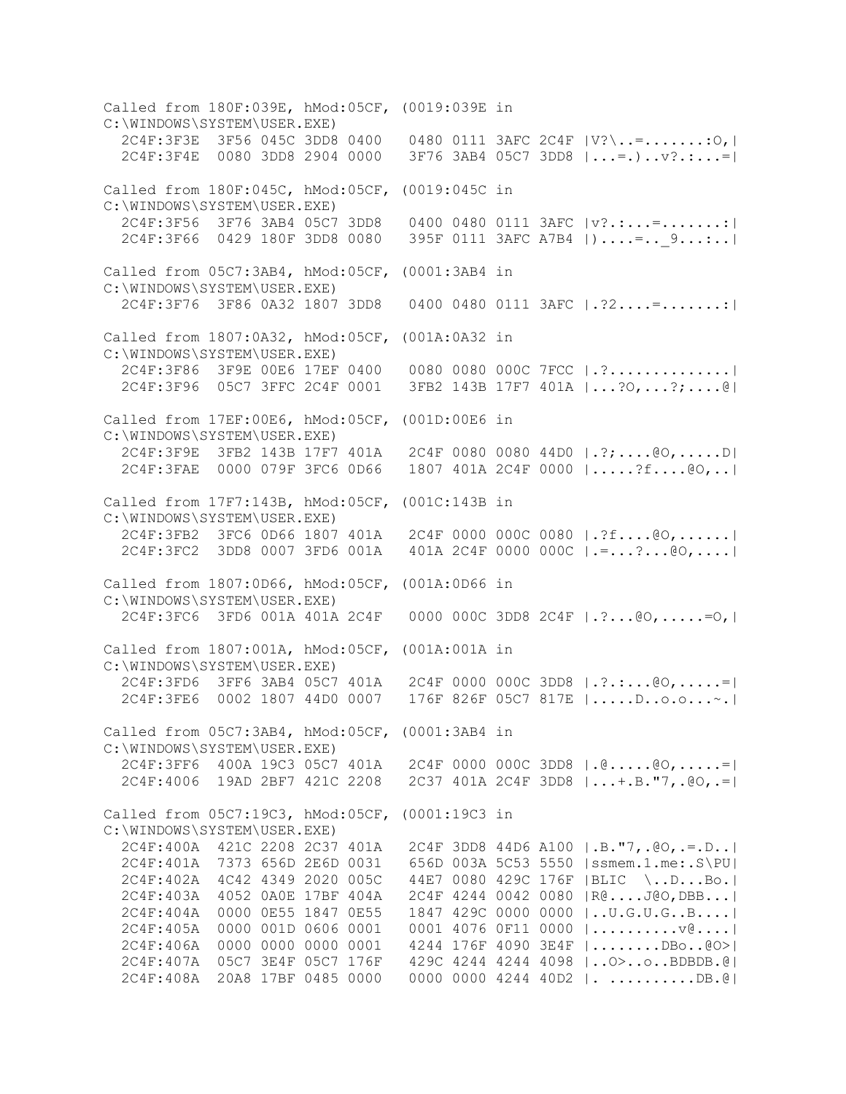Called from 180F:039E, hMod:05CF, (0019:039E in C:\WINDOWS\SYSTEM\USER.EXE) 2C4F:3F3E 3F56 045C 3DD8 0400 0480 0111 3AFC 2C4F |V?\..=.......:O,| 2C4F:3F4E 0080 3DD8 2904 0000 3F76 3AB4 05C7 3DD8 |...=.)..v?.:...=| Called from 180F:045C, hMod:05CF, (0019:045C in C:\WINDOWS\SYSTEM\USER.EXE) 2C4F:3F56 3F76 3AB4 05C7 3DD8 0400 0480 0111 3AFC |v?.:...=.......:| 2C4F:3F66 0429 180F 3DD8 0080 395F 0111 3AFC A7B4 |)....=..\_9...:..| Called from 05C7:3AB4, hMod:05CF, (0001:3AB4 in C:\WINDOWS\SYSTEM\USER.EXE) 2C4F:3F76 3F86 0A32 1807 3DD8 0400 0480 0111 3AFC |.?2....=.......:| Called from 1807:0A32, hMod:05CF, (001A:0A32 in C:\WINDOWS\SYSTEM\USER.EXE) 2C4F:3F86 3F9E 00E6 17EF 0400 0080 0080 000C 7FCC |.?..............| 2C4F:3F96 05C7 3FFC 2C4F 0001 3FB2 143B 17F7 401A |...?O,...?;....@| Called from 17EF:00E6, hMod:05CF, (001D:00E6 in C:\WINDOWS\SYSTEM\USER.EXE) 2C4F:3F9E 3FB2 143B 17F7 401A 2C4F 0080 0080 44D0 |.?;....@O,.....D| 2C4F:3FAE 0000 079F 3FC6 0D66 1807 401A 2C4F 0000 |.....?f....@O,..| Called from 17F7:143B, hMod:05CF, (001C:143B in C:\WINDOWS\SYSTEM\USER.EXE) 2C4F:3FB2 3FC6 0D66 1807 401A 2C4F 0000 000C 0080 |.?f....@O,......| 2C4F:3FC2 3DD8 0007 3FD6 001A 401A 2C4F 0000 000C |.=...?...@O,....| Called from 1807:0D66, hMod:05CF, (001A:0D66 in C:\WINDOWS\SYSTEM\USER.EXE) 2C4F:3FC6 3FD6 001A 401A 2C4F 0000 000C 3DD8 2C4F |.?...@O,.....=O,| Called from 1807:001A, hMod:05CF, (001A:001A in C:\WINDOWS\SYSTEM\USER.EXE) 2C4F:3FD6 3FF6 3AB4 05C7 401A 2C4F 0000 000C 3DD8 |.?.:...@O,.....=| 2C4F:3FE6 0002 1807 44D0 0007 176F 826F 05C7 817E |.....D..o.o...~.| Called from 05C7:3AB4, hMod:05CF, (0001:3AB4 in C:\WINDOWS\SYSTEM\USER.EXE) 2C4F:3FF6 400A 19C3 05C7 401A 2C4F 0000 000C 3DD8 |.@.....@O,.....=| 2C4F:4006 19AD 2BF7 421C 2208 2C37 401A 2C4F 3DD8 |...+.B."7,.@O,.=| Called from 05C7:19C3, hMod:05CF, (0001:19C3 in C:\WINDOWS\SYSTEM\USER.EXE) 2C4F:400A 421C 2208 2C37 401A 2C4F 3DD8 44D6 A100 |.B."7,.@O,.=.D..| 2C4F:401A 7373 656D 2E6D 0031 656D 003A 5C53 5550 |ssmem.1.me:.S\PU| 2C4F:402A 4C42 4349 2020 005C 44E7 0080 429C 176F |BLIC \..D...Bo.| 2C4F:403A 4052 0A0E 17BF 404A 2C4F 4244 0042 0080 |R@....J@O,DBB...| 2C4F:404A 0000 0E55 1847 0E55 1847 429C 0000 0000 |..U.G.U.G..B....| 2C4F:405A 0000 001D 0606 0001 0001 4076 0F11 0000 |..........v@....| 2C4F:406A 0000 0000 0000 0001 4244 176F 4090 3E4F |........DBo..@O>| 2C4F:407A 05C7 3E4F 05C7 176F 429C 4244 4244 4098 |..O>..o..BDBDB.@| 2C4F:408A 20A8 17BF 0485 0000 0000 0000 4244 40D2 |. ..........DB.@|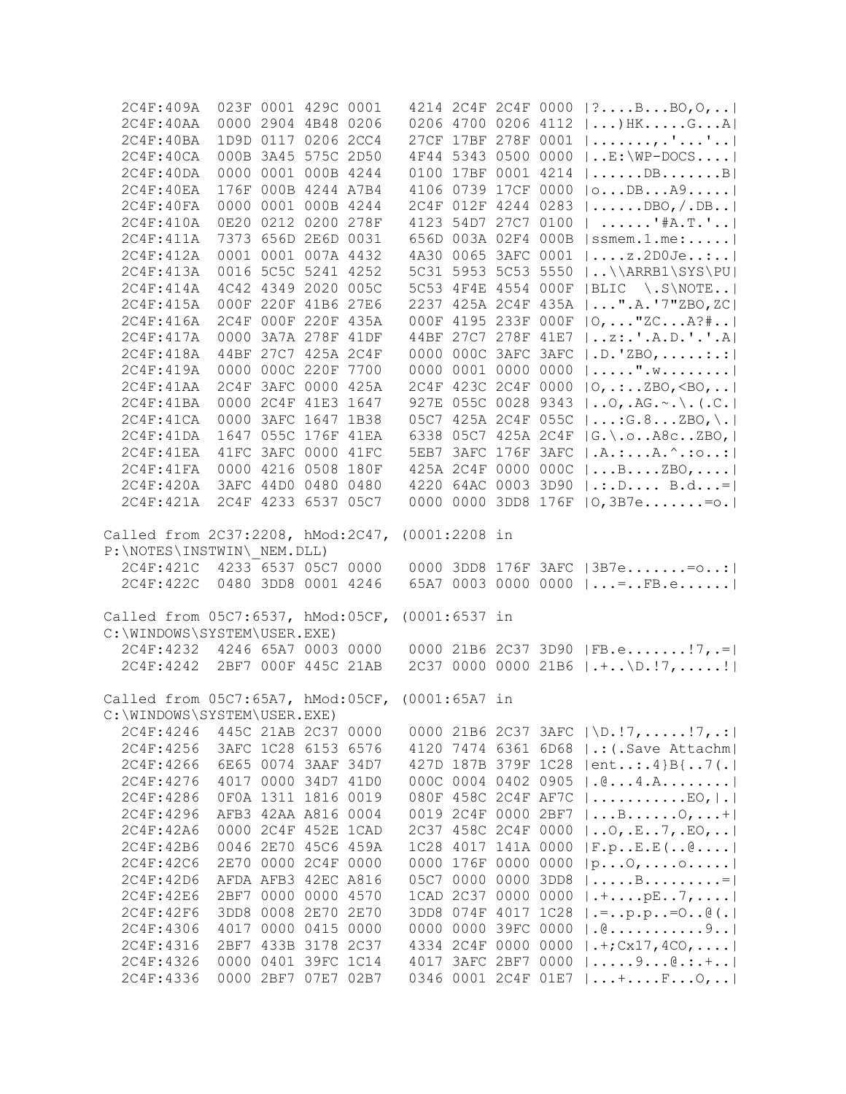| 2C4F:409A                                       |      | 023F 0001 429C 0001 |                  |                 |           |                     |      | 4214 2C4F 2C4F 0000   ?BBO, O,                          |
|-------------------------------------------------|------|---------------------|------------------|-----------------|-----------|---------------------|------|---------------------------------------------------------|
| 2C4F:40AA                                       |      | 0000 2904 4B48 0206 |                  |                 |           |                     |      | 0206 4700 0206 4112 $  \dots \rangle$ HKGA              |
| 2C4F:40BA                                       |      | 1D9D 0117 0206 2CC4 |                  |                 |           |                     |      | 27CF 17BF 278F 0001   , .''                             |
| 2C4F:40CA                                       |      | 000B 3A45 575C 2D50 |                  |                 |           |                     |      | 4F44 5343 0500 0000  E:\WP-DOCS                         |
| 2C4F:40DA                                       |      | 0000 0001 000B 4244 |                  |                 |           |                     |      | 0100 17BF 0001 4214    DB B                             |
| 2C4F:40EA                                       |      | 176F 000B 4244 A7B4 |                  |                 |           |                     |      | 4106 0739 17CF 0000   o DB A9                           |
| 2C4F:40FA                                       |      | 0000 0001 000B 4244 |                  |                 |           |                     |      | 2C4F 012F 4244 0283  DBO, /.DB                          |
| 2C4F:410A                                       |      | 0E20 0212 0200 278F |                  |                 |           |                     |      | 4123 54D7 27C7 0100   '#A.T.'                           |
| 2C4F:411A                                       |      | 7373 656D 2E6D 0031 |                  |                 |           |                     |      | 656D 003A 02F4 000B   ssmem.1.me:                       |
| 2C4F:412A                                       |      | 0001 0001 007A 4432 |                  |                 |           |                     |      | 4A30 0065 3AFC 0001    z.2D0Je:                         |
| 2C4F:413A                                       |      | 0016 5C5C 5241 4252 |                  |                 |           |                     |      | 5C31 5953 5C53 5550  \\ARRB1\SYS\PU                     |
| 2C4F:414A                                       |      | 4C42 4349 2020 005C |                  |                 |           |                     |      | 5C53 4F4E 4554 000F   BLIC \.S\NOTE                     |
| 2C4F:415A                                       |      | 000F 220F 41B6 27E6 |                  |                 |           |                     |      | 2237 425A 2C4F 435A   ".A.'7"ZBO, ZC                    |
| 2C4F:416A                                       |      | 2C4F 000F 220F 435A |                  |                 |           |                     |      | 000F 4195 233F 000F   O,  "ZC A?#                       |
| 2C4F:417A                                       |      | 0000 3A7A 278F 41DF |                  |                 |           |                     |      | 44BF 27C7 278F 41E7    z: .' . A. D. ' .' . A           |
| 2C4F:418A                                       |      | 44BF 27C7 425A 2C4F |                  |                 |           |                     |      | 0000 000C 3AFC 3AFC   .D. 'ZBO, :.:                     |
| 2C4F:419A                                       |      | 0000 000C 220F 7700 |                  |                 |           | 0000 0001 0000 0000 |      | $  \dots  $ $\ldots$ $\mathbb{W}$ $ $                   |
| 2C4F:41AA                                       |      | 2C4F 3AFC 0000 425A |                  |                 |           |                     |      | 2C4F 423C 2C4F 0000   O, .:ZBO, <bo, td=""  <=""></bo,> |
| 2C4F:41BA                                       |      | 0000 2C4F 41E3 1647 |                  |                 |           |                     |      | 927E 055C 0028 9343    O, . AG. ~. \. (. C.             |
| 2C4F:41CA                                       |      | 0000 3AFC 1647 1B38 |                  |                 |           |                     |      | 05C7 425A 2C4F 055C   : G.8ZBO, \.                      |
| 2C4F:41DA                                       |      | 1647 055C 176F 41EA |                  |                 |           |                     |      | 6338 05C7 425A 2C4F   G. \.oA8cZBO,                     |
| 2C4F: 41EA                                      |      | 41FC 3AFC 0000 41FC |                  |                 |           | 5EB7 3AFC 176F 3AFC |      | $  .A. :  A. ^ . : 0 :  $                               |
| 2C4F:41FA                                       |      | 0000 4216 0508 180F |                  |                 |           |                     |      | 425A 2C4F 0000 000C    B.  ZBO,                         |
| 2C4F:420A                                       |      | 3AFC 44D0 0480 0480 |                  |                 |           | 4220 64AC 0003 3D90 |      | $ \ldots D\ldots B\ldots =$                             |
| 2C4F:421A                                       |      | 2C4F 4233 6537 05C7 |                  |                 |           |                     |      | 0000 0000 3DD8 176F   0,3B7e= o.                        |
| Called from 2C37:2208, hMod:2C47,               |      |                     |                  | $(0001:2208$ in |           |                     |      |                                                         |
| P:\NOTES\INSTWIN\ NEM.DLL)                      |      |                     |                  |                 |           |                     |      |                                                         |
| 2C4F:421C 4233 6537 05C7 0000                   |      |                     |                  |                 |           |                     |      | 0000 3DD8 176F 3AFC   3B7e= o:                          |
| 2C4F:422C 0480 3DD8 0001 4246                   |      |                     |                  |                 |           |                     |      | 65A7 0003 0000 0000 $  = .$ FB.e                        |
| Called from 05C7:6537, hMod:05CF, (0001:6537 in |      |                     |                  |                 |           |                     |      |                                                         |
| C:\WINDOWS\SYSTEM\USER.EXE)                     |      |                     |                  |                 |           |                     |      |                                                         |
| 2C4F:4232 4246 65A7 0003 0000                   |      |                     |                  |                 |           |                     |      | 0000 21B6 2C37 3D90   FB.e! 7, .=                       |
| 2C4F:4242 2BF7 000F 445C 21AB                   |      |                     |                  |                 |           |                     |      | 2C37 0000 0000 21B6 $ \cdot $ \D.!7,!                   |
| Called from 05C7:65A7, hMod:05CF, (0001:65A7 in |      |                     |                  |                 |           |                     |      |                                                         |
| C:\WINDOWS\SYSTEM\USER.EXE)                     |      |                     |                  |                 |           |                     |      |                                                         |
| 2C4F:4246                                       |      | 445C 21AB 2C37      | 0000             |                 |           | 0000 21B6 2C37 3AFC |      | $ \D. !7, \ldots . !7, . : $                            |
| 2C4F:4256                                       |      | 3AFC 1C28 6153 6576 |                  |                 |           | 4120 7474 6361 6D68 |      | .: (. Save Attachm                                      |
| 2C4F:4266                                       |      | 6E65 0074 3AAF      | 34D7             |                 |           | 427D 187B 379F 1C28 |      | $ ent:4\}B$ [7(.]                                       |
| 2C4F:4276                                       |      | 4017 0000 34D7      | 41 <sub>D0</sub> |                 |           | 000C 0004 0402 0905 |      | . @ 4 . A                                               |
| 2C4F:4286                                       |      | 0F0A 1311 1816 0019 |                  |                 |           | 080F 458C 2C4F AF7C |      | $  \ldots   \ldots   \ldots  $ . EO, $  \ldots  $       |
| 2C4F:4296                                       |      | AFB3 42AA A816 0004 |                  |                 |           | 0019 2C4F 0000 2BF7 |      | $ \ldots B \ldots \ldots 0, \ldots +  $                 |
| 2C4F:42A6                                       | 0000 | 2C4F 452E           | 1CAD             |                 |           | 2C37 458C 2C4F 0000 |      | 0, .E7, .EO,                                            |
| 2C4F:42B6                                       | 0046 | 2E70 45C6 459A      |                  |                 |           | 1C28 4017 141A 0000 |      | F.pE.E(@]                                               |
| 2C4F:42C6                                       |      | 2E70 0000 2C4F 0000 |                  |                 |           | 0000 176F 0000 0000 |      | $ p\ldots 0, \ldots 0 \ldots  $                         |
| 2C4F:42D6                                       |      | AFDA AFB3 42EC A816 |                  |                 | 05C7 0000 | 0000                | 3DD8 | $  \ldots B \ldots =  $                                 |
| 2C4F:42E6                                       |      | 2BF7 0000 0000 4570 |                  | 1CAD            | 2C37      | 0000                | 0000 | $ +pE7, $                                               |
| 2C4F:42F6                                       | 3DD8 | 0008 2E70           | 2E70             |                 |           | 3DD8 074F 4017 1C28 |      | $ .-. p.p=00( .  $                                      |
| 2C4F:4306                                       |      | 4017 0000 0415 0000 |                  |                 |           | 0000 0000 39FC 0000 |      | $ .\& \dots$                                            |
| 2C4F:4316                                       |      | 2BF7 433B 3178 2C37 |                  |                 |           | 4334 2C4F 0000 0000 |      | $ $ .+; Cx17, 4CO,                                      |
| 2C4F:4326                                       | 0000 | 0401 39FC 1C14      |                  |                 |           | 4017 3AFC 2BF7 0000 |      | $  \ldots9 \ldots @. : . +  $                           |
| 2C4F:4336                                       |      | 0000 2BF7 07E7 02B7 |                  |                 |           | 0346 0001 2C4F 01E7 |      | $ \ldots + \ldots + \ldots + \ldots + \circ$ ,          |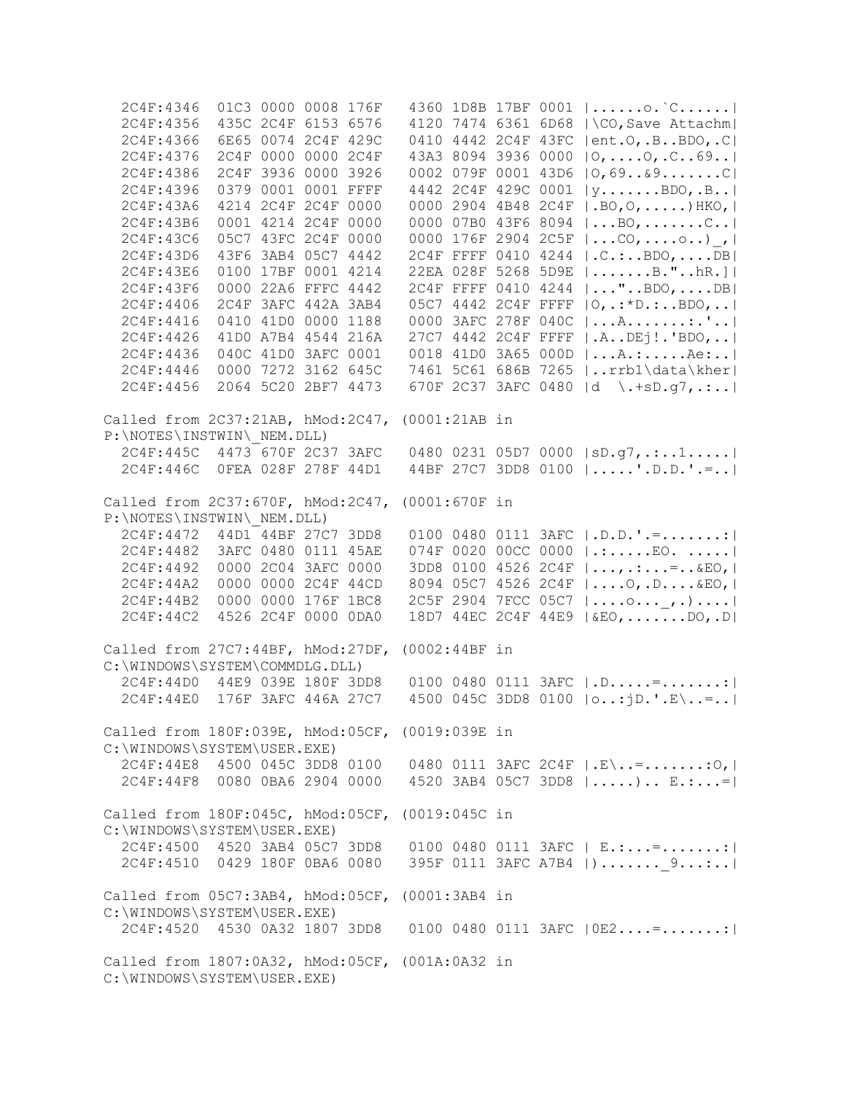2C4F:4346 01C3 0000 0008 176F 4360 1D8B 17BF 0001 |......o.`C......| 2C4F:4356 435C 2C4F 6153 6576 4120 7474 6361 6D68 |\CO,Save Attachm| 2C4F:4366 6E65 0074 2C4F 429C 0410 4442 2C4F 43FC |ent.O,.B..BDO,.C| 2C4F:4376 2C4F 0000 0000 2C4F 43A3 8094 3936 0000 |O,....O,.C..69..| 2C4F:4386 2C4F 3936 0000 3926 0002 079F 0001 43D6 |O,69..&9.......C| 2C4F:4396 0379 0001 0001 FFFF 4442 2C4F 429C 0001 |y.......BDO,.B..| 2C4F:43A6 4214 2C4F 2C4F 0000 0000 2904 4B48 2C4F |.BO,O,.....)HKO,| 2C4F:43B6 0001 4214 2C4F 0000 0000 07B0 43F6 8094 |...BO,.......C..| 2C4F:43C6 05C7 43FC 2C4F 0000 0000 176F 2904 2C5F |...CO,....o..)\_,| 2C4F:43D6 43F6 3AB4 05C7 4442 2C4F FFFF 0410 4244 |.C.:..BDO,....DB| 2C4F:43E6 0100 17BF 0001 4214 22EA 028F 5268 5D9E |.......B."..hR.]| 2C4F:43F6 0000 22A6 FFFC 4442 2C4F FFFF 0410 4244 |..."..BDO,....DB| 2C4F:4406 2C4F 3AFC 442A 3AB4 05C7 4442 2C4F FFFF |O,.:\*D.:..BDO,..| 2C4F:4416 0410 41D0 0000 1188 0000 3AFC 278F 040C |...A.......:.'..| 2C4F:4426 41D0 A7B4 4544 216A 27C7 4442 2C4F FFFF |.A..DEj!.'BDO,..| 2C4F:4436 040C 41D0 3AFC 0001 0018 41D0 3A65 000D |...A.:.....Ae:..| 2C4F:4446 0000 7272 3162 645C 7461 5C61 686B 7265 |..rrb1\data\kher| 2C4F:4456 2064 5C20 2BF7 4473 670F 2C37 3AFC 0480 |d \.+sD.g7,.:..| Called from 2C37:21AB, hMod:2C47, (0001:21AB in P:\NOTES\INSTWIN\\_NEM.DLL)  $2C4F:445C$   $4473$  670F 2C37 3AFC 0480 0231 05D7 0000  $|SD.g7, \ldots 1 \ldots |$  2C4F:446C 0FEA 028F 278F 44D1 44BF 27C7 3DD8 0100 |.....'.D.D.'.=..| Called from 2C37:670F, hMod:2C47, (0001:670F in P:\NOTES\INSTWIN\\_NEM.DLL)  $2C4F:4472$   $44D1$   $44BF$   $27C7$   $3DD8$  0100 0480 0111  $3AFC$   $|.D.D.$   $|. = . . . . . . . : |$  2C4F:4482 3AFC 0480 0111 45AE 074F 0020 00CC 0000 |.:.....EO. .....| 2C4F:4492 0000 2C04 3AFC 0000 3DD8 0100 4526 2C4F |...,.:...=..&EO,| 2C4F:44A2 0000 0000 2C4F 44CD 8094 05C7 4526 2C4F |....O,.D....&EO,| 2C4F:44B2 0000 0000 176F 1BC8 2C5F 2904 7FCC 05C7 |....o...\_,.)....| 2C4F:44C2 4526 2C4F 0000 0DA0 18D7 44EC 2C4F 44E9 |&EO,.......DO,.D| Called from 27C7:44BF, hMod:27DF, (0002:44BF in C:\WINDOWS\SYSTEM\COMMDLG.DLL) 2C4F:44D0 44E9 039E 180F 3DD8 0100 0480 0111 3AFC |.D.....=.......:| 2C4F:44E0 176F 3AFC 446A 27C7 4500 045C 3DD8 0100 |o..:jD.'.E\..=..| Called from 180F:039E, hMod:05CF, (0019:039E in C:\WINDOWS\SYSTEM\USER.EXE) 2C4F:44E8 4500 045C 3DD8 0100 0480 0111 3AFC 2C4F |.E\..=.......:O,| 2C4F:44F8 0080 0BA6 2904 0000 4520 3AB4 05C7 3DD8 |.....).. E.:...=| Called from 180F:045C, hMod:05CF, (0019:045C in C:\WINDOWS\SYSTEM\USER.EXE) 2C4F:4500 4520 3AB4 05C7 3DD8 0100 0480 0111 3AFC | E.:...=.......:| 2C4F:4510 0429 180F 0BA6 0080 395F 0111 3AFC A7B4 |).......\_9...:..| Called from 05C7:3AB4, hMod:05CF, (0001:3AB4 in C:\WINDOWS\SYSTEM\USER.EXE) 2C4F:4520 4530 0A32 1807 3DD8 0100 0480 0111 3AFC |0E2....=.......:| Called from 1807:0A32, hMod:05CF, (001A:0A32 in C:\WINDOWS\SYSTEM\USER.EXE)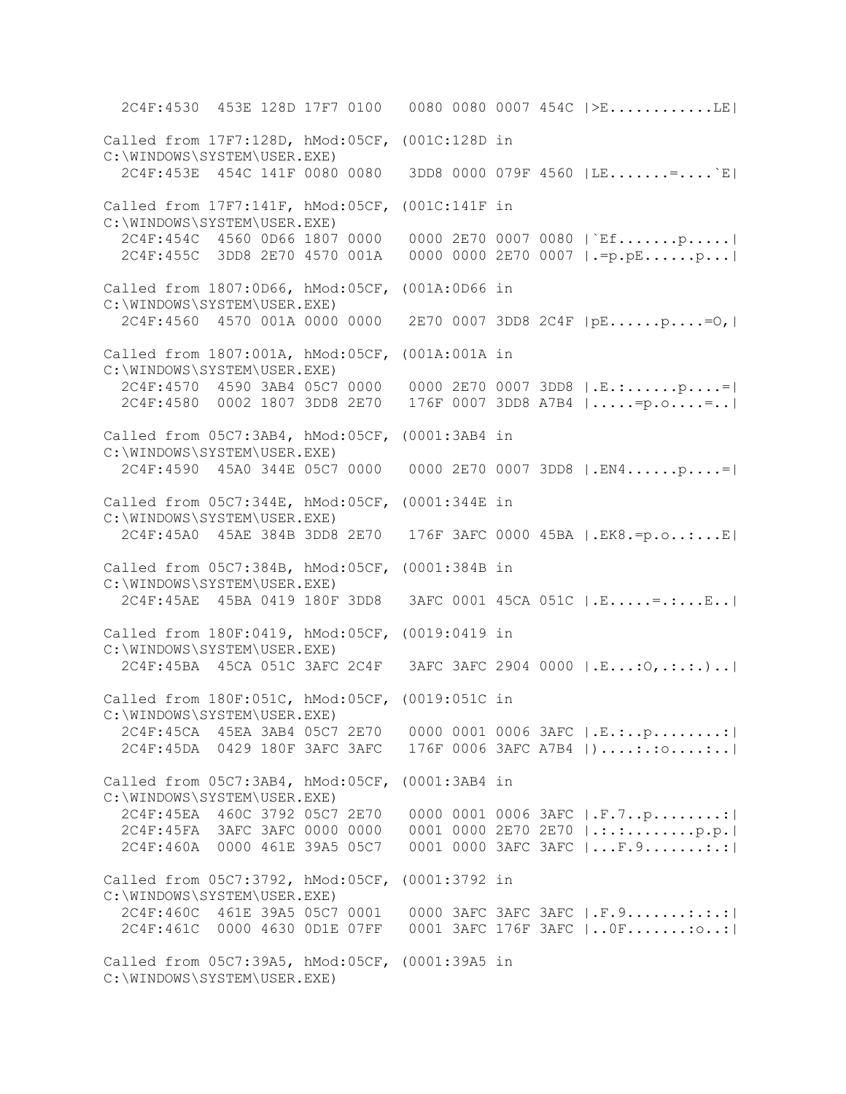2C4F:4530 453E 128D 17F7 0100 0080 0080 0007 454C |>E............LE| Called from 17F7:128D, hMod:05CF, (001C:128D in C:\WINDOWS\SYSTEM\USER.EXE) 2C4F:453E 454C 141F 0080 0080 3DD8 0000 079F 4560 |LE.......=....`E| Called from 17F7:141F, hMod:05CF, (001C:141F in C:\WINDOWS\SYSTEM\USER.EXE) 2C4F:454C 4560 0D66 1807 0000 0000 2E70 0007 0080 |`Ef.......p.....| 2C4F:455C 3DD8 2E70 4570 001A 0000 0000 2E70 0007 |.=p.pE......p...| Called from 1807:0D66, hMod:05CF, (001A:0D66 in C:\WINDOWS\SYSTEM\USER.EXE) 2C4F:4560 4570 001A 0000 0000 2E70 0007 3DD8 2C4F |pE......p....=O,| Called from 1807:001A, hMod:05CF, (001A:001A in C:\WINDOWS\SYSTEM\USER.EXE) 2C4F:4570 4590 3AB4 05C7 0000 0000 2E70 0007 3DD8 |.E.:......p....=| 2C4F:4580 0002 1807 3DD8 2E70 176F 0007 3DD8 A7B4 |.....=p.o....=..| Called from 05C7:3AB4, hMod:05CF, (0001:3AB4 in C:\WINDOWS\SYSTEM\USER.EXE) 2C4F:4590 45A0 344E 05C7 0000 0000 2E70 0007 3DD8 |.EN4......p....=| Called from 05C7:344E, hMod:05CF, (0001:344E in C:\WINDOWS\SYSTEM\USER.EXE) 2C4F:45A0 45AE 384B 3DD8 2E70 176F 3AFC 0000 45BA |.EK8.=p.o..:...E| Called from 05C7:384B, hMod:05CF, (0001:384B in C:\WINDOWS\SYSTEM\USER.EXE) 2C4F:45AE 45BA 0419 180F 3DD8 3AFC 0001 45CA 051C |.E.....=.:...E..| Called from 180F:0419, hMod:05CF, (0019:0419 in C:\WINDOWS\SYSTEM\USER.EXE) 2C4F:45BA 45CA 051C 3AFC 2C4F 3AFC 3AFC 2904 0000 |.E...:O,.:.:.)..| Called from 180F:051C, hMod:05CF, (0019:051C in C:\WINDOWS\SYSTEM\USER.EXE) 2C4F:45CA 45EA 3AB4 05C7 2E70 0000 0001 0006 3AFC |.E.:..p........:| 2C4F:45DA 0429 180F 3AFC 3AFC 176F 0006 3AFC A7B4 |)....:.:o....:..| Called from 05C7:3AB4, hMod:05CF, (0001:3AB4 in C:\WINDOWS\SYSTEM\USER.EXE) 2C4F:45EA 460C 3792 05C7 2E70 0000 0001 0006 3AFC |.F.7..p........:| 2C4F:45FA 3AFC 3AFC 0000 0000 0001 0000 2E70 2E70 |.:.:........p.p.| 2C4F:460A 0000 461E 39A5 05C7 0001 0000 3AFC 3AFC |...F.9.......:.:| Called from 05C7:3792, hMod:05CF, (0001:3792 in C:\WINDOWS\SYSTEM\USER.EXE) 2C4F:460C 461E 39A5 05C7 0001 0000 3AFC 3AFC 3AFC |.F.9.......:.:.:| 2C4F:461C 0000 4630 0D1E 07FF 0001 3AFC 176F 3AFC |..0F.......:o..:| Called from 05C7:39A5, hMod:05CF, (0001:39A5 in C:\WINDOWS\SYSTEM\USER.EXE)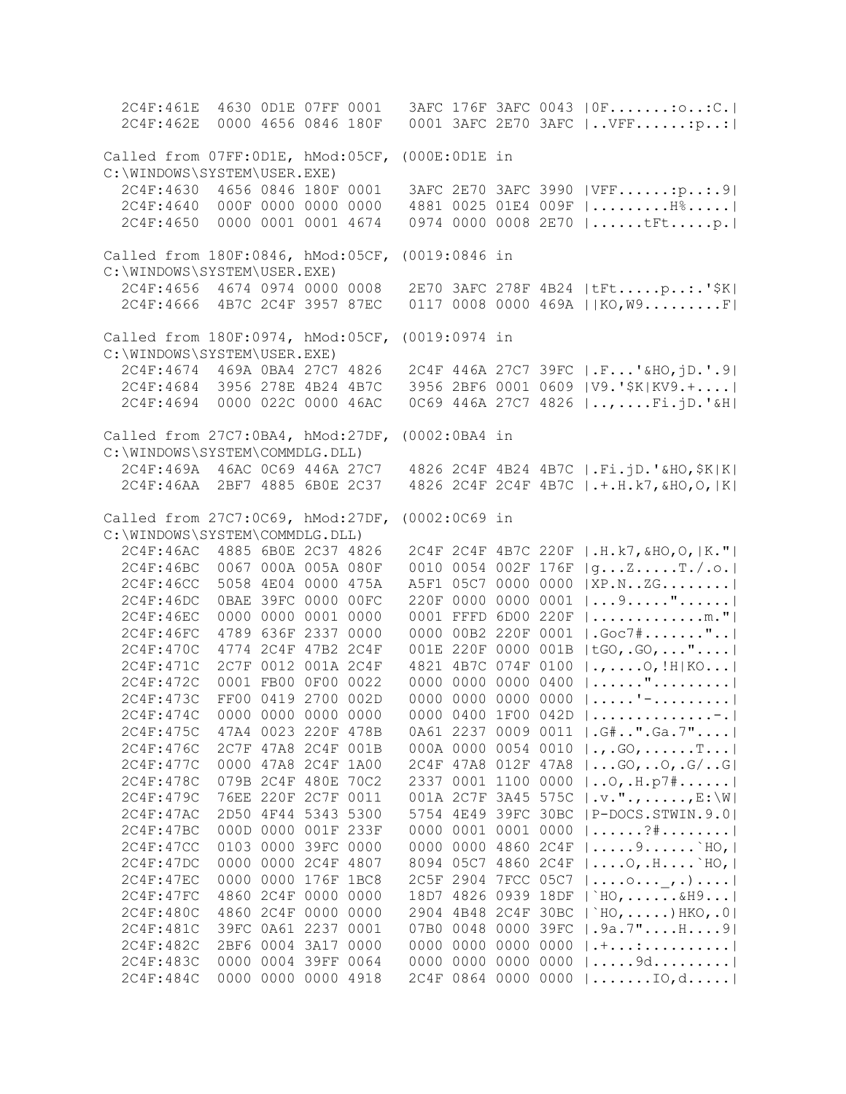2C4F:461E 4630 0D1E 07FF 0001 3AFC 176F 3AFC 0043 |0F.......:o..:C.| 2C4F:462E 0000 4656 0846 180F 0001 3AFC 2E70 3AFC |..VFF......:p..:| Called from 07FF:0D1E, hMod:05CF, (000E:0D1E in C:\WINDOWS\SYSTEM\USER.EXE) 2C4F:4630 4656 0846 180F 0001 3AFC 2E70 3AFC 3990 |VFF......:p..:.9| 2C4F:4640 000F 0000 0000 0000 4881 0025 01E4 009F |.........H%.....| 2C4F:4650 0000 0001 0001 4674 0974 0000 0008 2E70 |......tFt.....p.| Called from 180F:0846, hMod:05CF, (0019:0846 in C:\WINDOWS\SYSTEM\USER.EXE) 2C4F:4656 4674 0974 0000 0008 2E70 3AFC 278F 4B24 |tFt.....p..:.'\$K| 2C4F:4666 4B7C 2C4F 3957 87EC 0117 0008 0000 469A ||KO,W9.........F| Called from 180F:0974, hMod:05CF, (0019:0974 in C:\WINDOWS\SYSTEM\USER.EXE) 2C4F:4674 469A 0BA4 27C7 4826 2C4F 446A 27C7 39FC |.F...'&HO,jD.'.9| 2C4F:4684 3956 278E 4B24 4B7C 3956 2BF6 0001 0609 |V9.'\$K|KV9.+....| 2C4F:4694 0000 022C 0000 46AC 0C69 446A 27C7 4826 |..,....Fi.jD.'&H| Called from 27C7:0BA4, hMod:27DF, (0002:0BA4 in C:\WINDOWS\SYSTEM\COMMDLG.DLL) 2C4F:469A 46AC 0C69 446A 27C7 4826 2C4F 4B24 4B7C |.Fi.jD.'&HO,\$K|K| 2C4F:46AA 2BF7 4885 6B0E 2C37 4826 2C4F 2C4F 4B7C |.+.H.k7,&HO,O,|K| Called from 27C7:0C69, hMod:27DF, (0002:0C69 in C:\WINDOWS\SYSTEM\COMMDLG.DLL) 2C4F:46AC 4885 6B0E 2C37 4826 2C4F 2C4F 4B7C 220F |.H.k7,&HO,O,|K."| 2C4F:46BC 0067 000A 005A 080F 0010 0054 002F 176F |g...Z.....T./.o.| 2C4F:46CC 5058 4E04 0000 475A A5F1 05C7 0000 0000 |XP.N..ZG........| 2C4F:46DC 0BAE 39FC 0000 00FC 220F 0000 0000 0001 |...9....."......| 2C4F:46EC 0000 0000 0001 0000 0001 FFFD 6D00 220F |.............m."| 2C4F:46FC 4789 636F 2337 0000 0000 00B2 220F 0001 |.Goc7#......."..| 2C4F:470C 4774 2C4F 47B2 2C4F 001E 220F 0000 001B |tGO,.GO,..."....| 2C4F:471C 2C7F 0012 001A 2C4F 4821 4B7C 074F 0100 |.,....O,!H|KO...| 2C4F:472C 0001 FB00 0F00 0022 0000 0000 0000 0400 |......".........| 2C4F:473C FF00 0419 2700 002D 0000 0000 0000 0000 |.....'-.........| 2C4F:474C 0000 0000 0000 0000 0000 0400 1F00 042D |..............-.| 2C4F:475C 47A4 0023 220F 478B 0A61 2237 0009 0011 |.G#..".Ga.7"....| 2C4F:476C 2C7F 47A8 2C4F 001B 000A 0000 0054 0010 |.,.GO,......T...| 2C4F:477C 0000 47A8 2C4F 1A00 2C4F 47A8 012F 47A8 |...GO,..O,.G/..G| 2C4F:478C 079B 2C4F 480E 70C2 2337 0001 1100 0000 |..O,.H.p7#......| 2C4F:479C 76EE 220F 2C7F 0011 001A 2C7F 3A45 575C |.v.".,.....,E:\W| 2C4F:47AC 2D50 4F44 5343 5300 5754 4E49 39FC 30BC |P-DOCS.STWIN.9.0| 2C4F:47BC 000D 0000 001F 233F 0000 0001 0001 0000 |......?#........| 2C4F:47CC 0103 0000 39FC 0000 0000 0000 4860 2C4F |.....9......`HO,| 2C4F:47DC 0000 0000 2C4F 4807 8094 05C7 4860 2C4F |....O,.H....`HO,| 2C4F:47EC 0000 0000 176F 1BC8 2C5F 2904 7FCC 05C7 |....o...\_,.)....| 2C4F:47FC 4860 2C4F 0000 0000 18D7 4826 0939 18DF |`HO,......&H9...| 2C4F:480C 4860 2C4F 0000 0000 2904 4B48 2C4F 30BC |`HO,.....)HKO,.0| 2C4F:481C 39FC 0A61 2237 0001 07B0 0048 0000 39FC |.9a.7"....H....9| 2C4F:482C 2BF6 0004 3A17 0000 0000 0000 0000 0000 |.+...:..........| 2C4F:483C 0000 0004 39FF 0064 0000 0000 0000 0000 |.....9d.........| 2C4F:484C 0000 0000 0000 4918 2C4F 0864 0000 0000 |.......IO,d.....|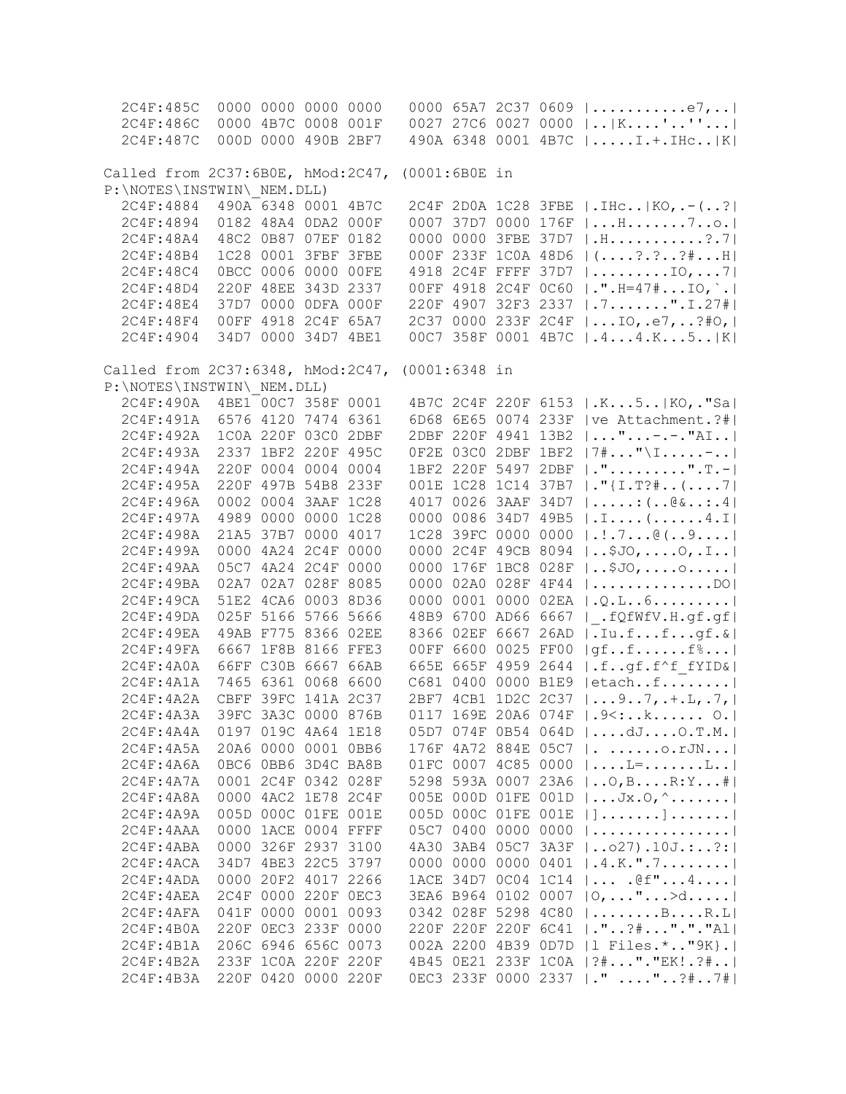2C4F:485C 0000 0000 0000 0000 0000 65A7 2C37 0609 |...........e7,..| 2C4F:486C 0000 4B7C 0008 001F 0027 27C6 0027 0000 |..|K....'..''...| 2C4F:487C 000D 0000 490B 2BF7 490A 6348 0001 4B7C |.....I.+.IHc..|K| Called from 2C37:6B0E, hMod:2C47, (0001:6B0E in P:\NOTES\INSTWIN\\_NEM.DLL) 2C4F:4884 490A 6348 0001 4B7C 2C4F 2D0A 1C28 3FBE |.IHc..|KO,.-(..?| 2C4F:4894 0182 48A4 0DA2 000F 0007 37D7 0000 176F |...H.......7..o.| 2C4F:48A4 48C2 0B87 07EF 0182 0000 0000 3FBE 37D7 |.H...........?.7| 2C4F:48B4 1C28 0001 3FBF 3FBE 000F 233F 1C0A 48D6 |(....?.?..?#...H| 2C4F:48C4 0BCC 0006 0000 00FE 4918 2C4F FFFF 37D7 |.........IO,...7| 2C4F:48D4 220F 48EE 343D 2337 00FF 4918 2C4F 0C60 |.".H=47#...IO,`.| 2C4F:48E4 37D7 0000 0DFA 000F 220F 4907 32F3 2337 |.7.......".I.27#| 2C4F:48F4 00FF 4918 2C4F 65A7 2C37 0000 233F 2C4F |...IO,.e7,..?#O,| 2C4F:4904 34D7 0000 34D7 4BE1 00C7 358F 0001 4B7C |.4...4.K...5..|K| Called from 2C37:6348, hMod:2C47, (0001:6348 in P:\NOTES\INSTWIN\\_NEM.DLL) 2C4F:490A 4BE1 00C7 358F 0001 4B7C 2C4F 220F 6153 |.K...5..|KO,."Sa| 2C4F:491A 6576 4120 7474 6361 6D68 6E65 0074 233F |ve Attachment.?#| 2C4F:492A 1C0A 220F 03C0 2DBF 2DBF 220F 4941 13B2 |..."...-.-."AI..|<br>2C4F:493A 2337 1BF2 220F 495C 0F2E 03C0 2DBF 1BF2 |7#..."\I.....-..|  $0F2E 03C0 2DBF 1BF2 |7#..." \I......$  2C4F:494A 220F 0004 0004 0004 1BF2 220F 5497 2DBF |.".........".T.-| 2C4F:495A 220F 497B 54B8 233F 001E 1C28 1C14 37B7 |."{I.T?#..(....7| 2C4F:496A 0002 0004 3AAF 1C28 4017 0026 3AAF 34D7 |.....:(..@&..:.4| 0000 0086 34D7 49B5  $|I:...,(......4,I|]$  2C4F:498A 21A5 37B7 0000 4017 1C28 39FC 0000 0000 |.!.7...@(..9....| 2C4F:499A 0000 4A24 2C4F 0000 0000 2C4F 49CB 8094 |..\$JO,....O,.I..| 2C4F:49AA 05C7 4A24 2C4F 0000 0000 176F 1BC8 028F |..\$JO,....o.....|<br>2C4F:49BA 02A7 02A7 028F 8085 0000 02A0 028F 4F44 |.................DO| 0000 02A0 028F 4F44 |..............DO| 2C4F:49CA 51E2 4CA6 0003 8D36 0000 0001 0000 02EA |.Q.L..6.........| 2C4F:49DA 025F 5166 5766 5666 48B9 6700 AD66 6667 |\_.fQfWfV.H.gf.gf|  $2C4F:49EA$  49AB F775 8366 02EE 8366 02EF 6667 26AD |.Iu.f...f...gf.&|<br>2C4F:49FA 6667 1F8B 8166 FFE3 00FF 6600 0025 FF00 |qf..f......f%...|  $00FF 6600 0025 FF00 |qf..f.\ldots.f*...|$  2C4F:4A0A 66FF C30B 6667 66AB 665E 665F 4959 2644 |.f..gf.f^f\_fYID&| 2C4F:4A1A 7465 6361 0068 6600 C681 0400 0000 B1E9 |etach..f........| 2C4F:4A2A CBFF 39FC 141A 2C37 2BF7 4CB1 1D2C 2C37 |...9..7,.+.L,.7,|<br>2C4F:4A3A 39FC 3A3C 0000 876B 0117 169E 20A6 074F |.9<:..k...... 0.| 0117 169E 20A6 074F |.9<:..k...... O.| 2C4F:4A4A 0197 019C 4A64 1E18 05D7 074F 0B54 064D |....dJ....O.T.M.| 2C4F:4A5A 20A6 0000 0001 0BB6 176F 4A72 884E 05C7 |. ......o.rJN...| 2C4F:4A6A 0BC6 0BB6 3D4C BA8B 01FC 0007 4C85 0000 |....L=.......L..|<br>2C4F:4A7A 0001 2C4F 0342 028F 5298 593A 0007 23A6 |..O,B....R:Y...#| 5298 593A 0007 23A6 |..O,B....R:Y...#| 2C4F:4A8A 0000 4AC2 1E78 2C4F 005E 000D 01FE 001D |...Jx.O,^.......| 2C4F:4A9A 005D 000C 01FE 001E 005D 000C 01FE 001E |].......].......| 2C4F:4AAA 0000 1ACE 0004 FFFF 05C7 0400 0000 0000 |................| 2C4F:4ABA 0000 326F 2937 3100 4A30 3AB4 05C7 3A3F |..o27).10J.:..?:| 2C4F:4ACA 34D7 4BE3 22C5 3797 0000 0000 0000 0401 |.4.K.".7........| 2C4F:4ADA 0000 20F2 4017 2266 1ACE 34D7 0C04 1C14 |... .@f"...4....| 2C4F:4AEA 2C4F 0000 220F 0EC3 3EA6 B964 0102 0007 |O,..."...>d.....|<br>2C4F:4AFA 041F 0000 0001 0093 0342 028F 5298 4C80 |.......B....R.L|  $0342$   $028F$  5298 4C80  $|$ ........B....R.L 2C4F:4B0A 220F 0EC3 233F 0000 220F 220F 220F 6C41 |."..?#..."."."Al| 2C4F:4B1A 206C 6946 656C 0073 002A 2200 4B39 0D7D |l Files.\*.."9K}.| 2C4F:4B2A 233F 1C0A 220F 220F 4B45 0E21 233F 1C0A |?#..."."EK!.?#..| 2C4F:4B3A 220F 0420 0000 220F 0EC3 233F 0000 2337 |." ...."..?#..7#|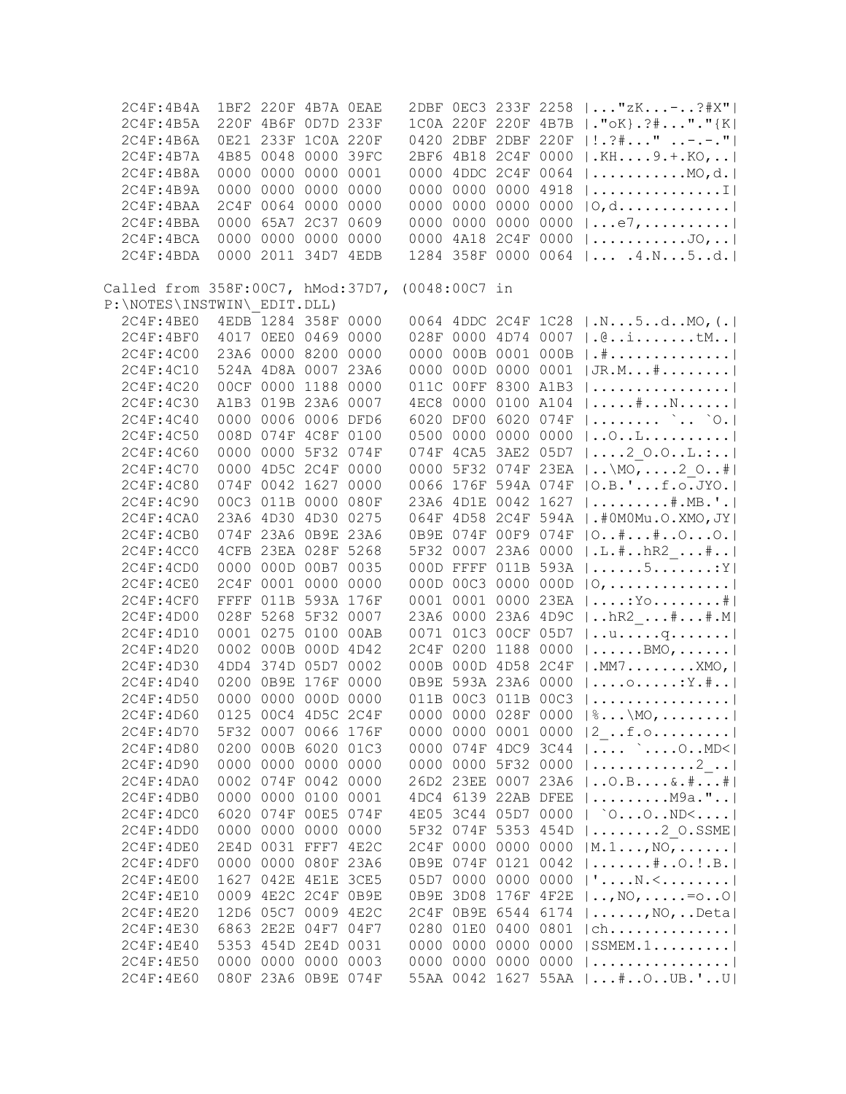| 2C4F:4B4A                                       |                     | 1BF2 220F 4B7A OEAE |                |      |           |                     |           |      | 2DBF 0EC3 233F 2258    "zK-?#X"                      |
|-------------------------------------------------|---------------------|---------------------|----------------|------|-----------|---------------------|-----------|------|------------------------------------------------------|
| 2C4F:4B5A                                       |                     | 220F 4B6F 0D7D 233F |                |      |           |                     |           |      | 1COA 220F 220F 4B7B  ."oK}.?#"."{K                   |
| 2C4F:4B6A                                       |                     | 0E21 233F 1C0A 220F |                |      |           |                     |           |      | 0420 2DBF 2DBF 220F   ! . ? # " -.-. "               |
| 2C4F:4B7A                                       |                     | 4B85 0048 0000 39FC |                |      |           |                     |           |      | 2BF6 4B18 2C4F 0000  .KH9.+.KO,                      |
| 2C4F:4B8A                                       |                     | 0000 0000 0000 0001 |                |      |           |                     |           |      | 0000 4DDC 2C4F 0064    MO, d.                        |
| 2C4F:4B9A                                       |                     | 0000 0000 0000 0000 |                |      |           | 0000 0000           |           |      | 0000 4918 $ $ I                                      |
| 2C4F:4BAA                                       |                     | 2C4F 0064 0000 0000 |                |      |           | 0000 0000           |           |      | 0000 0000 $ 0, d \ldots  $                           |
| 2C4F:4BBA                                       |                     | 0000 65A7 2C37 0609 |                |      |           |                     |           |      | 0000 0000 0000 0000 $ e7, $                          |
| 2C4F:4BCA                                       |                     | 0000 0000 0000 0000 |                |      |           |                     |           |      | 0000 4A18 2C4F 0000 $ $ JO,                          |
| 2C4F:4BDA                                       |                     | 0000 2011 34D7 4EDB |                |      |           |                     |           |      |                                                      |
|                                                 |                     |                     |                |      |           |                     |           |      | 1284 358F 0000 0064    . 4. N. 5. . d.               |
|                                                 |                     |                     |                |      |           |                     |           |      |                                                      |
| Called from 358F:00C7, hMod:37D7, (0048:00C7 in |                     |                     |                |      |           |                     |           |      |                                                      |
| P:\NOTES\INSTWIN\ EDIT.DLL)                     |                     |                     |                |      |           |                     |           |      |                                                      |
| 2C4F:4BE0                                       | 4EDB 1284 358F 0000 |                     |                |      |           |                     |           |      | 0064 4DDC 2C4F 1C28  .N5dMO, (.                      |
| 2C4F:4BF0                                       |                     | 4017 OEEO 0469 0000 |                |      |           |                     |           |      | 028F 0000 4D74 0007  .@itM                           |
| 2C4F:4C00                                       |                     | 23A6 0000 8200 0000 |                |      |           |                     |           |      | 0000 000B 0001 000B   .#                             |
| 2C4F:4C10                                       |                     | 524A 4D8A 0007 23A6 |                |      |           |                     |           |      | 0000 000D 0000 0001   JR.M#                          |
| 2C4F:4C20                                       |                     | 00CF 0000 1188 0000 |                |      |           |                     |           |      | 011C 00FF 8300 A1B3                                  |
| 2C4F:4C30                                       |                     | A1B3 019B 23A6 0007 |                |      |           |                     |           |      | 4EC8 0000 0100 A104    # N                           |
| 2C4F:4C40                                       |                     | 0000 0006 0006 DFD6 |                |      |           | 6020 DF00           |           |      | 6020 074F $ $ ` `0.                                  |
| 2C4F:4C50                                       |                     | 008D 074F 4C8F 0100 |                |      |           |                     |           |      | 0500 0000 0000 0000    O. . L.                       |
| 2C4F:4C60                                       |                     | 0000 0000 5F32 074F |                |      |           |                     |           |      | 074F 4CA5 3AE2 05D7  2 0.0L.:                        |
| 2C4F:4C70                                       |                     | 0000 4D5C 2C4F 0000 |                |      |           |                     |           |      | 0000 5F32 074F 23EA   \MO, 2 O#                      |
| 2C4F:4C80                                       |                     | 074F 0042 1627 0000 |                |      |           |                     |           |      | 0066 176F 594A 074F   O.B.'f.o.JYO.                  |
| 2C4F:4C90                                       |                     | 00C3 011B 0000 080F |                |      |           |                     |           |      |                                                      |
|                                                 |                     |                     |                |      |           |                     |           |      | 23A6 4D1E 0042 1627   #.MB.'.                        |
| 2C4F:4CA0                                       |                     | 23A6 4D30 4D30 0275 |                |      |           |                     |           |      | 064F 4D58 2C4F 594A  .#0M0Mu.O.XMO, JY               |
| 2C4F:4CB0                                       |                     | 074F 23A6 0B9E 23A6 |                |      |           |                     |           |      | 0B9E 074F 00F9 074F   0##00.                         |
| 2C4F:4CC0                                       |                     | 4CFB 23EA 028F 5268 |                |      |           |                     |           |      | 5F32 0007 23A6 0000  .L.#hR2 #                       |
| 2C4F:4CD0                                       |                     | 0000 000D 00B7 0035 |                |      |           |                     |           |      | 000D FFFF 011B 593A   5: Y                           |
| 2C4F:4CE0                                       |                     | 2C4F 0001 0000 0000 |                |      |           |                     |           |      | 000D 00C3 0000 000D $ 0, \ldots, \ldots, \ldots,  $  |
| 2C4F:4CF0                                       |                     | FFFF 011B 593A 176F |                |      |           |                     |           |      | 0001 0001 0000 23EA   : Yo #                         |
| 2C4F:4D00                                       |                     | 028F 5268 5F32 0007 |                |      |           |                     |           |      | 23A6 0000 23A6 4D9C    hR2  # #. M                   |
| 2C4F:4D10                                       |                     | 0001 0275 0100 00AB |                |      |           |                     |           |      | 0071 01C3 00CF 05D7   uq                             |
| 2C4F:4D20                                       |                     | 0002 000B 000D 4D42 |                |      |           |                     |           |      | 2C4F 0200 1188 0000  BMO,                            |
| 2C4F:4D30                                       |                     | 4DD4 374D 05D7 0002 |                |      |           |                     |           |      | 000B 000D 4D58 2C4F  .MM7XMO,                        |
| 2C4F:4D40                                       |                     | 0200 0B9E 176F 0000 |                |      |           |                     |           |      | 0B9E 593A 23A6 0000    o: Y.#                        |
| 2C4F:4D50                                       |                     | 0000 0000 000D 0000 |                |      |           |                     |           |      | 011B 00C3 011B 00C3                                  |
| 2C4F:4D60                                       |                     | 0125 00C4 4D5C 2C4F |                |      |           |                     |           |      | 0000 0000 028F 0000 $ , \text{MO}, \ldots,  $        |
|                                                 |                     |                     |                |      |           |                     |           |      |                                                      |
| 2C4F:4D70                                       |                     | 5F32 0007 0066 176F |                |      |           |                     |           |      | 0000 0000 0001 0000 $ 2$ f.o                         |
| 2C4F:4D80                                       |                     | 0200 000B 6020 01C3 |                |      | 0000      | 074F                | 4DC9 3C44 |      | $  \ldots$ MD< $ $                                   |
| 2C4F:4D90                                       |                     | 0000 0000 0000 0000 |                |      |           | 0000 0000           | 5F32 0000 |      |                                                      |
| 2C4F:4DA0                                       |                     | 0002 074F 0042 0000 |                |      |           | 26D2 23EE           | 0007 23A6 |      | $ 0.B6.*$                                            |
| 2C4F:4DB0                                       | 0000                | 0000 0100 0001      |                |      |           | 4DC4 6139 22AB DFEE |           |      | $  \ldots \ldots \ldots$ . M9a. " $\ldots  $         |
| 2C4F:4DC0                                       | 6020                | 074F 00E5           |                | 074F |           | 4E05 3C44 05D7 0000 |           |      | $ $ $00$ ND $\leq$                                   |
| 2C4F:4DD0                                       | 0000                |                     | 0000 0000      | 0000 |           | 5F32 074F           | 5353 454D |      | $  \ldots \ldots \ldots 2$ O.SSME                    |
| 2C4F:4DE0                                       | 2E4D                | 0031 FFF7           |                | 4E2C | 2C4F 0000 |                     | 0000 0000 |      | $ M.1, NQ,$                                          |
| 2C4F:4DF0                                       | 0000                |                     | 0000 080F 23A6 |      |           | 0B9E 074F           | 0121 0042 |      | $  \ldots \ldots \hat{*} \ldots 0 \ldots B \ldots  $ |
| 2C4F:4E00                                       | 1627                |                     | 042E 4E1E      | 3CE5 | 05D7 0000 |                     | 0000      | 0000 | $  ' \ldots N, \leq, \ldots, \ldots  $               |
| 2C4F: 4E10                                      |                     | 0009 4E2C 2C4F      |                | 0B9E | 0B9E      | 3D08                | 176F 4F2E |      | $ , N0, \ldots := 00 $                               |
| 2C4F:4E20                                       |                     | 12D6 05C7 0009      |                | 4E2C | 2C4F      | 0B9E                | 6544 6174 |      | $  \ldots \ldots \ldots \text{NO}$ , Deta            |
| 2C4F: 4E30                                      | 6863                | 2E2E 04F7           |                | 04F7 | 0280      | 01E0                | 0400 0801 |      | $ ch \ldots  \ldots  $                               |
|                                                 |                     | 5353 454D 2E4D      |                |      |           |                     | 0000      |      |                                                      |
| 2C4F: 4E40                                      |                     |                     |                | 0031 | 0000      | 0000                |           | 0000 | $ $ SSMEM.1                                          |
| 2C4F:4E50                                       | 0000                | 0000 0000           |                | 0003 | 0000      | 0000                | 0000 0000 |      |                                                      |
| 2C4F:4E60                                       |                     | 080F 23A6 0B9E 074F |                |      |           |                     |           |      | 55AA 0042 1627 55AA  #OUB.'U                         |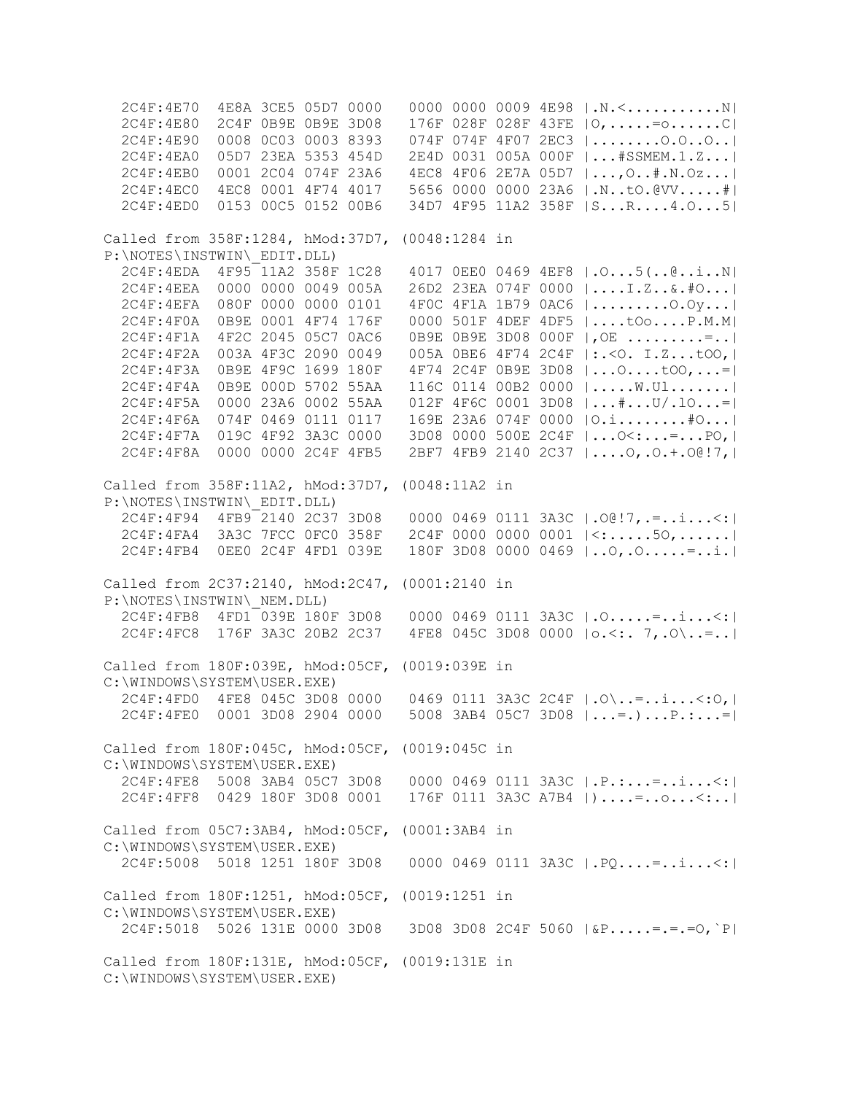2C4F:4E70 4E8A 3CE5 05D7 0000 0000 0000 0009 4E98 |.N.<...........N| 2C4F:4E80 2C4F 0B9E 0B9E 3D08 176F 028F 028F 43FE |O,.....=o......C| 2C4F:4E90 0008 0C03 0003 8393 074F 074F 4F07 2EC3 |........O.O..O..| 2C4F:4EA0 05D7 23EA 5353 454D 2E4D 0031 005A 000F |...#SSMEM.1.Z...| 2C4F:4EB0 0001 2C04 074F 23A6 4EC8 4F06 2E7A 05D7 |...,O..#.N.Oz...| 2C4F:4EC0 4EC8 0001 4F74 4017 5656 0000 0000 23A6 |.N..tO.@VV.....#| 2C4F:4ED0 0153 00C5 0152 00B6 34D7 4F95 11A2 358F |S...R....4.O...5| Called from 358F:1284, hMod:37D7, (0048:1284 in P:\NOTES\INSTWIN\\_EDIT.DLL) 2C4F:4EDA 4F95 11A2 358F 1C28 4017 0EE0 0469 4EF8 |.O...5(..@..i..N| 2C4F:4EEA 0000 0000 0049 005A 26D2 23EA 074F 0000 |....I.Z..&.#O...| 2C4F:4EFA 080F 0000 0000 0101 4F0C 4F1A 1B79 0AC6 |.........O.Oy...| 2C4F:4F0A 0B9E 0001 4F74 176F 0000 501F 4DEF 4DF5 |....tOo....P.M.M| 2C4F:4F1A 4F2C 2045 05C7 0AC6 0B9E 0B9E 3D08 000F |,OE .........=..| 2C4F:4F2A 003A 4F3C 2090 0049 005A 0BE6 4F74 2C4F |:.<O. I.Z...tOO,| 2C4F:4F3A 0B9E 4F9C 1699 180F 4F74 2C4F 0B9E 3D08 |...O....tOO,...=| 2C4F:4F4A 0B9E 000D 5702 55AA 116C 0114 00B2 0000 |.....W.Ul.......| 2C4F:4F5A 0000 23A6 0002 55AA 012F 4F6C 0001 3D08 |...#...U/.lO...=| 2C4F:4F6A 074F 0469 0111 0117 169E 23A6 074F 0000 |O.i........#O...| 2C4F:4F7A 019C 4F92 3A3C 0000 3D08 0000 500E 2C4F |...O<:...=...PO,| 2C4F:4F8A 0000 0000 2C4F 4FB5 2BF7 4FB9 2140 2C37 |....O,.O.+.O@!7,| Called from 358F:11A2, hMod:37D7, (0048:11A2 in P:\NOTES\INSTWIN\\_EDIT.DLL) 2C4F:4F94 4FB9 2140 2C37 3D08 0000 0469 0111 3A3C |.O@!7,.=..i...<:| 2C4F:4FA4 3A3C 7FCC 0FC0 358F 2C4F 0000 0000 0001 |<:.....5O,......| 2C4F:4FB4 0EE0 2C4F 4FD1 039E 180F 3D08 0000 0469 |..O,.O.....=..i.| Called from 2C37:2140, hMod:2C47, (0001:2140 in P:\NOTES\INSTWIN\\_NEM.DLL) 2C4F:4FB8 4FD1 039E 180F 3D08 0000 0469 0111 3A3C |.O.....=..i...<:| 2C4F:4FC8 176F 3A3C 20B2 2C37 4FE8 045C 3D08 0000 |o.<:. 7,.O\..=..| Called from 180F:039E, hMod:05CF, (0019:039E in C:\WINDOWS\SYSTEM\USER.EXE) 2C4F:4FD0 4FE8 045C 3D08 0000 0469 0111 3A3C 2C4F |.O\..=..i...<:O,| 2C4F:4FE0 0001 3D08 2904 0000 5008 3AB4 05C7 3D08 |...=.)...P.:...=| Called from 180F:045C, hMod:05CF, (0019:045C in C:\WINDOWS\SYSTEM\USER.EXE) 2C4F:4FE8 5008 3AB4 05C7 3D08 0000 0469 0111 3A3C |.P.:...=..i...<:| 2C4F:4FF8 0429 180F 3D08 0001 176F 0111 3A3C A7B4 |)....=..o...<:..| Called from 05C7:3AB4, hMod:05CF, (0001:3AB4 in C:\WINDOWS\SYSTEM\USER.EXE) 2C4F:5008 5018 1251 180F 3D08 0000 0469 0111 3A3C |.PQ....=..i...<:| Called from 180F:1251, hMod:05CF, (0019:1251 in C:\WINDOWS\SYSTEM\USER.EXE) 2C4F:5018 5026 131E 0000 3D08 3D08 3D08 2C4F 5060 |&P.....=.=.=O,`P| Called from 180F:131E, hMod:05CF, (0019:131E in C:\WINDOWS\SYSTEM\USER.EXE)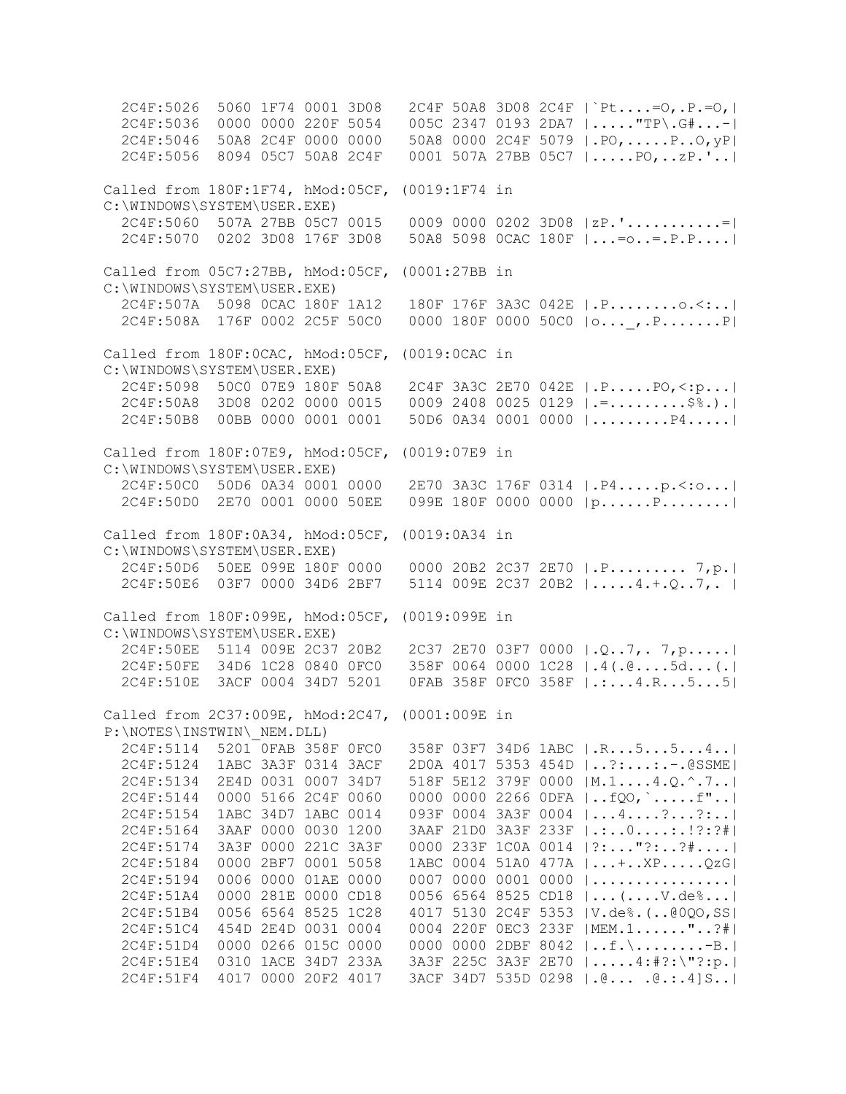2C4F:5026 5060 1F74 0001 3D08 2C4F 50A8 3D08 2C4F |`Pt....=O,.P.=O,| 2C4F:5036 0000 0000 220F 5054 005C 2347 0193 2DA7 |....."TP\.G#...-| 2C4F:5046 50A8 2C4F 0000 0000 50A8 0000 2C4F 5079 |.PO,.....P..O,yP| 2C4F:5056 8094 05C7 50A8 2C4F 0001 507A 27BB 05C7 |.....PO,..zP.'..| Called from 180F:1F74, hMod:05CF, (0019:1F74 in C:\WINDOWS\SYSTEM\USER.EXE) 2C4F:5060 507A 27BB 05C7 0015 0009 0000 0202 3D08 |zP.'...........=| 2C4F:5070 0202 3D08 176F 3D08 50A8 5098 0CAC 180F |...=o..=.P.P....| Called from 05C7:27BB, hMod:05CF, (0001:27BB in C:\WINDOWS\SYSTEM\USER.EXE) 2C4F:507A 5098 0CAC 180F 1A12 180F 176F 3A3C 042E |.P........o.<:..| 2C4F:508A 176F 0002 2C5F 50C0 0000 180F 0000 50C0 |o...\_,.P.......P| Called from 180F:0CAC, hMod:05CF, (0019:0CAC in C:\WINDOWS\SYSTEM\USER.EXE) 2C4F:5098 50C0 07E9 180F 50A8 2C4F 3A3C 2E70 042E |.P.....PO,<:p...| 2C4F:50A8 3D08 0202 0000 0015 0009 2408 0025 0129 |.=.........\$%.).| 2C4F:50B8 00BB 0000 0001 0001 50D6 0A34 0001 0000 |.........P4.....| Called from 180F:07E9, hMod:05CF, (0019:07E9 in C:\WINDOWS\SYSTEM\USER.EXE) 2C4F:50C0 50D6 0A34 0001 0000 2E70 3A3C 176F 0314 |.P4.....p.<:o...| 2C4F:50D0 2E70 0001 0000 50EE 099E 180F 0000 0000 |p......P........| Called from 180F:0A34, hMod:05CF, (0019:0A34 in C:\WINDOWS\SYSTEM\USER.EXE) 2C4F:50D6 50EE 099E 180F 0000 0000 20B2 2C37 2E70 |.P......... 7,p.| 2C4F:50E6 03F7 0000 34D6 2BF7 5114 009E 2C37 20B2 |.....4.+.Q..7,. | Called from 180F:099E, hMod:05CF, (0019:099E in C:\WINDOWS\SYSTEM\USER.EXE) 2C4F:50EE 5114 009E 2C37 20B2 2C37 2E70 03F7 0000 |.Q..7,. 7,p.....| 2C4F:50FE 34D6 1C28 0840 0FC0 358F 0064 0000 1C28 |.4(.@....5d...(.| 2C4F:510E 3ACF 0004 34D7 5201 0FAB 358F 0FC0 358F |.:...4.R...5...5| Called from 2C37:009E, hMod:2C47, (0001:009E in P:\NOTES\INSTWIN\\_NEM.DLL) 2C4F:5114 5201 0FAB 358F 0FC0 358F 03F7 34D6 1ABC |.R...5...5...4..| 2C4F:5124 1ABC 3A3F 0314 3ACF 2D0A 4017 5353 454D |..?:...:.-.@SSME| 2C4F:5134 2E4D 0031 0007 34D7 518F 5E12 379F 0000 |M.1....4.Q.^.7..| 2C4F:5144 0000 5166 2C4F 0060 0000 0000 2266 0DFA |..fQO,`.....f"..| 2C4F:5154 1ABC 34D7 1ABC 0014 093F 0004 3A3F 0004 |...4....?...?:..| 2C4F:5164 3AAF 0000 0030 1200 3AAF 21D0 3A3F 233F |.:..0....:.!?:?#| 2C4F:5174 3A3F 0000 221C 3A3F 0000 233F 1C0A 0014 |?:..."?:..?#....| 2C4F:5184 0000 2BF7 0001 5058 1ABC 0004 51A0 477A |...+..XP.....QzG| 2C4F:5194 0006 0000 01AE 0000 0007 0000 0001 0000 |................| 2C4F:51A4 0000 281E 0000 CD18 0056 6564 8525 CD18 |...(....V.de%...| 2C4F:51B4 0056 6564 8525 1C28 4017 5130 2C4F 5353 |V.de%.(..@0QO,SS| 2C4F:51C4 454D 2E4D 0031 0004 0004 220F 0EC3 233F |MEM.1......"..?#| 2C4F:51D4 0000 0266 015C 0000 0000 0000 2DBF 8042 |..f.\........-B.| 2C4F:51E4 0310 1ACE 34D7 233A 3A3F 225C 3A3F 2E70 |.....4:#?:\"?:p.| 2C4F:51F4 4017 0000 20F2 4017 3ACF 34D7 535D 0298 |.@... .@.:.4]S..|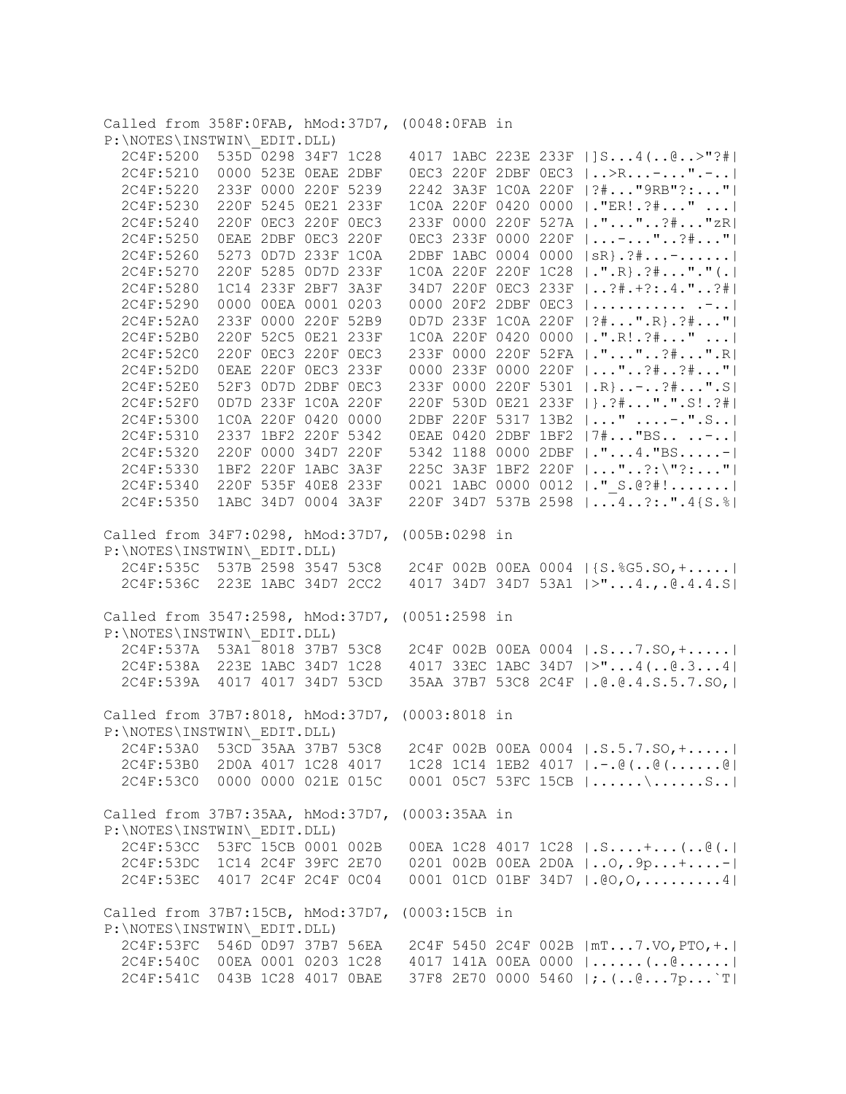Called from 358F:0FAB, hMod:37D7, (0048:0FAB in P:\NOTES\INSTWIN\\_EDIT.DLL) 2C4F:5200 535D 0298 34F7 1C28 4017 1ABC 223E 233F |]S...4(..@..>"?#| 2C4F:5210 0000 523E 0EAE 2DBF 0EC3 220F 2DBF 0EC3 |..>R...-...".-..| 2C4F:5220 233F 0000 220F 5239 2242 3A3F 1C0A 220F |?#..."9RB"?:..."| 2C4F:5230 220F 5245 0E21 233F 1C0A 220F 0420 0000 |."ER!.?#..." ...| 2C4F:5240 220F 0EC3 220F 0EC3 233F 0000 220F 527A |."..."..?#..."zR| 2C4F:5250 0EAE 2DBF 0EC3 220F 0EC3 233F 0000 220F |...-..."..?#..."| 2C4F:5260 5273 0D7D 233F 1C0A 2DBF 1ABC 0004 0000 |sR}.?#...-......| 2C4F:5270 220F 5285 0D7D 233F 1C0A 220F 220F 1C28 |.".R}.?#..."."(.| 2C4F:5280 1C14 233F 2BF7 3A3F 34D7 220F 0EC3 233F |..?#.+?:.4."..?#| 2C4F:5290 0000 00EA 0001 0203 0000 20F2 2DBF 0EC3 |........... .-..| 2C4F:52A0 233F 0000 220F 52B9 0D7D 233F 1C0A 220F |?#...".R}.?#..."| 2C4F:52B0 220F 52C5 0E21 233F 1C0A 220F 0420 0000 |.".R!.?#..." ...| 2C4F:52C0 220F 0EC3 220F 0EC3 233F 0000 220F 52FA |."..."..?#...".R| 2C4F:52D0 0EAE 220F 0EC3 233F 0000 233F 0000 220F |..."..?#..?#..."| 2C4F:52E0 52F3 0D7D 2DBF 0EC3 233F 0000 220F 5301 |.R}..-..?#...".S| 2C4F:52F0 0D7D 233F 1C0A 220F 220F 530D 0E21 233F |}.?#...".".S!.?#| 2C4F:5300 1C0A 220F 0420 0000 2DBF 220F 5317 13B2 |..." ....-.".S..| 2C4F:5310 2337 1BF2 220F 5342 0EAE 0420 2DBF 1BF2 |7#..."BS.. ..-..| 2C4F:5320 220F 0000 34D7 220F 5342 1188 0000 2DBF |."...4."BS.....-| 2C4F:5330 1BF2 220F 1ABC 3A3F 225C 3A3F 1BF2 220F |..."..?:\"?:..."| 2C4F:5340 220F 535F 40E8 233F 0021 1ABC 0000 0012 |."\_S.@?#!.......| 2C4F:5350 1ABC 34D7 0004 3A3F 220F 34D7 537B 2598 |...4..?:.".4{S.%| Called from 34F7:0298, hMod:37D7, (005B:0298 in P:\NOTES\INSTWIN\\_EDIT.DLL) 2C4F:535C 537B 2598 3547 53C8 2C4F 002B 00EA 0004 |{S.%G5.SO,+.....| 2C4F:536C 223E 1ABC 34D7 2CC2 4017 34D7 34D7 53A1 |>"...4.,.@.4.4.S| Called from 3547:2598, hMod:37D7, (0051:2598 in P:\NOTES\INSTWIN\\_EDIT.DLL) 2C4F:537A 53A1 8018 37B7 53C8 2C4F 002B 00EA 0004 |.S...7.SO,+.....| 2C4F:538A 223E 1ABC 34D7 1C28 4017 33EC 1ABC 34D7 |>"...4(..@.3...4| 2C4F:539A 4017 4017 34D7 53CD 35AA 37B7 53C8 2C4F |.@.@.4.S.5.7.SO,| Called from 37B7:8018, hMod:37D7, (0003:8018 in P:\NOTES\INSTWIN\\_EDIT.DLL) 2C4F:53A0 53CD 35AA 37B7 53C8 2C4F 002B 00EA 0004 |.S.5.7.SO,+.....| 2C4F:53B0 2D0A 4017 1C28 4017 1C28 1C14 1EB2 4017 |.-.@(..@(......@| 2C4F:53C0 0000 0000 021E 015C 0001 05C7 53FC 15CB |......\......S..| Called from 37B7:35AA, hMod:37D7, (0003:35AA in P:\NOTES\INSTWIN\\_EDIT.DLL) 2C4F:53CC 53FC 15CB 0001 002B 00EA 1C28 4017 1C28 |.S....+...(..@(.| 2C4F:53DC 1C14 2C4F 39FC 2E70 0201 002B 00EA 2D0A |..O,.9p...+....-| 2C4F:53EC 4017 2C4F 2C4F 0C04 0001 01CD 01BF 34D7 |.@O,O,.........4| Called from 37B7:15CB, hMod:37D7, (0003:15CB in P:\NOTES\INSTWIN\\_EDIT.DLL) 2C4F:53FC 546D 0D97 37B7 56EA 2C4F 5450 2C4F 002B |mT...7.VO,PTO,+.| 2C4F:540C 00EA 0001 0203 1C28 4017 141A 00EA 0000 |......(..@......| 2C4F:541C 043B 1C28 4017 0BAE 37F8 2E70 0000 5460 |;.(..@...7p...`T|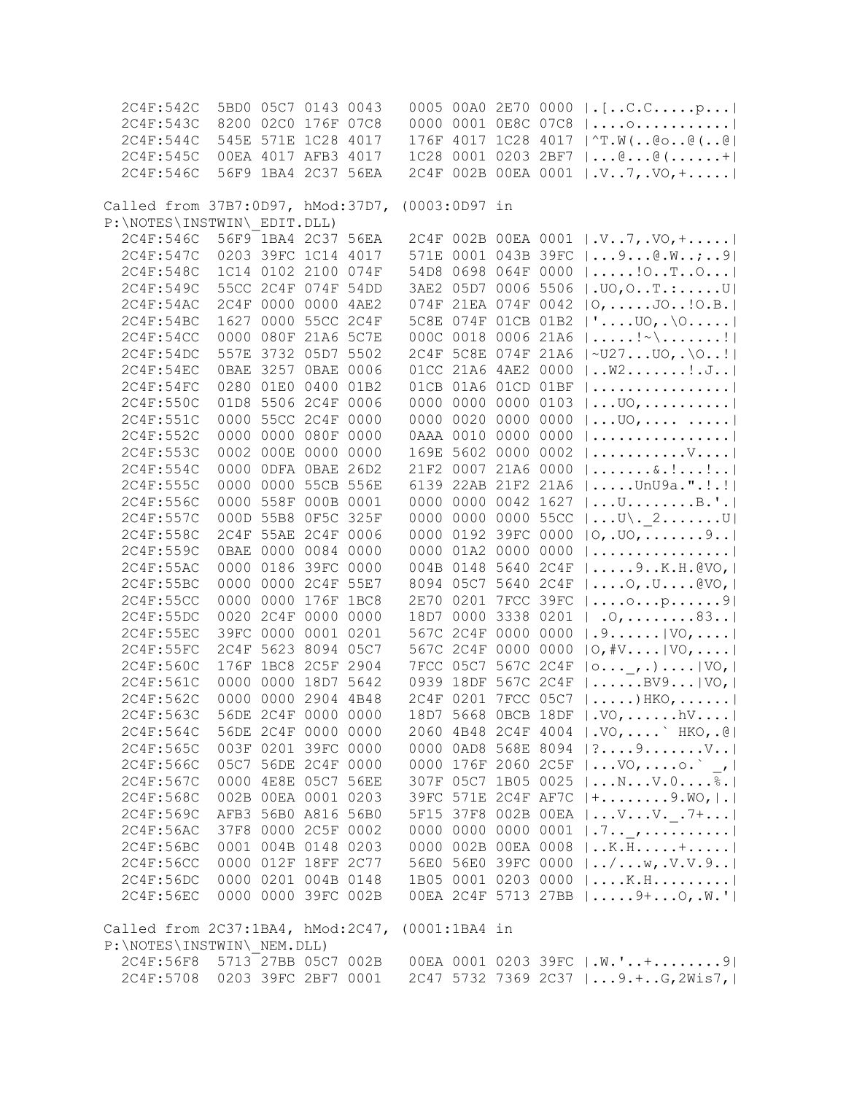| 2C4F:542C                                       |      |                | 5BD0 05C7 0143 0043 |      |               |                        |           | 0005 00A0 2E70 0000   . [C.Cp                   |
|-------------------------------------------------|------|----------------|---------------------|------|---------------|------------------------|-----------|-------------------------------------------------|
| 2C4F:543C                                       |      |                | 8200 02C0 176F 07C8 |      |               |                        |           |                                                 |
| 2C4F:544C                                       |      |                | 545E 571E 1C28 4017 |      |               |                        |           | 0000 0001 0E8C 07C8    o                        |
|                                                 |      |                |                     |      |               |                        |           | 176F 4017 1C28 4017   ^T.W(@o@(@                |
| 2C4F:545C                                       |      |                | 00EA 4017 AFB3 4017 |      |               |                        |           | 1C28 0001 0203 2BF7 $ @@(+ $                    |
| 2C4F:546C                                       |      |                | 56F9 1BA4 2C37 56EA |      |               |                        |           | 2C4F 002B 00EA 0001   .V7, .VO, +               |
|                                                 |      |                |                     |      |               |                        |           |                                                 |
| Called from 37B7:0D97, hMod:37D7, (0003:0D97 in |      |                |                     |      |               |                        |           |                                                 |
| P:\NOTES\INSTWIN\ EDIT.DLL)                     |      |                |                     |      |               |                        |           |                                                 |
| 2C4F:546C                                       |      |                | 56F9 1BA4 2C37 56EA |      |               |                        |           | 2C4F 002B 00EA 0001  .V7,.VO, +                 |
| 2C4F:547C                                       |      |                | 0203 39FC 1C14 4017 |      |               |                        |           | 571E 0001 043B 39FC    9 @. W; 9                |
| 2C4F:548C                                       |      |                | 1C14 0102 2100 074F |      |               |                        |           | 54D8 0698 064F 0000  ! OTO                      |
| 2C4F:549C                                       |      |                | 55CC 2C4F 074F 54DD |      |               |                        |           | 3AE2 05D7 0006 5506  .UO, OT.:U                 |
| 2C4F:54AC                                       |      | 2C4F 0000 0000 |                     | 4AE2 |               |                        |           | 074F 21EA 074F 0042   O,  JO! O.B.              |
| 2C4F:54BC                                       |      |                | 1627 0000 55CC 2C4F |      |               |                        |           | 5C8E 074F 01CB 01B2  ' UO, .\0                  |
| 2C4F:54CC                                       | 0000 | 080F 21A6      |                     | 5C7E |               | 000C 0018              |           | 0006 21A6 $ $ !~\!                              |
| 2C4F:54DC                                       |      |                | 557E 3732 05D7 5502 |      |               |                        |           | 2C4F 5C8E 074F 21A6  ~U27UO,.\O!                |
| 2C4F:54EC                                       |      | OBAE 3257 OBAE |                     | 0006 |               | 01CC 21A6 4AE2 0000    |           | W2!J                                            |
| 2C4F:54FC                                       |      | 0280 01E0      | 0400                | 01B2 |               | 01CB 01A6 01CD 01BF    |           |                                                 |
|                                                 |      |                |                     |      |               |                        |           |                                                 |
| 2C4F:550C                                       |      |                | 01D8 5506 2C4F 0006 |      |               | 0000 0000 0000 0103    |           | $ U0,$                                          |
| 2C4F:551C                                       |      | 0000 55CC 2C4F |                     | 0000 |               | 0000 0020 0000 0000    |           | $ 00,$                                          |
| 2C4F:552C                                       | 0000 | 0000           | 080F                | 0000 |               | 0AAA 0010              | 0000 0000 |                                                 |
| 2C4F:553C                                       |      | 0002 000E 0000 |                     | 0000 |               | 169E 5602 0000 0002    |           | $  \ldots \ldots \ldots \ldots \nabla \ldots  $ |
| 2C4F:554C                                       | 0000 |                | ODFA OBAE 26D2      |      |               | 21F2 0007 21A6 0000    |           | $  \ldots   \ldots   \ldots  $                  |
| 2C4F:555C                                       | 0000 | 0000           | 55CB 556E           |      |               | 6139 22AB 21F2 21A6    |           | $  \ldots \ldots$ UnU9a.".!.!                   |
| 2C4F:556C                                       |      |                | 0000 558F 000B 0001 |      |               | 0000 0000 0042 1627    |           | $  \ldots U \ldots \ldots B \ldots  $           |
| 2C4F:557C                                       |      |                | 000D 55B8 0F5C 325F |      |               | 0000 0000 0000 55CC    |           | $ U\langle$ . 2U                                |
| 2C4F:558C                                       |      |                | 2C4F 55AE 2C4F 0006 |      |               | 0000 0192 39FC 0000    |           | 0, .00,9                                        |
| 2C4F:559C                                       |      |                | 0BAE 0000 0084 0000 |      |               | 0000 01A2 0000 0000    |           |                                                 |
| 2C4F:55AC                                       |      |                | 0000 0186 39FC 0000 |      |               | 004B 0148              | 5640 2C4F | $  \ldots .9 \ldots .8 \ldots  $                |
| 2C4F:55BC                                       |      |                | 0000 0000 2C4F 55E7 |      |               | 8094 05C7 5640 2C4F    |           | $  \ldots .0, .U \ldots .0 \rangle$             |
| 2C4F:55CC                                       |      |                | 0000 0000 176F 1BC8 |      |               | 2E70 0201 7FCC 39FC    |           | $  \ldots$ . $\circ \ldots p \ldots \ldots 9  $ |
| 2C4F:55DC                                       |      | 0020 2C4F 0000 |                     | 0000 |               | 18D7 0000              | 3338 0201 | $ .0, \ldots, .83 $                             |
| 2C4F:55EC                                       |      |                | 39FC 0000 0001      | 0201 |               | 567C 2C4F              | 0000 0000 | .9.   V0,                                       |
| 2C4F:55FC                                       |      | 2C4F 5623 8094 |                     | 05C7 |               | 567C 2C4F 0000 0000    |           | $[0, #V]$ VO,                                   |
| 2C4F:560C                                       |      |                | 176F 1BC8 2C5F 2904 |      |               |                        | 567C 2C4F |                                                 |
|                                                 |      | 0000 0000      |                     |      |               | 7FCC 05C7<br>0939 18DF |           | $ 0 ,  $ VO,                                    |
| 2C4F:561C                                       |      |                | 18D7 5642           |      |               |                        | 567C 2C4F | $  \ldots \ldots$ . BV9 $  \text{VO}_L  $       |
| 2C4F:562C                                       |      |                | 0000 0000 2904      | 4B48 |               | 2C4F 0201 7FCC 05C7    |           | $ \ldots\rangle$ HKO, $\ldots$ .                |
| 2C4F:563C                                       |      |                | 56DE 2C4F 0000 0000 |      |               |                        |           | 18D7 5668 OBCB 18DF   .VO, hV                   |
| 2C4F:564C                                       |      |                | 56DE 2C4F 0000 0000 |      |               |                        |           | 2060 4B48 2C4F 4004  .VO,  `HKO, .@             |
| 2C4F:565C                                       |      |                | 003F 0201 39FC 0000 |      |               |                        |           | 0000 0AD8 568E 8094   ? 9 V                     |
| 2C4F:566C                                       |      |                | 05C7 56DE 2C4F 0000 |      |               |                        |           | 0000 176F 2060 2C5F $ V0,$ o. $^{\circ}$ /      |
| 2C4F:567C                                       |      |                | 0000 4E8E 05C7 56EE |      |               |                        |           | 307F 05C7 1B05 0025  NV.O%.                     |
| 2C4F:568C                                       |      |                | 002B 00EA 0001 0203 |      |               |                        |           | 39FC 571E 2C4F AF7C   +9. WO,   .               |
| 2C4F:569C                                       |      |                | AFB3 56B0 A816 56B0 |      |               |                        |           | 5F15 37F8 002B 00EA    V V. _ . 7+              |
| 2C4F:56AC                                       |      |                | 37F8 0000 2C5F 0002 |      |               |                        |           | 0000 0000 0000 0001 $  .7.  $                   |
| 2C4F:56BC                                       |      |                | 0001 004B 0148 0203 |      |               |                        |           | 0000 002B 00EA 0008    K. H.  +                 |
| 2C4F:56CC                                       |      |                | 0000 012F 18FF 2C77 |      |               |                        |           | 56E0 56E0 39FC 0000  /w,.V.V.9                  |
| 2C4F:56DC                                       |      |                | 0000 0201 004B 0148 |      |               |                        |           | 1B05 0001 0203 0000  K.H                        |
| 2C4F:56EC                                       |      |                | 0000 0000 39FC 002B |      |               |                        |           | OOEA 2C4F 5713 27BB    9+ O, .W.'               |
|                                                 |      |                |                     |      |               |                        |           |                                                 |
| Called from 2C37:1BA4, hMod:2C47,               |      |                |                     |      | (0001:1BA4 in |                        |           |                                                 |
| P:\NOTES\INSTWIN\ NEM.DLL)                      |      |                |                     |      |               |                        |           |                                                 |
| 2C4F:56F8 5713 27BB 05C7 002B                   |      |                |                     |      |               |                        |           |                                                 |
|                                                 |      |                |                     |      |               |                        |           | 00EA 0001 0203 39FC   .W.'+9                    |
| 2C4F:5708 0203 39FC 2BF7 0001                   |      |                |                     |      |               |                        |           | 2C47 5732 7369 2C37  9.+G,2Wis7,                |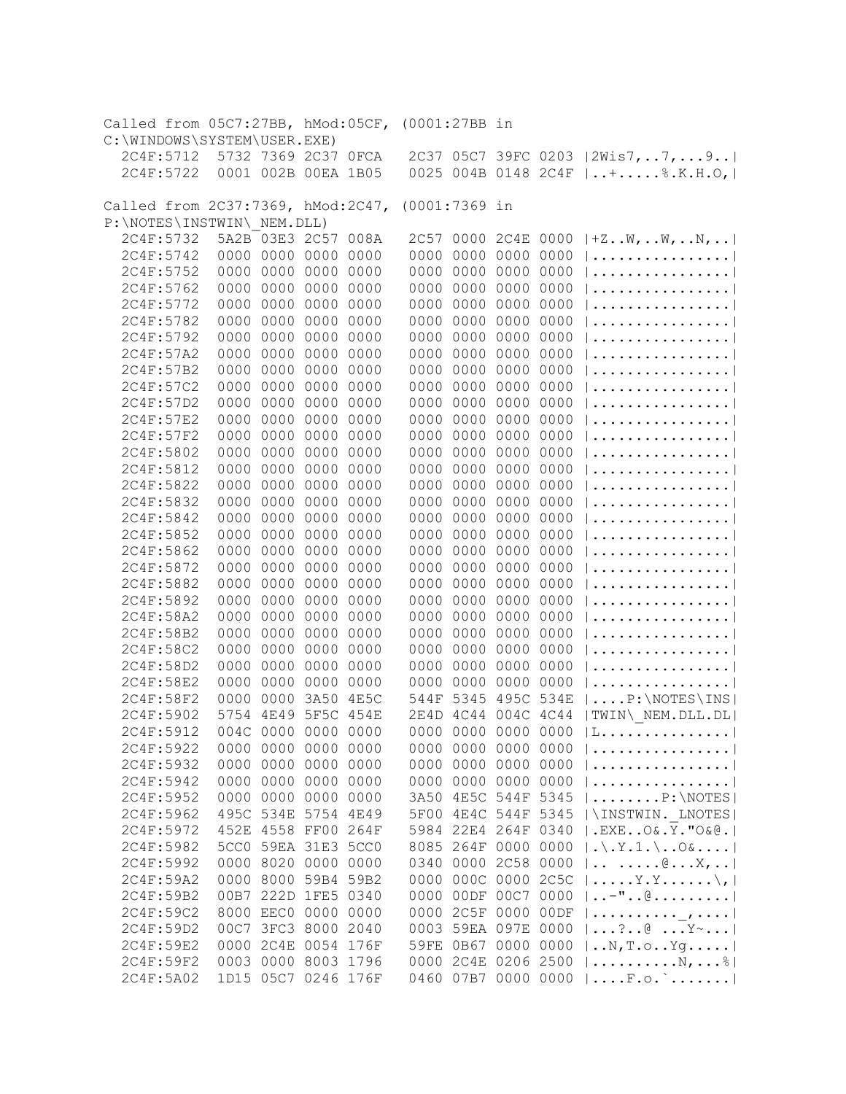| Called from 05C7:27BB, hMod:05CF, (0001:27BB in                 |      |                        |                     |              |               |                                            |              |                                                                                  |
|-----------------------------------------------------------------|------|------------------------|---------------------|--------------|---------------|--------------------------------------------|--------------|----------------------------------------------------------------------------------|
| C:\WINDOWS\SYSTEM\USER.EXE)                                     |      |                        |                     |              |               |                                            |              |                                                                                  |
| 2C4F:5712                                                       |      |                        | 5732 7369 2C37 OFCA |              |               |                                            |              | 2C37 05C7 39FC 0203   2Wis7, 7,  9                                               |
| 2C4F:5722                                                       |      |                        | 0001 002B 00EA 1B05 |              |               |                                            |              | 0025 004B 0148 2C4F    +  \$.K.H.O,                                              |
|                                                                 |      |                        |                     |              |               |                                            |              |                                                                                  |
| Called from 2C37:7369, hMod:2C47,<br>P:\NOTES\INSTWIN\ NEM.DLL) |      |                        |                     |              | (0001:7369 in |                                            |              |                                                                                  |
| 2C4F:5732                                                       |      |                        | 5A2B 03E3 2C57      | 008A         |               |                                            |              | 2C57 0000 2C4E 0000 $ +ZW,W,N, $                                                 |
| 2C4F:5742                                                       |      |                        | 0000 0000 0000      | 0000         |               | 0000 0000 0000                             | 0000         |                                                                                  |
| 2C4F:5752                                                       |      |                        | 0000 0000 0000      | 0000         |               | 0000 0000 0000                             | 0000         |                                                                                  |
| 2C4F:5762                                                       |      |                        | 0000 0000 0000      | 0000         |               | 0000 0000 0000                             | 0000         |                                                                                  |
| 2C4F:5772                                                       |      |                        | 0000 0000 0000      | 0000         |               | 0000 0000 0000                             | 0000         |                                                                                  |
| 2C4F:5782                                                       |      |                        | 0000 0000 0000      | 0000         |               | 0000 0000 0000                             | 0000         |                                                                                  |
| 2C4F:5792                                                       |      |                        | 0000 0000 0000 0000 |              |               | 0000 0000 0000                             | 0000         |                                                                                  |
| 2C4F:57A2                                                       |      |                        | 0000 0000 0000 0000 |              |               | 0000 0000 0000 0000                        |              |                                                                                  |
| 2C4F:57B2                                                       |      |                        | 0000 0000 0000 0000 |              |               | 0000 0000 0000 0000                        |              |                                                                                  |
| 2C4F:57C2                                                       |      |                        | 0000 0000 0000 0000 |              |               | 0000 0000 0000 0000                        |              |                                                                                  |
| 2C4F:57D2                                                       |      |                        | 0000 0000 0000 0000 |              |               | 0000 0000 0000 0000                        |              |                                                                                  |
| 2C4F:57E2                                                       |      |                        | 0000 0000 0000 0000 |              |               | 0000 0000 0000 0000                        |              |                                                                                  |
| 2C4F:57F2                                                       |      |                        | 0000 0000 0000 0000 |              |               | 0000 0000 0000 0000                        |              |                                                                                  |
| 2C4F:5802                                                       |      |                        | 0000 0000 0000 0000 |              |               | 0000 0000 0000 0000                        |              |                                                                                  |
| 2C4F:5812                                                       |      |                        | 0000 0000 0000 0000 |              |               | 0000 0000 0000 0000                        |              |                                                                                  |
| 2C4F:5822                                                       |      |                        | 0000 0000 0000 0000 |              |               | 0000 0000 0000 0000                        |              |                                                                                  |
|                                                                 |      |                        | 0000 0000 0000 0000 |              |               |                                            |              |                                                                                  |
| 2C4F:5832<br>2C4F:5842                                          |      |                        | 0000 0000 0000      |              |               | 0000 0000 0000 0000<br>0000 0000 0000 0000 |              |                                                                                  |
| 2C4F:5852                                                       |      |                        | 0000 0000 0000      | 0000         |               | 0000 0000 0000 0000                        |              |                                                                                  |
|                                                                 |      | 0000 0000              |                     | 0000         |               | 0000 0000 0000 0000                        |              |                                                                                  |
| 2C4F:5862                                                       |      | 0000 0000              | 0000<br>0000        | 0000         |               | 0000 0000 0000 0000                        |              |                                                                                  |
| 2C4F:5872                                                       |      | 0000 0000              | 0000                | 0000         |               | 0000 0000 0000 0000                        |              |                                                                                  |
| 2C4F:5882                                                       |      |                        |                     | 0000         |               |                                            |              |                                                                                  |
| 2C4F:5892                                                       |      | 0000 0000              | 0000                | 0000         |               | 0000 0000 0000                             | 0000         |                                                                                  |
| 2C4F:58A2                                                       |      | 0000 0000<br>0000 0000 | 0000<br>0000        | 0000         |               | 0000 0000 0000<br>0000 0000 0000 0000      | 0000         |                                                                                  |
| 2C4F:58B2<br>2C4F:58C2                                          |      | 0000 0000              | 0000                | 0000         |               | 0000 0000 0000                             |              |                                                                                  |
| 2C4F:58D2                                                       |      | 0000 0000              | 0000                | 0000<br>0000 |               | 0000 0000 0000                             | 0000<br>0000 |                                                                                  |
|                                                                 |      | 0000 0000              |                     |              |               |                                            |              |                                                                                  |
| 2C4F:58E2                                                       |      |                        | 0000                | 0000         |               | 0000 0000 0000                             | 0000         |                                                                                  |
| 2C4F:58F2                                                       | 5754 | 0000 0000              | 3A50                | 4E5C         |               | 544F 5345 495C 534E                        |              | $\ldots$ P: \NOTES\INS                                                           |
| 2C4F:5902                                                       |      |                        | 4E49 5F5C 454E      |              |               | 2E4D 4C44 004C 4C44                        |              | TWIN\ NEM.DLL.DL                                                                 |
| 2C4F:5912<br>2C4F:5922                                          |      | 0000 0000 0000         | 004C 0000 0000 0000 |              |               | 0000 0000 0000                             | 0000<br>0000 | L.  <br>                                                                         |
|                                                                 |      |                        |                     | 0000         |               | 0000 0000 0000                             |              |                                                                                  |
| 2C4F:5932                                                       |      |                        | 0000 0000 0000      | 0000         |               | 0000 0000 0000<br>0000 0000 0000 0000      | 0000         |                                                                                  |
| 2C4F:5942                                                       |      |                        | 0000 0000 0000 0000 |              |               |                                            |              |                                                                                  |
| 2C4F:5952                                                       |      |                        | 0000 0000 0000 0000 |              |               | 3A50 4E5C 544F 5345                        |              | $  \ldots  $ P: \NOTES                                                           |
| 2C4F:5962                                                       |      |                        | 495C 534E 5754 4E49 |              |               | 5F00 4E4C 544F 5345                        |              | \INSTWIN. LNOTES                                                                 |
| 2C4F:5972                                                       |      |                        | 452E 4558 FF00 264F |              |               | 5984 22E4 264F 0340                        |              | $ $ .EXEO&.Y."O&@.                                                               |
| 2C4F:5982                                                       |      |                        | 5CC0 59EA 31E3 5CC0 |              |               | 8085 264F 0000 0000                        |              | $ \cdot \cdot \cdot \cdot 1 \cdot \cdot \cdot \cdot 0 \cdot \cdot \cdot \cdot  $ |
| 2C4F:5992                                                       |      |                        | 0000 8020 0000 0000 |              |               | 0340 0000 2C58 0000                        |              | $  \ldots   \ldots   \mathbb{C} \ldots \mathbb{C} \ldots X_{r} \ldots  $         |
| 2C4F:59A2                                                       |      |                        | 0000 8000 59B4 59B2 |              |               | 0000 000C 0000 2C5C                        |              | $ \ldots,Y,Y,\ldots,\lambda_{r} $                                                |
| 2C4F:59B2                                                       |      |                        | 00B7 222D 1FE5 0340 |              |               | 0000 00DF 00C7 0000                        |              | $  -$ " $0$                                                                      |
| 2C4F:59C2                                                       |      |                        | 8000 EEC0 0000 0000 |              |               | 0000 2C5F 0000 00DF                        |              |                                                                                  |
| 2C4F:59D2                                                       |      |                        | 00C7 3FC3 8000 2040 |              |               | 0003 59EA 097E 0000                        |              | $ ?@Y^{\sim} $                                                                   |
| 2C4F:59E2                                                       |      |                        | 0000 2C4E 0054 176F |              |               | 59FE 0B67 0000 0000                        |              | $ N, T. \circ Yg $                                                               |
| 2C4F:59F2                                                       |      |                        | 0003 0000 8003 1796 |              |               | 0000 2C4E 0206 2500                        |              | $  \ldots   \ldots   \ldots   \mathbb{N}_{I} \ldots   \mathbb{S}  $              |
| 2C4F:5A02                                                       |      |                        | 1D15 05C7 0246 176F |              |               | 0460 07B7 0000 0000                        |              | $  \ldots$ . F.O. $\ldots \ldots$ .                                              |